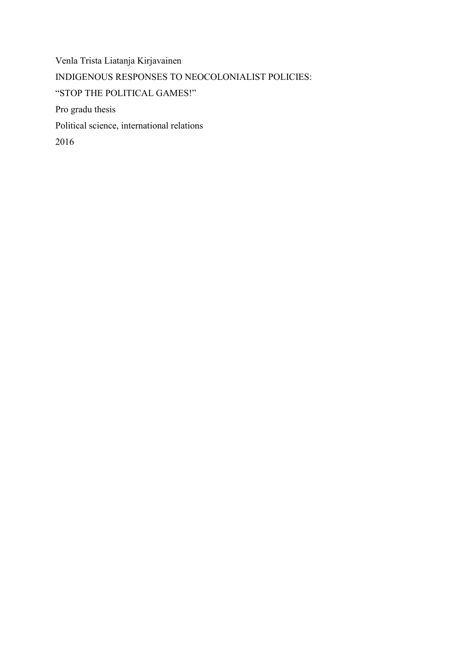Venla Trista Liatanja Kirjavainen INDIGENOUS RESPONSES TO NEOCOLONIALIST POLICIES: "STOP THE POLITICAL GAMES!" Pro gradu thesis Political science, international relations 2016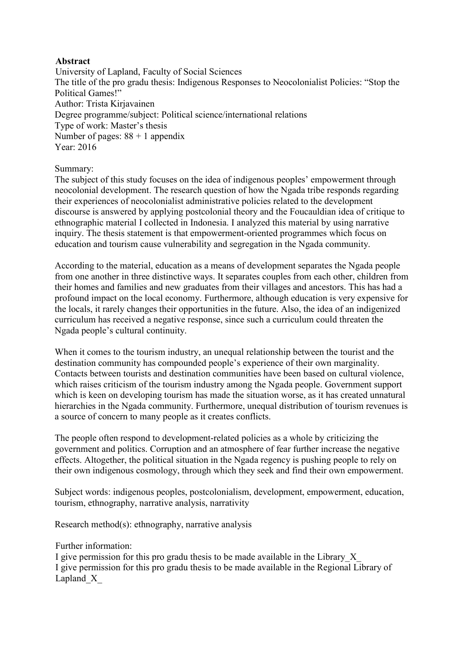# **Abstract**

University of Lapland, Faculty of Social Sciences The title of the pro gradu thesis: Indigenous Responses to Neocolonialist Policies: "Stop the Political Games!" Author: Trista Kirjavainen Degree programme/subject: Political science/international relations Type of work: Master's thesis Number of pages: 88 + 1 appendix Year: 2016

# Summary:

The subject of this study focuses on the idea of indigenous peoples' empowerment through neocolonial development. The research question of how the Ngada tribe responds regarding their experiences of neocolonialist administrative policies related to the development discourse is answered by applying postcolonial theory and the Foucauldian idea of critique to ethnographic material I collected in Indonesia. I analyzed this material by using narrative inquiry. The thesis statement is that empowerment-oriented programmes which focus on education and tourism cause vulnerability and segregation in the Ngada community.

According to the material, education as a means of development separates the Ngada people from one another in three distinctive ways. It separates couples from each other, children from their homes and families and new graduates from their villages and ancestors. This has had a profound impact on the local economy. Furthermore, although education is very expensive for the locals, it rarely changes their opportunities in the future. Also, the idea of an indigenized curriculum has received a negative response, since such a curriculum could threaten the Ngada people's cultural continuity.

When it comes to the tourism industry, an unequal relationship between the tourist and the destination community has compounded people's experience of their own marginality. Contacts between tourists and destination communities have been based on cultural violence, which raises criticism of the tourism industry among the Ngada people. Government support which is keen on developing tourism has made the situation worse, as it has created unnatural hierarchies in the Ngada community. Furthermore, unequal distribution of tourism revenues is a source of concern to many people as it creates conflicts.

The people often respond to development-related policies as a whole by criticizing the government and politics. Corruption and an atmosphere of fear further increase the negative effects. Altogether, the political situation in the Ngada regency is pushing people to rely on their own indigenous cosmology, through which they seek and find their own empowerment.

Subject words: indigenous peoples, postcolonialism, development, empowerment, education, tourism, ethnography, narrative analysis, narrativity

Research method(s): ethnography, narrative analysis

Further information:

I give permission for this pro gradu thesis to be made available in the Library\_X\_ I give permission for this pro gradu thesis to be made available in the Regional Library of Lapland<sub>X</sub>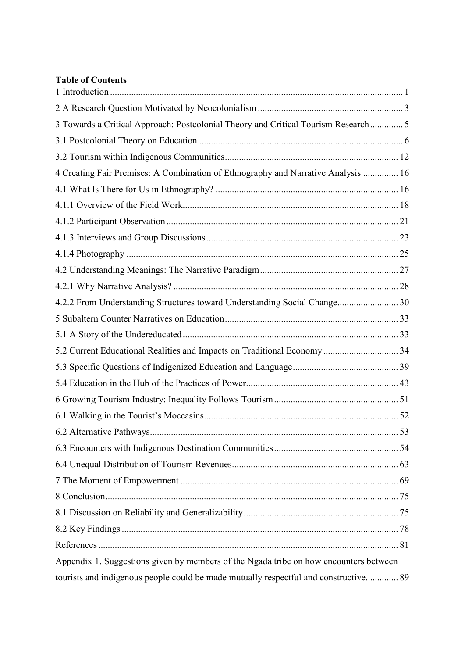# **Table of Contents**

| 3 Towards a Critical Approach: Postcolonial Theory and Critical Tourism Research 5     |  |
|----------------------------------------------------------------------------------------|--|
|                                                                                        |  |
|                                                                                        |  |
| 4 Creating Fair Premises: A Combination of Ethnography and Narrative Analysis  16      |  |
|                                                                                        |  |
|                                                                                        |  |
|                                                                                        |  |
|                                                                                        |  |
|                                                                                        |  |
|                                                                                        |  |
|                                                                                        |  |
| 4.2.2 From Understanding Structures toward Understanding Social Change 30              |  |
|                                                                                        |  |
|                                                                                        |  |
| 5.2 Current Educational Realities and Impacts on Traditional Economy 34                |  |
|                                                                                        |  |
|                                                                                        |  |
|                                                                                        |  |
|                                                                                        |  |
|                                                                                        |  |
|                                                                                        |  |
|                                                                                        |  |
|                                                                                        |  |
|                                                                                        |  |
|                                                                                        |  |
|                                                                                        |  |
|                                                                                        |  |
| Appendix 1. Suggestions given by members of the Ngada tribe on how encounters between  |  |
| tourists and indigenous people could be made mutually respectful and constructive.  89 |  |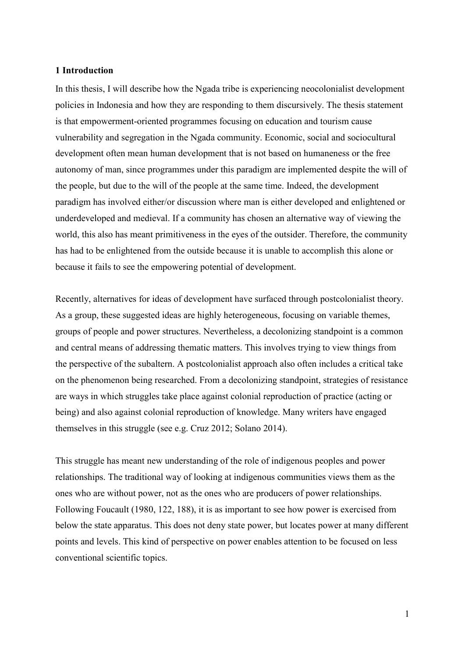### <span id="page-3-0"></span>**1 Introduction**

In this thesis, I will describe how the Ngada tribe is experiencing neocolonialist development policies in Indonesia and how they are responding to them discursively. The thesis statement is that empowerment-oriented programmes focusing on education and tourism cause vulnerability and segregation in the Ngada community. Economic, social and sociocultural development often mean human development that is not based on humaneness or the free autonomy of man, since programmes under this paradigm are implemented despite the will of the people, but due to the will of the people at the same time. Indeed, the development paradigm has involved either/or discussion where man is either developed and enlightened or underdeveloped and medieval. If a community has chosen an alternative way of viewing the world, this also has meant primitiveness in the eyes of the outsider. Therefore, the community has had to be enlightened from the outside because it is unable to accomplish this alone or because it fails to see the empowering potential of development.

Recently, alternatives for ideas of development have surfaced through postcolonialist theory. As a group, these suggested ideas are highly heterogeneous, focusing on variable themes, groups of people and power structures. Nevertheless, a decolonizing standpoint is a common and central means of addressing thematic matters. This involves trying to view things from the perspective of the subaltern. A postcolonialist approach also often includes a critical take on the phenomenon being researched. From a decolonizing standpoint, strategies of resistance are ways in which struggles take place against colonial reproduction of practice (acting or being) and also against colonial reproduction of knowledge. Many writers have engaged themselves in this struggle (see e.g. Cruz 2012; Solano 2014).

This struggle has meant new understanding of the role of indigenous peoples and power relationships. The traditional way of looking at indigenous communities views them as the ones who are without power, not as the ones who are producers of power relationships. Following Foucault (1980, 122, 188), it is as important to see how power is exercised from below the state apparatus. This does not deny state power, but locates power at many different points and levels. This kind of perspective on power enables attention to be focused on less conventional scientific topics.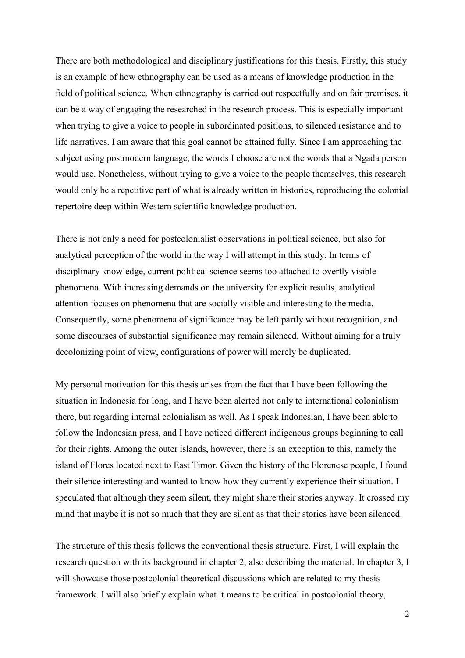There are both methodological and disciplinary justifications for this thesis. Firstly, this study is an example of how ethnography can be used as a means of knowledge production in the field of political science. When ethnography is carried out respectfully and on fair premises, it can be a way of engaging the researched in the research process. This is especially important when trying to give a voice to people in subordinated positions, to silenced resistance and to life narratives. I am aware that this goal cannot be attained fully. Since I am approaching the subject using postmodern language, the words I choose are not the words that a Ngada person would use. Nonetheless, without trying to give a voice to the people themselves, this research would only be a repetitive part of what is already written in histories, reproducing the colonial repertoire deep within Western scientific knowledge production.

There is not only a need for postcolonialist observations in political science, but also for analytical perception of the world in the way I will attempt in this study. In terms of disciplinary knowledge, current political science seems too attached to overtly visible phenomena. With increasing demands on the university for explicit results, analytical attention focuses on phenomena that are socially visible and interesting to the media. Consequently, some phenomena of significance may be left partly without recognition, and some discourses of substantial significance may remain silenced. Without aiming for a truly decolonizing point of view, configurations of power will merely be duplicated.

My personal motivation for this thesis arises from the fact that I have been following the situation in Indonesia for long, and I have been alerted not only to international colonialism there, but regarding internal colonialism as well. As I speak Indonesian, I have been able to follow the Indonesian press, and I have noticed different indigenous groups beginning to call for their rights. Among the outer islands, however, there is an exception to this, namely the island of Flores located next to East Timor. Given the history of the Florenese people, I found their silence interesting and wanted to know how they currently experience their situation. I speculated that although they seem silent, they might share their stories anyway. It crossed my mind that maybe it is not so much that they are silent as that their stories have been silenced.

The structure of this thesis follows the conventional thesis structure. First, I will explain the research question with its background in chapter 2, also describing the material. In chapter 3, I will showcase those postcolonial theoretical discussions which are related to my thesis framework. I will also briefly explain what it means to be critical in postcolonial theory,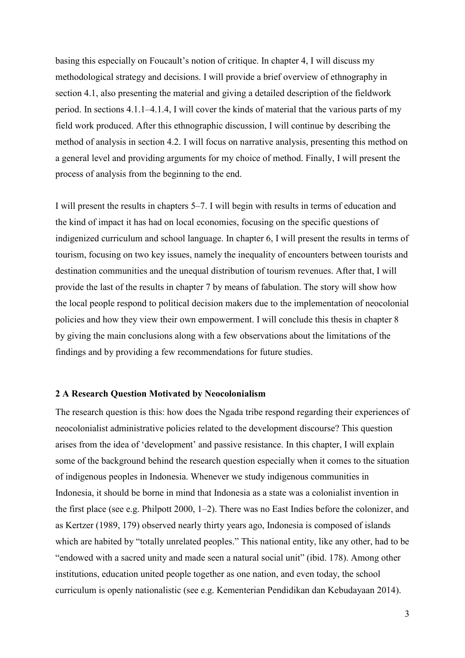basing this especially on Foucault's notion of critique. In chapter 4, I will discuss my methodological strategy and decisions. I will provide a brief overview of ethnography in section 4.1, also presenting the material and giving a detailed description of the fieldwork period. In sections 4.1.1–4.1.4, I will cover the kinds of material that the various parts of my field work produced. After this ethnographic discussion, I will continue by describing the method of analysis in section 4.2. I will focus on narrative analysis, presenting this method on a general level and providing arguments for my choice of method. Finally, I will present the process of analysis from the beginning to the end.

I will present the results in chapters 5–7. I will begin with results in terms of education and the kind of impact it has had on local economies, focusing on the specific questions of indigenized curriculum and school language. In chapter 6, I will present the results in terms of tourism, focusing on two key issues, namely the inequality of encounters between tourists and destination communities and the unequal distribution of tourism revenues. After that, I will provide the last of the results in chapter 7 by means of fabulation. The story will show how the local people respond to political decision makers due to the implementation of neocolonial policies and how they view their own empowerment. I will conclude this thesis in chapter 8 by giving the main conclusions along with a few observations about the limitations of the findings and by providing a few recommendations for future studies.

### <span id="page-5-0"></span>**2 A Research Question Motivated by Neocolonialism**

The research question is this: how does the Ngada tribe respond regarding their experiences of neocolonialist administrative policies related to the development discourse? This question arises from the idea of 'development' and passive resistance. In this chapter, I will explain some of the background behind the research question especially when it comes to the situation of indigenous peoples in Indonesia. Whenever we study indigenous communities in Indonesia, it should be borne in mind that Indonesia as a state was a colonialist invention in the first place (see e.g. Philpott 2000, 1–2). There was no East Indies before the colonizer, and as Kertzer (1989, 179) observed nearly thirty years ago, Indonesia is composed of islands which are habited by "totally unrelated peoples." This national entity, like any other, had to be "endowed with a sacred unity and made seen a natural social unit" (ibid. 178). Among other institutions, education united people together as one nation, and even today, the school curriculum is openly nationalistic (see e.g. Kementerian Pendidikan dan Kebudayaan 2014).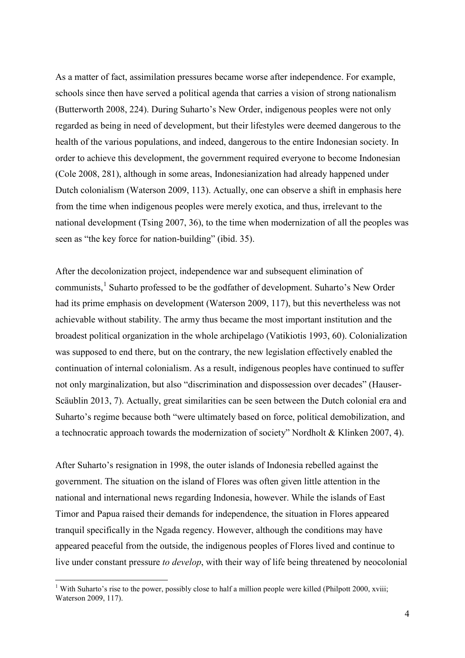As a matter of fact, assimilation pressures became worse after independence. For example, schools since then have served a political agenda that carries a vision of strong nationalism (Butterworth 2008, 224). During Suharto's New Order, indigenous peoples were not only regarded as being in need of development, but their lifestyles were deemed dangerous to the health of the various populations, and indeed, dangerous to the entire Indonesian society. In order to achieve this development, the government required everyone to become Indonesian (Cole 2008, 281), although in some areas, Indonesianization had already happened under Dutch colonialism (Waterson 2009, 113). Actually, one can observe a shift in emphasis here from the time when indigenous peoples were merely exotica, and thus, irrelevant to the national development (Tsing 2007, 36), to the time when modernization of all the peoples was seen as "the key force for nation-building" (ibid. 35).

After the decolonization project, independence war and subsequent elimination of communists,<sup>[1](#page-6-0)</sup> Suharto professed to be the godfather of development. Suharto's New Order had its prime emphasis on development (Waterson 2009, 117), but this nevertheless was not achievable without stability. The army thus became the most important institution and the broadest political organization in the whole archipelago (Vatikiotis 1993, 60). Colonialization was supposed to end there, but on the contrary, the new legislation effectively enabled the continuation of internal colonialism. As a result, indigenous peoples have continued to suffer not only marginalization, but also "discrimination and dispossession over decades" (Hauser-Scäublin 2013, 7). Actually, great similarities can be seen between the Dutch colonial era and Suharto's regime because both "were ultimately based on force, political demobilization, and a technocratic approach towards the modernization of society" Nordholt & Klinken 2007, 4).

After Suharto's resignation in 1998, the outer islands of Indonesia rebelled against the government. The situation on the island of Flores was often given little attention in the national and international news regarding Indonesia, however. While the islands of East Timor and Papua raised their demands for independence, the situation in Flores appeared tranquil specifically in the Ngada regency. However, although the conditions may have appeared peaceful from the outside, the indigenous peoples of Flores lived and continue to live under constant pressure *to develop*, with their way of life being threatened by neocolonial

<u>.</u>

<span id="page-6-0"></span><sup>&</sup>lt;sup>1</sup> With Suharto's rise to the power, possibly close to half a million people were killed (Philpott 2000, xviii; Waterson 2009, 117).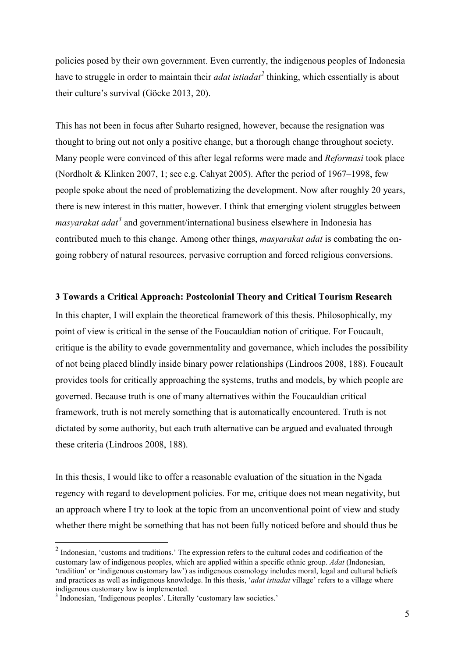policies posed by their own government. Even currently, the indigenous peoples of Indonesia have to struggle in order to maintain their *adat istiadat[2](#page-7-1)* thinking, which essentially is about their culture's survival (Göcke 2013, 20).

This has not been in focus after Suharto resigned, however, because the resignation was thought to bring out not only a positive change, but a thorough change throughout society. Many people were convinced of this after legal reforms were made and *Reformasi* took place (Nordholt & Klinken 2007, 1; see e.g. Cahyat 2005). After the period of 1967–1998, few people spoke about the need of problematizing the development. Now after roughly 20 years, there is new interest in this matter, however. I think that emerging violent struggles between *masyarakat adat<sup>[3](#page-7-2)</sup>* and government/international business elsewhere in Indonesia has contributed much to this change. Among other things, *masyarakat adat* is combating the ongoing robbery of natural resources, pervasive corruption and forced religious conversions.

#### <span id="page-7-0"></span>**3 Towards a Critical Approach: Postcolonial Theory and Critical Tourism Research**

In this chapter, I will explain the theoretical framework of this thesis. Philosophically, my point of view is critical in the sense of the Foucauldian notion of critique. For Foucault, critique is the ability to evade governmentality and governance, which includes the possibility of not being placed blindly inside binary power relationships (Lindroos 2008, 188). Foucault provides tools for critically approaching the systems, truths and models, by which people are governed. Because truth is one of many alternatives within the Foucauldian critical framework, truth is not merely something that is automatically encountered. Truth is not dictated by some authority, but each truth alternative can be argued and evaluated through these criteria (Lindroos 2008, 188).

In this thesis, I would like to offer a reasonable evaluation of the situation in the Ngada regency with regard to development policies. For me, critique does not mean negativity, but an approach where I try to look at the topic from an unconventional point of view and study whether there might be something that has not been fully noticed before and should thus be

-

<span id="page-7-1"></span> $2$  Indonesian, 'customs and traditions.' The expression refers to the cultural codes and codification of the customary law of indigenous peoples, which are applied within a specific ethnic group. *Adat* (Indonesian, 'tradition' or 'indigenous customary law') as indigenous cosmology includes moral, legal and cultural beliefs and practices as well as indigenous knowledge. In this thesis, '*adat istiadat* village' refers to a village where

<span id="page-7-2"></span><sup>&</sup>lt;sup>3</sup> Indonesian, 'Indigenous peoples'. Literally 'customary law societies.'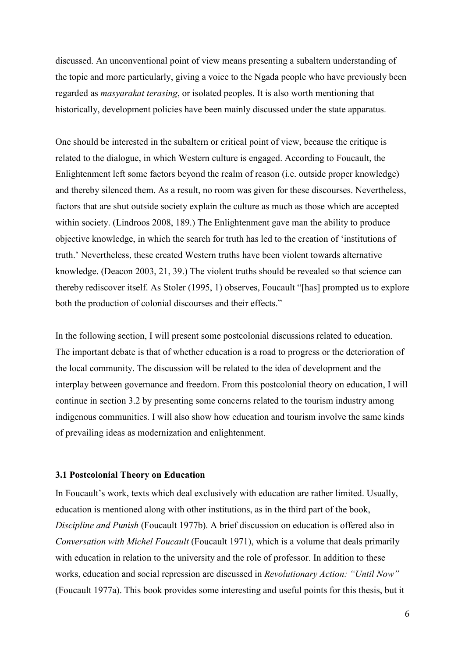discussed. An unconventional point of view means presenting a subaltern understanding of the topic and more particularly, giving a voice to the Ngada people who have previously been regarded as *masyarakat terasing*, or isolated peoples. It is also worth mentioning that historically, development policies have been mainly discussed under the state apparatus.

One should be interested in the subaltern or critical point of view, because the critique is related to the dialogue, in which Western culture is engaged. According to Foucault, the Enlightenment left some factors beyond the realm of reason (i.e. outside proper knowledge) and thereby silenced them. As a result, no room was given for these discourses. Nevertheless, factors that are shut outside society explain the culture as much as those which are accepted within society. (Lindroos 2008, 189.) The Enlightenment gave man the ability to produce objective knowledge, in which the search for truth has led to the creation of 'institutions of truth.' Nevertheless, these created Western truths have been violent towards alternative knowledge. (Deacon 2003, 21, 39.) The violent truths should be revealed so that science can thereby rediscover itself. As Stoler (1995, 1) observes, Foucault "[has] prompted us to explore both the production of colonial discourses and their effects."

In the following section, I will present some postcolonial discussions related to education. The important debate is that of whether education is a road to progress or the deterioration of the local community. The discussion will be related to the idea of development and the interplay between governance and freedom. From this postcolonial theory on education, I will continue in section 3.2 by presenting some concerns related to the tourism industry among indigenous communities. I will also show how education and tourism involve the same kinds of prevailing ideas as modernization and enlightenment.

#### <span id="page-8-0"></span>**3.1 Postcolonial Theory on Education**

In Foucault's work, texts which deal exclusively with education are rather limited. Usually, education is mentioned along with other institutions, as in the third part of the book, *Discipline and Punish* (Foucault 1977b). A brief discussion on education is offered also in *Conversation with Michel Foucault* (Foucault 1971), which is a volume that deals primarily with education in relation to the university and the role of professor. In addition to these works, education and social repression are discussed in *Revolutionary Action: "Until Now"* (Foucault 1977a). This book provides some interesting and useful points for this thesis, but it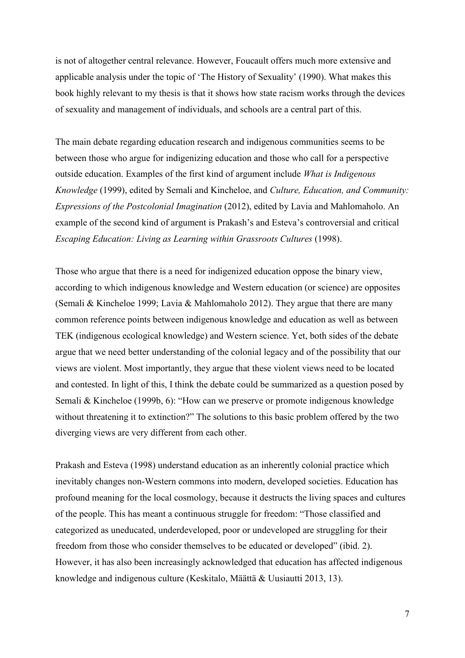is not of altogether central relevance. However, Foucault offers much more extensive and applicable analysis under the topic of 'The History of Sexuality' (1990). What makes this book highly relevant to my thesis is that it shows how state racism works through the devices of sexuality and management of individuals, and schools are a central part of this.

The main debate regarding education research and indigenous communities seems to be between those who argue for indigenizing education and those who call for a perspective outside education. Examples of the first kind of argument include *What is Indigenous Knowledge* (1999), edited by Semali and Kincheloe, and *Culture, Education, and Community: Expressions of the Postcolonial Imagination* (2012), edited by Lavia and Mahlomaholo. An example of the second kind of argument is Prakash's and Esteva's controversial and critical *Escaping Education: Living as Learning within Grassroots Cultures* (1998).

Those who argue that there is a need for indigenized education oppose the binary view, according to which indigenous knowledge and Western education (or science) are opposites (Semali & Kincheloe 1999; Lavia & Mahlomaholo 2012). They argue that there are many common reference points between indigenous knowledge and education as well as between TEK (indigenous ecological knowledge) and Western science. Yet, both sides of the debate argue that we need better understanding of the colonial legacy and of the possibility that our views are violent. Most importantly, they argue that these violent views need to be located and contested. In light of this, I think the debate could be summarized as a question posed by Semali & Kincheloe (1999b, 6): "How can we preserve or promote indigenous knowledge without threatening it to extinction?" The solutions to this basic problem offered by the two diverging views are very different from each other.

Prakash and Esteva (1998) understand education as an inherently colonial practice which inevitably changes non-Western commons into modern, developed societies. Education has profound meaning for the local cosmology, because it destructs the living spaces and cultures of the people. This has meant a continuous struggle for freedom: "Those classified and categorized as uneducated, underdeveloped, poor or undeveloped are struggling for their freedom from those who consider themselves to be educated or developed" (ibid. 2). However, it has also been increasingly acknowledged that education has affected indigenous knowledge and indigenous culture (Keskitalo, Määttä & Uusiautti 2013, 13).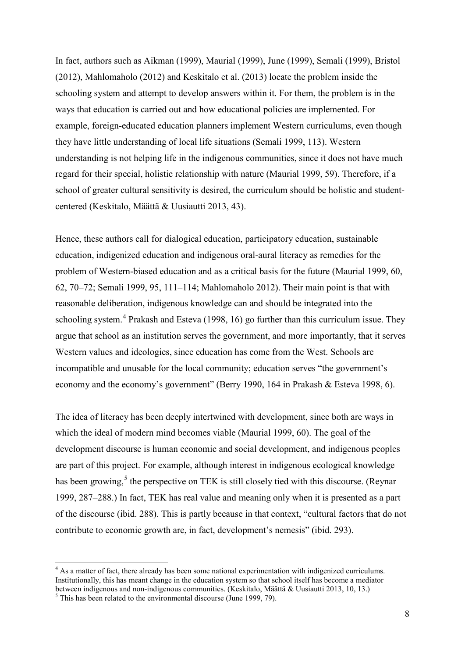In fact, authors such as Aikman (1999), Maurial (1999), June (1999), Semali (1999), Bristol (2012), Mahlomaholo (2012) and Keskitalo et al. (2013) locate the problem inside the schooling system and attempt to develop answers within it. For them, the problem is in the ways that education is carried out and how educational policies are implemented. For example, foreign-educated education planners implement Western curriculums, even though they have little understanding of local life situations (Semali 1999, 113). Western understanding is not helping life in the indigenous communities, since it does not have much regard for their special, holistic relationship with nature (Maurial 1999, 59). Therefore, if a school of greater cultural sensitivity is desired, the curriculum should be holistic and studentcentered (Keskitalo, Määttä & Uusiautti 2013, 43).

Hence, these authors call for dialogical education, participatory education, sustainable education, indigenized education and indigenous oral-aural literacy as remedies for the problem of Western-biased education and as a critical basis for the future (Maurial 1999, 60, 62, 70–72; Semali 1999, 95, 111–114; Mahlomaholo 2012). Their main point is that with reasonable deliberation, indigenous knowledge can and should be integrated into the schooling system.<sup>[4](#page-10-0)</sup> Prakash and Esteva (1998, 16) go further than this curriculum issue. They argue that school as an institution serves the government, and more importantly, that it serves Western values and ideologies, since education has come from the West. Schools are incompatible and unusable for the local community; education serves "the government's economy and the economy's government" (Berry 1990, 164 in Prakash & Esteva 1998, 6).

The idea of literacy has been deeply intertwined with development, since both are ways in which the ideal of modern mind becomes viable (Maurial 1999, 60). The goal of the development discourse is human economic and social development, and indigenous peoples are part of this project. For example, although interest in indigenous ecological knowledge has been growing,<sup>[5](#page-10-1)</sup> the perspective on TEK is still closely tied with this discourse. (Reynar 1999, 287–288.) In fact, TEK has real value and meaning only when it is presented as a part of the discourse (ibid. 288). This is partly because in that context, "cultural factors that do not contribute to economic growth are, in fact, development's nemesis" (ibid. 293).

<u>.</u>

<span id="page-10-0"></span><sup>&</sup>lt;sup>4</sup> As a matter of fact, there already has been some national experimentation with indigenized curriculums. Institutionally, this has meant change in the education system so that school itself has become a mediator between indigenous and non-indigenous communities. (Keskitalo, Määttä & Uusiautti 2013, 10, 13.) <sup>5</sup> This has been related to the environmental discourse (June 1999, 79).

<span id="page-10-1"></span>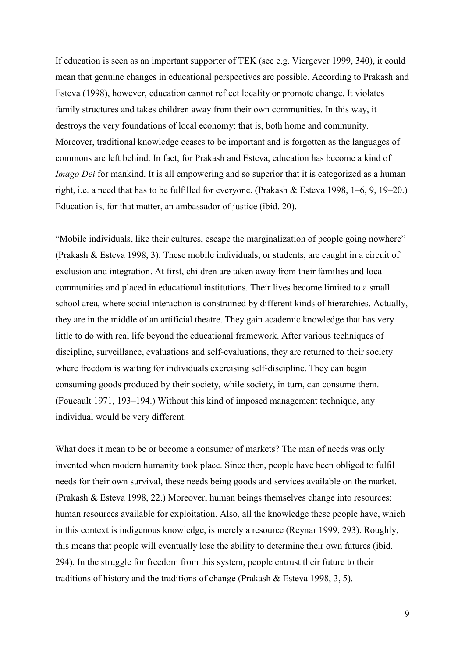If education is seen as an important supporter of TEK (see e.g. Viergever 1999, 340), it could mean that genuine changes in educational perspectives are possible. According to Prakash and Esteva (1998), however, education cannot reflect locality or promote change. It violates family structures and takes children away from their own communities. In this way, it destroys the very foundations of local economy: that is, both home and community. Moreover, traditional knowledge ceases to be important and is forgotten as the languages of commons are left behind. In fact, for Prakash and Esteva, education has become a kind of *Imago Dei* for mankind. It is all empowering and so superior that it is categorized as a human right, i.e. a need that has to be fulfilled for everyone. (Prakash & Esteva 1998, 1–6, 9, 19–20.) Education is, for that matter, an ambassador of justice (ibid. 20).

"Mobile individuals, like their cultures, escape the marginalization of people going nowhere" (Prakash & Esteva 1998, 3). These mobile individuals, or students, are caught in a circuit of exclusion and integration. At first, children are taken away from their families and local communities and placed in educational institutions. Their lives become limited to a small school area, where social interaction is constrained by different kinds of hierarchies. Actually, they are in the middle of an artificial theatre. They gain academic knowledge that has very little to do with real life beyond the educational framework. After various techniques of discipline, surveillance, evaluations and self-evaluations, they are returned to their society where freedom is waiting for individuals exercising self-discipline. They can begin consuming goods produced by their society, while society, in turn, can consume them. (Foucault 1971, 193–194.) Without this kind of imposed management technique, any individual would be very different.

What does it mean to be or become a consumer of markets? The man of needs was only invented when modern humanity took place. Since then, people have been obliged to fulfil needs for their own survival, these needs being goods and services available on the market. (Prakash & Esteva 1998, 22.) Moreover, human beings themselves change into resources: human resources available for exploitation. Also, all the knowledge these people have, which in this context is indigenous knowledge, is merely a resource (Reynar 1999, 293). Roughly, this means that people will eventually lose the ability to determine their own futures (ibid. 294). In the struggle for freedom from this system, people entrust their future to their traditions of history and the traditions of change (Prakash & Esteva 1998, 3, 5).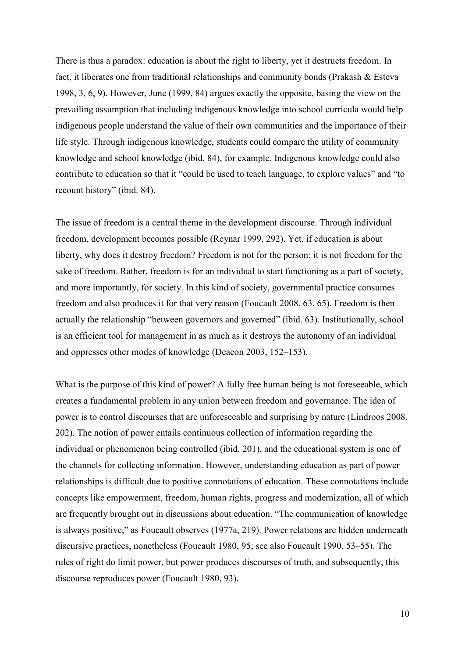There is thus a paradox: education is about the right to liberty, yet it destructs freedom. In fact, it liberates one from traditional relationships and community bonds (Prakash & Esteva 1998, 3, 6, 9). However, June (1999, 84) argues exactly the opposite, basing the view on the prevailing assumption that including indigenous knowledge into school curricula would help indigenous people understand the value of their own communities and the importance of their life style. Through indigenous knowledge, students could compare the utility of community knowledge and school knowledge (ibid. 84), for example. Indigenous knowledge could also contribute to education so that it "could be used to teach language, to explore values" and "to recount history" (ibid. 84).

The issue of freedom is a central theme in the development discourse. Through individual freedom, development becomes possible (Reynar 1999, 292). Yet, if education is about liberty, why does it destroy freedom? Freedom is not for the person; it is not freedom for the sake of freedom. Rather, freedom is for an individual to start functioning as a part of society, and more importantly, for society. In this kind of society, governmental practice consumes freedom and also produces it for that very reason (Foucault 2008, 63, 65). Freedom is then actually the relationship "between governors and governed" (ibid. 63). Institutionally, school is an efficient tool for management in as much as it destroys the autonomy of an individual and oppresses other modes of knowledge (Deacon 2003, 152–153).

What is the purpose of this kind of power? A fully free human being is not foreseeable, which creates a fundamental problem in any union between freedom and governance. The idea of power is to control discourses that are unforeseeable and surprising by nature (Lindroos 2008, 202). The notion of power entails continuous collection of information regarding the individual or phenomenon being controlled (ibid. 201), and the educational system is one of the channels for collecting information. However, understanding education as part of power relationships is difficult due to positive connotations of education. These connotations include concepts like empowerment, freedom, human rights, progress and modernization, all of which are frequently brought out in discussions about education. "The communication of knowledge is always positive," as Foucault observes (1977a, 219). Power relations are hidden underneath discursive practices, nonetheless (Foucault 1980, 95; see also Foucault 1990, 53–55). The rules of right do limit power, but power produces discourses of truth, and subsequently, this discourse reproduces power (Foucault 1980, 93).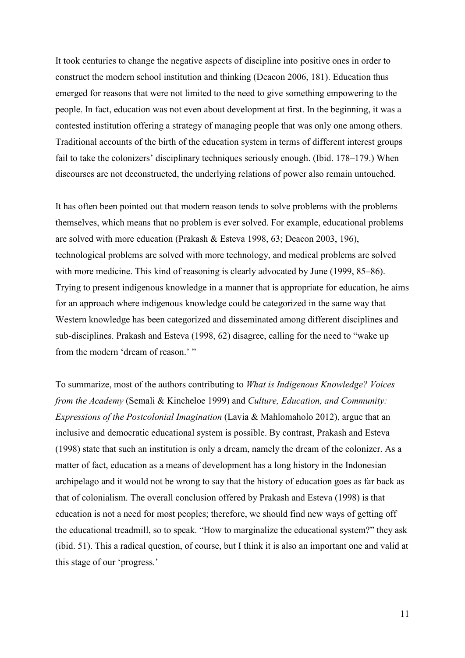It took centuries to change the negative aspects of discipline into positive ones in order to construct the modern school institution and thinking (Deacon 2006, 181). Education thus emerged for reasons that were not limited to the need to give something empowering to the people. In fact, education was not even about development at first. In the beginning, it was a contested institution offering a strategy of managing people that was only one among others. Traditional accounts of the birth of the education system in terms of different interest groups fail to take the colonizers' disciplinary techniques seriously enough. (Ibid. 178–179.) When discourses are not deconstructed, the underlying relations of power also remain untouched.

It has often been pointed out that modern reason tends to solve problems with the problems themselves, which means that no problem is ever solved. For example, educational problems are solved with more education (Prakash & Esteva 1998, 63; Deacon 2003, 196), technological problems are solved with more technology, and medical problems are solved with more medicine. This kind of reasoning is clearly advocated by June (1999, 85–86). Trying to present indigenous knowledge in a manner that is appropriate for education, he aims for an approach where indigenous knowledge could be categorized in the same way that Western knowledge has been categorized and disseminated among different disciplines and sub-disciplines. Prakash and Esteva (1998, 62) disagree, calling for the need to "wake up from the modern 'dream of reason.' "

To summarize, most of the authors contributing to *What is Indigenous Knowledge? Voices from the Academy* (Semali & Kincheloe 1999) and *Culture, Education, and Community: Expressions of the Postcolonial Imagination* (Lavia & Mahlomaholo 2012), argue that an inclusive and democratic educational system is possible. By contrast, Prakash and Esteva (1998) state that such an institution is only a dream, namely the dream of the colonizer. As a matter of fact, education as a means of development has a long history in the Indonesian archipelago and it would not be wrong to say that the history of education goes as far back as that of colonialism. The overall conclusion offered by Prakash and Esteva (1998) is that education is not a need for most peoples; therefore, we should find new ways of getting off the educational treadmill, so to speak. "How to marginalize the educational system?" they ask (ibid. 51). This a radical question, of course, but I think it is also an important one and valid at this stage of our 'progress.'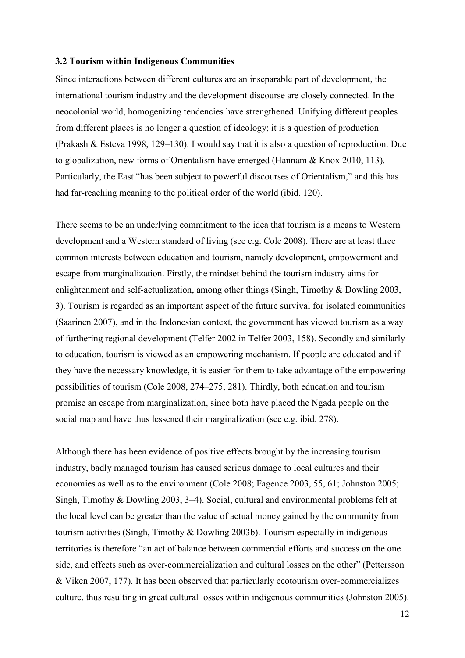### <span id="page-14-0"></span>**3.2 Tourism within Indigenous Communities**

Since interactions between different cultures are an inseparable part of development, the international tourism industry and the development discourse are closely connected. In the neocolonial world, homogenizing tendencies have strengthened. Unifying different peoples from different places is no longer a question of ideology; it is a question of production (Prakash & Esteva 1998, 129–130). I would say that it is also a question of reproduction. Due to globalization, new forms of Orientalism have emerged (Hannam & Knox 2010, 113). Particularly, the East "has been subject to powerful discourses of Orientalism," and this has had far-reaching meaning to the political order of the world (ibid. 120).

There seems to be an underlying commitment to the idea that tourism is a means to Western development and a Western standard of living (see e.g. Cole 2008). There are at least three common interests between education and tourism, namely development, empowerment and escape from marginalization. Firstly, the mindset behind the tourism industry aims for enlightenment and self-actualization, among other things (Singh, Timothy & Dowling 2003, 3). Tourism is regarded as an important aspect of the future survival for isolated communities (Saarinen 2007), and in the Indonesian context, the government has viewed tourism as a way of furthering regional development (Telfer 2002 in Telfer 2003, 158). Secondly and similarly to education, tourism is viewed as an empowering mechanism. If people are educated and if they have the necessary knowledge, it is easier for them to take advantage of the empowering possibilities of tourism (Cole 2008, 274–275, 281). Thirdly, both education and tourism promise an escape from marginalization, since both have placed the Ngada people on the social map and have thus lessened their marginalization (see e.g. ibid. 278).

Although there has been evidence of positive effects brought by the increasing tourism industry, badly managed tourism has caused serious damage to local cultures and their economies as well as to the environment (Cole 2008; Fagence 2003, 55, 61; Johnston 2005; Singh, Timothy & Dowling 2003, 3–4). Social, cultural and environmental problems felt at the local level can be greater than the value of actual money gained by the community from tourism activities (Singh, Timothy & Dowling 2003b). Tourism especially in indigenous territories is therefore "an act of balance between commercial efforts and success on the one side, and effects such as over-commercialization and cultural losses on the other" (Pettersson & Viken 2007, 177). It has been observed that particularly ecotourism over-commercializes culture, thus resulting in great cultural losses within indigenous communities (Johnston 2005).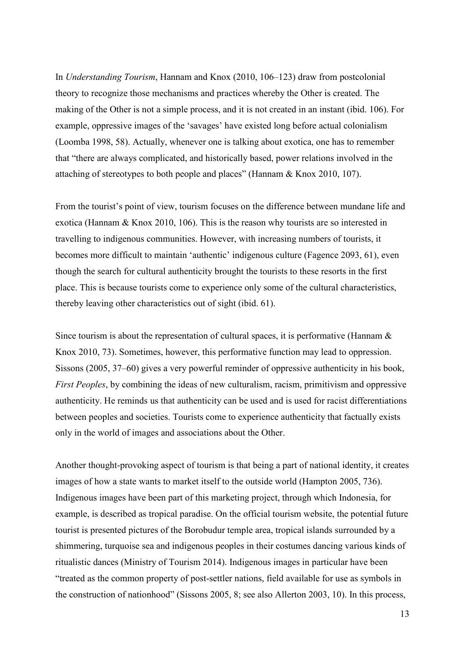In *Understanding Tourism*, Hannam and Knox (2010, 106–123) draw from postcolonial theory to recognize those mechanisms and practices whereby the Other is created. The making of the Other is not a simple process, and it is not created in an instant (ibid. 106). For example, oppressive images of the 'savages' have existed long before actual colonialism (Loomba 1998, 58). Actually, whenever one is talking about exotica, one has to remember that "there are always complicated, and historically based, power relations involved in the attaching of stereotypes to both people and places" (Hannam & Knox 2010, 107).

From the tourist's point of view, tourism focuses on the difference between mundane life and exotica (Hannam & Knox 2010, 106). This is the reason why tourists are so interested in travelling to indigenous communities. However, with increasing numbers of tourists, it becomes more difficult to maintain 'authentic' indigenous culture (Fagence 2093, 61), even though the search for cultural authenticity brought the tourists to these resorts in the first place. This is because tourists come to experience only some of the cultural characteristics, thereby leaving other characteristics out of sight (ibid. 61).

Since tourism is about the representation of cultural spaces, it is performative (Hannam  $\&$ Knox 2010, 73). Sometimes, however, this performative function may lead to oppression. Sissons (2005, 37–60) gives a very powerful reminder of oppressive authenticity in his book, *First Peoples*, by combining the ideas of new culturalism, racism, primitivism and oppressive authenticity. He reminds us that authenticity can be used and is used for racist differentiations between peoples and societies. Tourists come to experience authenticity that factually exists only in the world of images and associations about the Other.

Another thought-provoking aspect of tourism is that being a part of national identity, it creates images of how a state wants to market itself to the outside world (Hampton 2005, 736). Indigenous images have been part of this marketing project, through which Indonesia, for example, is described as tropical paradise. On the official tourism website, the potential future tourist is presented pictures of the Borobudur temple area, tropical islands surrounded by a shimmering, turquoise sea and indigenous peoples in their costumes dancing various kinds of ritualistic dances (Ministry of Tourism 2014). Indigenous images in particular have been "treated as the common property of post-settler nations, field available for use as symbols in the construction of nationhood" (Sissons 2005, 8; see also Allerton 2003, 10). In this process,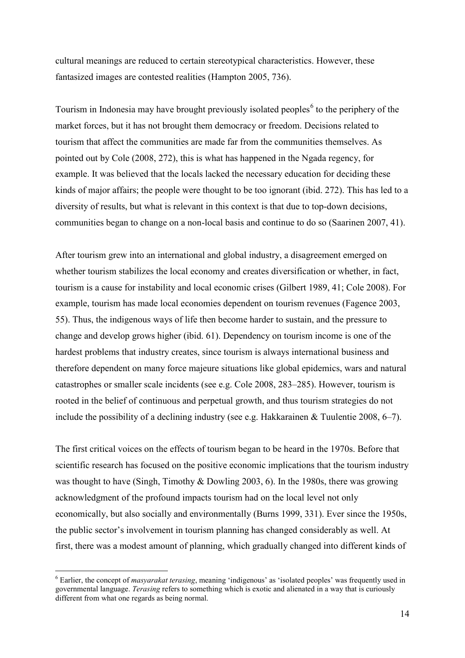cultural meanings are reduced to certain stereotypical characteristics. However, these fantasized images are contested realities (Hampton 2005, 736).

Tourism in Indonesia may have brought previously isolated peoples<sup>[6](#page-16-0)</sup> to the periphery of the market forces, but it has not brought them democracy or freedom. Decisions related to tourism that affect the communities are made far from the communities themselves. As pointed out by Cole (2008, 272), this is what has happened in the Ngada regency, for example. It was believed that the locals lacked the necessary education for deciding these kinds of major affairs; the people were thought to be too ignorant (ibid. 272). This has led to a diversity of results, but what is relevant in this context is that due to top-down decisions, communities began to change on a non-local basis and continue to do so (Saarinen 2007, 41).

After tourism grew into an international and global industry, a disagreement emerged on whether tourism stabilizes the local economy and creates diversification or whether, in fact, tourism is a cause for instability and local economic crises (Gilbert 1989, 41; Cole 2008). For example, tourism has made local economies dependent on tourism revenues (Fagence 2003, 55). Thus, the indigenous ways of life then become harder to sustain, and the pressure to change and develop grows higher (ibid. 61). Dependency on tourism income is one of the hardest problems that industry creates, since tourism is always international business and therefore dependent on many force majeure situations like global epidemics, wars and natural catastrophes or smaller scale incidents (see e.g. Cole 2008, 283–285). However, tourism is rooted in the belief of continuous and perpetual growth, and thus tourism strategies do not include the possibility of a declining industry (see e.g. Hakkarainen & Tuulentie 2008, 6–7).

The first critical voices on the effects of tourism began to be heard in the 1970s. Before that scientific research has focused on the positive economic implications that the tourism industry was thought to have (Singh, Timothy & Dowling 2003, 6). In the 1980s, there was growing acknowledgment of the profound impacts tourism had on the local level not only economically, but also socially and environmentally (Burns 1999, 331). Ever since the 1950s, the public sector's involvement in tourism planning has changed considerably as well. At first, there was a modest amount of planning, which gradually changed into different kinds of

-

<span id="page-16-0"></span><sup>6</sup> Earlier, the concept of *masyarakat terasing*, meaning 'indigenous' as 'isolated peoples' was frequently used in governmental language. *Terasing* refers to something which is exotic and alienated in a way that is curiously different from what one regards as being normal.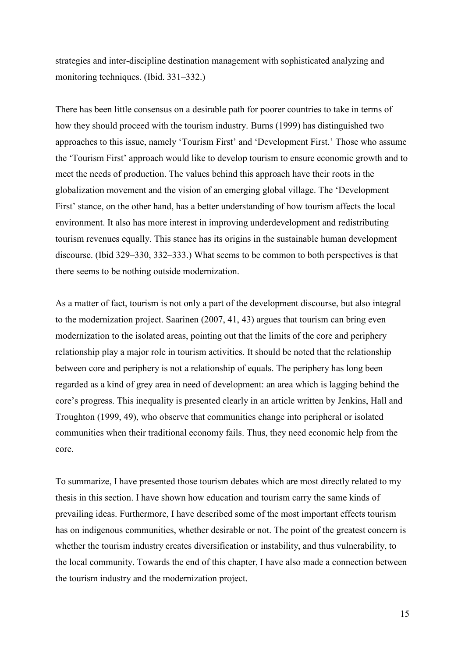strategies and inter-discipline destination management with sophisticated analyzing and monitoring techniques. (Ibid. 331–332.)

There has been little consensus on a desirable path for poorer countries to take in terms of how they should proceed with the tourism industry. Burns (1999) has distinguished two approaches to this issue, namely 'Tourism First' and 'Development First.' Those who assume the 'Tourism First' approach would like to develop tourism to ensure economic growth and to meet the needs of production. The values behind this approach have their roots in the globalization movement and the vision of an emerging global village. The 'Development First' stance, on the other hand, has a better understanding of how tourism affects the local environment. It also has more interest in improving underdevelopment and redistributing tourism revenues equally. This stance has its origins in the sustainable human development discourse. (Ibid 329–330, 332–333.) What seems to be common to both perspectives is that there seems to be nothing outside modernization.

As a matter of fact, tourism is not only a part of the development discourse, but also integral to the modernization project. Saarinen (2007, 41, 43) argues that tourism can bring even modernization to the isolated areas, pointing out that the limits of the core and periphery relationship play a major role in tourism activities. It should be noted that the relationship between core and periphery is not a relationship of equals. The periphery has long been regarded as a kind of grey area in need of development: an area which is lagging behind the core's progress. This inequality is presented clearly in an article written by Jenkins, Hall and Troughton (1999, 49), who observe that communities change into peripheral or isolated communities when their traditional economy fails. Thus, they need economic help from the core.

To summarize, I have presented those tourism debates which are most directly related to my thesis in this section. I have shown how education and tourism carry the same kinds of prevailing ideas. Furthermore, I have described some of the most important effects tourism has on indigenous communities, whether desirable or not. The point of the greatest concern is whether the tourism industry creates diversification or instability, and thus vulnerability, to the local community. Towards the end of this chapter, I have also made a connection between the tourism industry and the modernization project.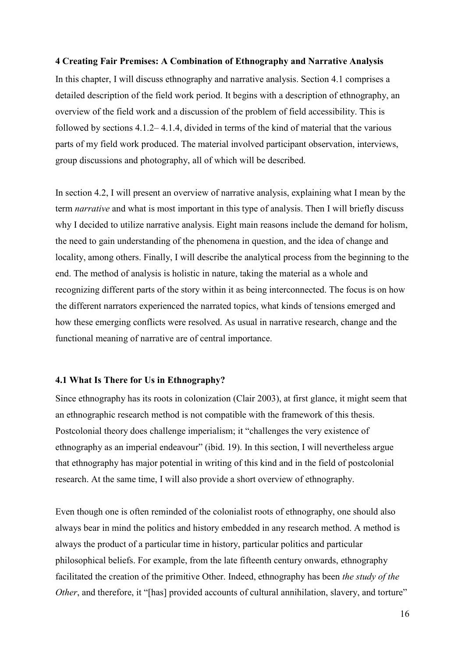### <span id="page-18-0"></span>**4 Creating Fair Premises: A Combination of Ethnography and Narrative Analysis**

In this chapter, I will discuss ethnography and narrative analysis. Section 4.1 comprises a detailed description of the field work period. It begins with a description of ethnography, an overview of the field work and a discussion of the problem of field accessibility. This is followed by sections 4.1.2– 4.1.4, divided in terms of the kind of material that the various parts of my field work produced. The material involved participant observation, interviews, group discussions and photography, all of which will be described.

In section 4.2, I will present an overview of narrative analysis, explaining what I mean by the term *narrative* and what is most important in this type of analysis. Then I will briefly discuss why I decided to utilize narrative analysis. Eight main reasons include the demand for holism, the need to gain understanding of the phenomena in question, and the idea of change and locality, among others. Finally, I will describe the analytical process from the beginning to the end. The method of analysis is holistic in nature, taking the material as a whole and recognizing different parts of the story within it as being interconnected. The focus is on how the different narrators experienced the narrated topics, what kinds of tensions emerged and how these emerging conflicts were resolved. As usual in narrative research, change and the functional meaning of narrative are of central importance.

# <span id="page-18-1"></span>**4.1 What Is There for Us in Ethnography?**

Since ethnography has its roots in colonization (Clair 2003), at first glance, it might seem that an ethnographic research method is not compatible with the framework of this thesis. Postcolonial theory does challenge imperialism; it "challenges the very existence of ethnography as an imperial endeavour" (ibid. 19). In this section, I will nevertheless argue that ethnography has major potential in writing of this kind and in the field of postcolonial research. At the same time, I will also provide a short overview of ethnography.

Even though one is often reminded of the colonialist roots of ethnography, one should also always bear in mind the politics and history embedded in any research method. A method is always the product of a particular time in history, particular politics and particular philosophical beliefs. For example, from the late fifteenth century onwards, ethnography facilitated the creation of the primitive Other. Indeed, ethnography has been *the study of the Other*, and therefore, it "[has] provided accounts of cultural annihilation, slavery, and torture"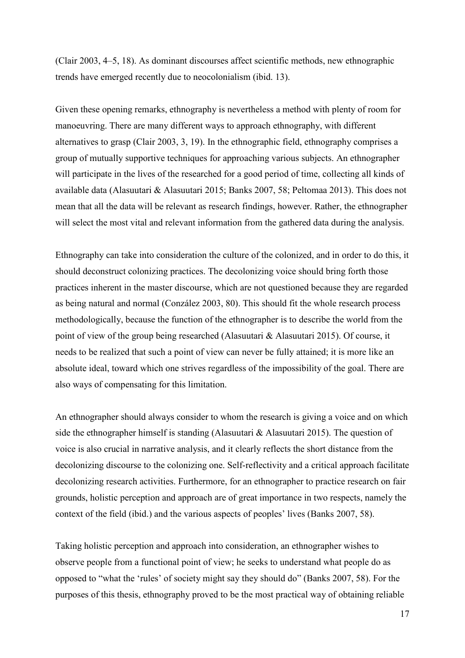(Clair 2003, 4–5, 18). As dominant discourses affect scientific methods, new ethnographic trends have emerged recently due to neocolonialism (ibid. 13).

Given these opening remarks, ethnography is nevertheless a method with plenty of room for manoeuvring. There are many different ways to approach ethnography, with different alternatives to grasp (Clair 2003, 3, 19). In the ethnographic field, ethnography comprises a group of mutually supportive techniques for approaching various subjects. An ethnographer will participate in the lives of the researched for a good period of time, collecting all kinds of available data (Alasuutari & Alasuutari 2015; Banks 2007, 58; Peltomaa 2013). This does not mean that all the data will be relevant as research findings, however. Rather, the ethnographer will select the most vital and relevant information from the gathered data during the analysis.

Ethnography can take into consideration the culture of the colonized, and in order to do this, it should deconstruct colonizing practices. The decolonizing voice should bring forth those practices inherent in the master discourse, which are not questioned because they are regarded as being natural and normal (Conzález 2003, 80). This should fit the whole research process methodologically, because the function of the ethnographer is to describe the world from the point of view of the group being researched (Alasuutari & Alasuutari 2015). Of course, it needs to be realized that such a point of view can never be fully attained; it is more like an absolute ideal, toward which one strives regardless of the impossibility of the goal. There are also ways of compensating for this limitation.

An ethnographer should always consider to whom the research is giving a voice and on which side the ethnographer himself is standing (Alasuutari & Alasuutari 2015). The question of voice is also crucial in narrative analysis, and it clearly reflects the short distance from the decolonizing discourse to the colonizing one. Self-reflectivity and a critical approach facilitate decolonizing research activities. Furthermore, for an ethnographer to practice research on fair grounds, holistic perception and approach are of great importance in two respects, namely the context of the field (ibid.) and the various aspects of peoples' lives (Banks 2007, 58).

Taking holistic perception and approach into consideration, an ethnographer wishes to observe people from a functional point of view; he seeks to understand what people do as opposed to "what the 'rules' of society might say they should do" (Banks 2007, 58). For the purposes of this thesis, ethnography proved to be the most practical way of obtaining reliable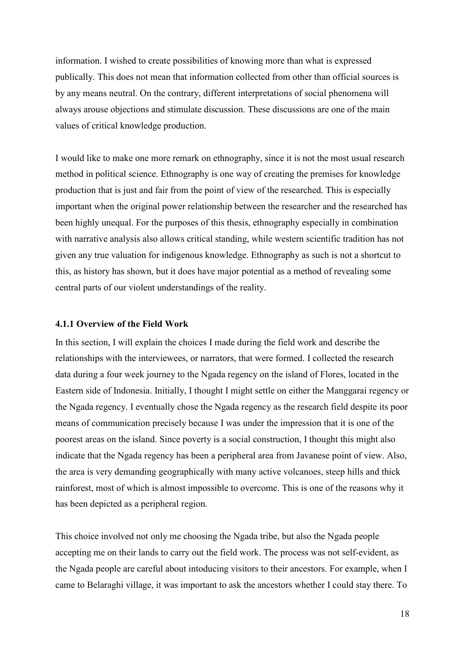information. I wished to create possibilities of knowing more than what is expressed publically. This does not mean that information collected from other than official sources is by any means neutral. On the contrary, different interpretations of social phenomena will always arouse objections and stimulate discussion. These discussions are one of the main values of critical knowledge production.

I would like to make one more remark on ethnography, since it is not the most usual research method in political science. Ethnography is one way of creating the premises for knowledge production that is just and fair from the point of view of the researched. This is especially important when the original power relationship between the researcher and the researched has been highly unequal. For the purposes of this thesis, ethnography especially in combination with narrative analysis also allows critical standing, while western scientific tradition has not given any true valuation for indigenous knowledge. Ethnography as such is not a shortcut to this, as history has shown, but it does have major potential as a method of revealing some central parts of our violent understandings of the reality.

# <span id="page-20-0"></span>**4.1.1 Overview of the Field Work**

In this section, I will explain the choices I made during the field work and describe the relationships with the interviewees, or narrators, that were formed. I collected the research data during a four week journey to the Ngada regency on the island of Flores, located in the Eastern side of Indonesia. Initially, I thought I might settle on either the Manggarai regency or the Ngada regency. I eventually chose the Ngada regency as the research field despite its poor means of communication precisely because I was under the impression that it is one of the poorest areas on the island. Since poverty is a social construction, I thought this might also indicate that the Ngada regency has been a peripheral area from Javanese point of view. Also, the area is very demanding geographically with many active volcanoes, steep hills and thick rainforest, most of which is almost impossible to overcome. This is one of the reasons why it has been depicted as a peripheral region.

This choice involved not only me choosing the Ngada tribe, but also the Ngada people accepting me on their lands to carry out the field work. The process was not self-evident, as the Ngada people are careful about intoducing visitors to their ancestors. For example, when I came to Belaraghi village, it was important to ask the ancestors whether I could stay there. To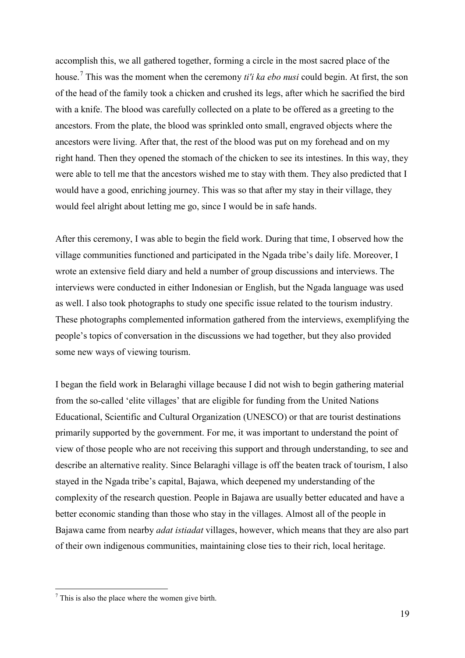accomplish this, we all gathered together, forming a circle in the most sacred place of the house.[7](#page-21-0) This was the moment when the ceremony *ti'i ka ebo nusi* could begin. At first, the son of the head of the family took a chicken and crushed its legs, after which he sacrified the bird with a knife. The blood was carefully collected on a plate to be offered as a greeting to the ancestors. From the plate, the blood was sprinkled onto small, engraved objects where the ancestors were living. After that, the rest of the blood was put on my forehead and on my right hand. Then they opened the stomach of the chicken to see its intestines. In this way, they were able to tell me that the ancestors wished me to stay with them. They also predicted that I would have a good, enriching journey. This was so that after my stay in their village, they would feel alright about letting me go, since I would be in safe hands.

After this ceremony, I was able to begin the field work. During that time, I observed how the village communities functioned and participated in the Ngada tribe's daily life. Moreover, I wrote an extensive field diary and held a number of group discussions and interviews. The interviews were conducted in either Indonesian or English, but the Ngada language was used as well. I also took photographs to study one specific issue related to the tourism industry. These photographs complemented information gathered from the interviews, exemplifying the people's topics of conversation in the discussions we had together, but they also provided some new ways of viewing tourism.

I began the field work in Belaraghi village because I did not wish to begin gathering material from the so-called 'elite villages' that are eligible for funding from the United Nations Educational, Scientific and Cultural Organization (UNESCO) or that are tourist destinations primarily supported by the government. For me, it was important to understand the point of view of those people who are not receiving this support and through understanding, to see and describe an alternative reality. Since Belaraghi village is off the beaten track of tourism, I also stayed in the Ngada tribe's capital, Bajawa, which deepened my understanding of the complexity of the research question. People in Bajawa are usually better educated and have a better economic standing than those who stay in the villages. Almost all of the people in Bajawa came from nearby *adat istiadat* villages, however, which means that they are also part of their own indigenous communities, maintaining close ties to their rich, local heritage.

<u>.</u>

<span id="page-21-0"></span> $7$  This is also the place where the women give birth.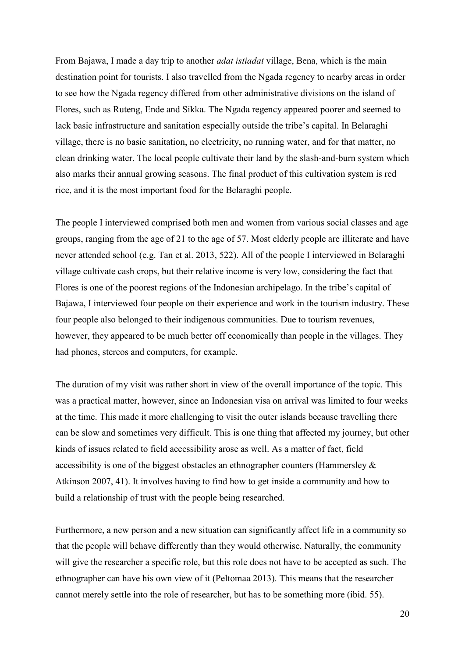From Bajawa, I made a day trip to another *adat istiadat* village, Bena, which is the main destination point for tourists. I also travelled from the Ngada regency to nearby areas in order to see how the Ngada regency differed from other administrative divisions on the island of Flores, such as Ruteng, Ende and Sikka. The Ngada regency appeared poorer and seemed to lack basic infrastructure and sanitation especially outside the tribe's capital. In Belaraghi village, there is no basic sanitation, no electricity, no running water, and for that matter, no clean drinking water. The local people cultivate their land by the slash-and-burn system which also marks their annual growing seasons. The final product of this cultivation system is red rice, and it is the most important food for the Belaraghi people.

The people I interviewed comprised both men and women from various social classes and age groups, ranging from the age of 21 to the age of 57. Most elderly people are illiterate and have never attended school (e.g. Tan et al. 2013, 522). All of the people I interviewed in Belaraghi village cultivate cash crops, but their relative income is very low, considering the fact that Flores is one of the poorest regions of the Indonesian archipelago. In the tribe's capital of Bajawa, I interviewed four people on their experience and work in the tourism industry. These four people also belonged to their indigenous communities. Due to tourism revenues, however, they appeared to be much better off economically than people in the villages. They had phones, stereos and computers, for example.

The duration of my visit was rather short in view of the overall importance of the topic. This was a practical matter, however, since an Indonesian visa on arrival was limited to four weeks at the time. This made it more challenging to visit the outer islands because travelling there can be slow and sometimes very difficult. This is one thing that affected my journey, but other kinds of issues related to field accessibility arose as well. As a matter of fact, field accessibility is one of the biggest obstacles an ethnographer counters (Hammersley & Atkinson 2007, 41). It involves having to find how to get inside a community and how to build a relationship of trust with the people being researched.

Furthermore, a new person and a new situation can significantly affect life in a community so that the people will behave differently than they would otherwise. Naturally, the community will give the researcher a specific role, but this role does not have to be accepted as such. The ethnographer can have his own view of it (Peltomaa 2013). This means that the researcher cannot merely settle into the role of researcher, but has to be something more (ibid. 55).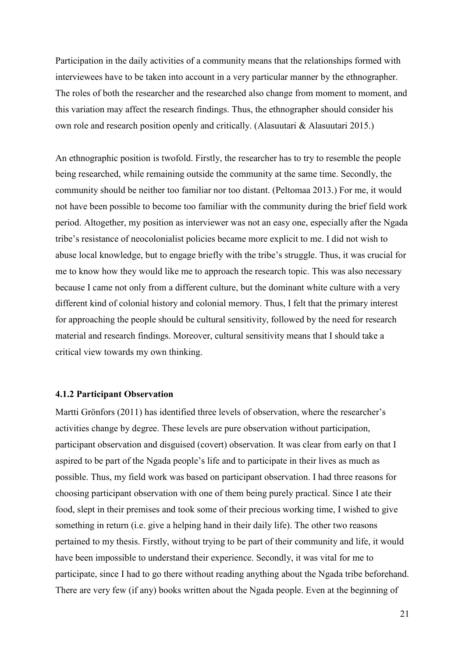Participation in the daily activities of a community means that the relationships formed with interviewees have to be taken into account in a very particular manner by the ethnographer. The roles of both the researcher and the researched also change from moment to moment, and this variation may affect the research findings. Thus, the ethnographer should consider his own role and research position openly and critically. (Alasuutari & Alasuutari 2015.)

An ethnographic position is twofold. Firstly, the researcher has to try to resemble the people being researched, while remaining outside the community at the same time. Secondly, the community should be neither too familiar nor too distant. (Peltomaa 2013.) For me, it would not have been possible to become too familiar with the community during the brief field work period. Altogether, my position as interviewer was not an easy one, especially after the Ngada tribe's resistance of neocolonialist policies became more explicit to me. I did not wish to abuse local knowledge, but to engage briefly with the tribe's struggle. Thus, it was crucial for me to know how they would like me to approach the research topic. This was also necessary because I came not only from a different culture, but the dominant white culture with a very different kind of colonial history and colonial memory. Thus, I felt that the primary interest for approaching the people should be cultural sensitivity, followed by the need for research material and research findings. Moreover, cultural sensitivity means that I should take a critical view towards my own thinking.

# <span id="page-23-0"></span>**4.1.2 Participant Observation**

Martti Grönfors (2011) has identified three levels of observation, where the researcher's activities change by degree. These levels are pure observation without participation, participant observation and disguised (covert) observation. It was clear from early on that I aspired to be part of the Ngada people's life and to participate in their lives as much as possible. Thus, my field work was based on participant observation. I had three reasons for choosing participant observation with one of them being purely practical. Since I ate their food, slept in their premises and took some of their precious working time, I wished to give something in return (i.e. give a helping hand in their daily life). The other two reasons pertained to my thesis. Firstly, without trying to be part of their community and life, it would have been impossible to understand their experience. Secondly, it was vital for me to participate, since I had to go there without reading anything about the Ngada tribe beforehand. There are very few (if any) books written about the Ngada people. Even at the beginning of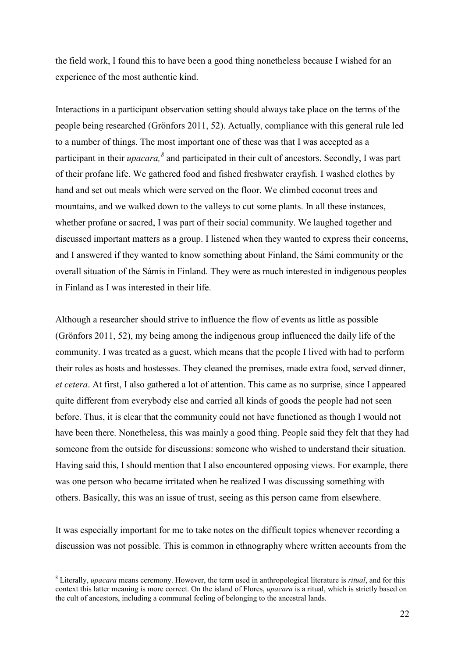the field work, I found this to have been a good thing nonetheless because I wished for an experience of the most authentic kind.

Interactions in a participant observation setting should always take place on the terms of the people being researched (Grönfors 2011, 52). Actually, compliance with this general rule led to a number of things. The most important one of these was that I was accepted as a participant in their *upacara*, <sup>[8](#page-24-0)</sup> and participated in their cult of ancestors. Secondly, I was part of their profane life. We gathered food and fished freshwater crayfish. I washed clothes by hand and set out meals which were served on the floor. We climbed coconut trees and mountains, and we walked down to the valleys to cut some plants. In all these instances, whether profane or sacred, I was part of their social community. We laughed together and discussed important matters as a group. I listened when they wanted to express their concerns, and I answered if they wanted to know something about Finland, the Sámi community or the overall situation of the Sámis in Finland. They were as much interested in indigenous peoples in Finland as I was interested in their life.

Although a researcher should strive to influence the flow of events as little as possible (Grönfors 2011, 52), my being among the indigenous group influenced the daily life of the community. I was treated as a guest, which means that the people I lived with had to perform their roles as hosts and hostesses. They cleaned the premises, made extra food, served dinner, *et cetera*. At first, I also gathered a lot of attention. This came as no surprise, since I appeared quite different from everybody else and carried all kinds of goods the people had not seen before. Thus, it is clear that the community could not have functioned as though I would not have been there. Nonetheless, this was mainly a good thing. People said they felt that they had someone from the outside for discussions: someone who wished to understand their situation. Having said this, I should mention that I also encountered opposing views. For example, there was one person who became irritated when he realized I was discussing something with others. Basically, this was an issue of trust, seeing as this person came from elsewhere.

It was especially important for me to take notes on the difficult topics whenever recording a discussion was not possible. This is common in ethnography where written accounts from the

-

<span id="page-24-0"></span><sup>8</sup> Literally, *upacara* means ceremony. However, the term used in anthropological literature is *ritual*, and for this context this latter meaning is more correct. On the island of Flores, *upacara* is a ritual, which is strictly based on the cult of ancestors, including a communal feeling of belonging to the ancestral lands.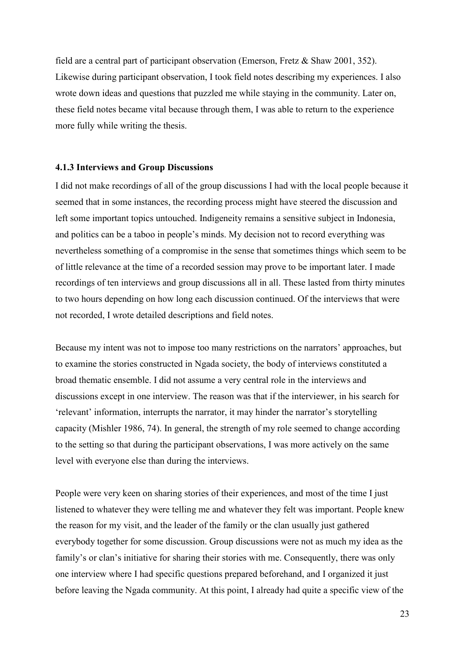field are a central part of participant observation (Emerson, Fretz & Shaw 2001, 352). Likewise during participant observation, I took field notes describing my experiences. I also wrote down ideas and questions that puzzled me while staying in the community. Later on, these field notes became vital because through them, I was able to return to the experience more fully while writing the thesis.

# <span id="page-25-0"></span>**4.1.3 Interviews and Group Discussions**

I did not make recordings of all of the group discussions I had with the local people because it seemed that in some instances, the recording process might have steered the discussion and left some important topics untouched. Indigeneity remains a sensitive subject in Indonesia, and politics can be a taboo in people's minds. My decision not to record everything was nevertheless something of a compromise in the sense that sometimes things which seem to be of little relevance at the time of a recorded session may prove to be important later. I made recordings of ten interviews and group discussions all in all. These lasted from thirty minutes to two hours depending on how long each discussion continued. Of the interviews that were not recorded, I wrote detailed descriptions and field notes.

Because my intent was not to impose too many restrictions on the narrators' approaches, but to examine the stories constructed in Ngada society, the body of interviews constituted a broad thematic ensemble. I did not assume a very central role in the interviews and discussions except in one interview. The reason was that if the interviewer, in his search for 'relevant' information, interrupts the narrator, it may hinder the narrator's storytelling capacity (Mishler 1986, 74). In general, the strength of my role seemed to change according to the setting so that during the participant observations, I was more actively on the same level with everyone else than during the interviews.

People were very keen on sharing stories of their experiences, and most of the time I just listened to whatever they were telling me and whatever they felt was important. People knew the reason for my visit, and the leader of the family or the clan usually just gathered everybody together for some discussion. Group discussions were not as much my idea as the family's or clan's initiative for sharing their stories with me. Consequently, there was only one interview where I had specific questions prepared beforehand, and I organized it just before leaving the Ngada community. At this point, I already had quite a specific view of the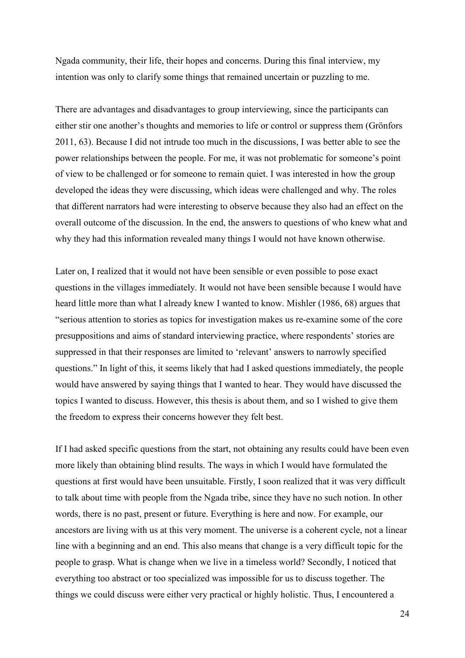Ngada community, their life, their hopes and concerns. During this final interview, my intention was only to clarify some things that remained uncertain or puzzling to me.

There are advantages and disadvantages to group interviewing, since the participants can either stir one another's thoughts and memories to life or control or suppress them (Grönfors 2011, 63). Because I did not intrude too much in the discussions, I was better able to see the power relationships between the people. For me, it was not problematic for someone's point of view to be challenged or for someone to remain quiet. I was interested in how the group developed the ideas they were discussing, which ideas were challenged and why. The roles that different narrators had were interesting to observe because they also had an effect on the overall outcome of the discussion. In the end, the answers to questions of who knew what and why they had this information revealed many things I would not have known otherwise.

Later on, I realized that it would not have been sensible or even possible to pose exact questions in the villages immediately. It would not have been sensible because I would have heard little more than what I already knew I wanted to know. Mishler (1986, 68) argues that "serious attention to stories as topics for investigation makes us re-examine some of the core presuppositions and aims of standard interviewing practice, where respondents' stories are suppressed in that their responses are limited to 'relevant' answers to narrowly specified questions." In light of this, it seems likely that had I asked questions immediately, the people would have answered by saying things that I wanted to hear. They would have discussed the topics I wanted to discuss. However, this thesis is about them, and so I wished to give them the freedom to express their concerns however they felt best.

If I had asked specific questions from the start, not obtaining any results could have been even more likely than obtaining blind results. The ways in which I would have formulated the questions at first would have been unsuitable. Firstly, I soon realized that it was very difficult to talk about time with people from the Ngada tribe, since they have no such notion. In other words, there is no past, present or future. Everything is here and now. For example, our ancestors are living with us at this very moment. The universe is a coherent cycle, not a linear line with a beginning and an end. This also means that change is a very difficult topic for the people to grasp. What is change when we live in a timeless world? Secondly, I noticed that everything too abstract or too specialized was impossible for us to discuss together. The things we could discuss were either very practical or highly holistic. Thus, I encountered a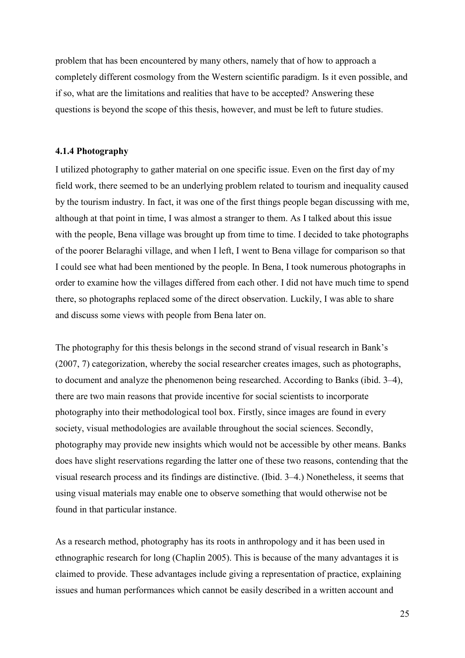problem that has been encountered by many others, namely that of how to approach a completely different cosmology from the Western scientific paradigm. Is it even possible, and if so, what are the limitations and realities that have to be accepted? Answering these questions is beyond the scope of this thesis, however, and must be left to future studies.

# <span id="page-27-0"></span>**4.1.4 Photography**

I utilized photography to gather material on one specific issue. Even on the first day of my field work, there seemed to be an underlying problem related to tourism and inequality caused by the tourism industry. In fact, it was one of the first things people began discussing with me, although at that point in time, I was almost a stranger to them. As I talked about this issue with the people, Bena village was brought up from time to time. I decided to take photographs of the poorer Belaraghi village, and when I left, I went to Bena village for comparison so that I could see what had been mentioned by the people. In Bena, I took numerous photographs in order to examine how the villages differed from each other. I did not have much time to spend there, so photographs replaced some of the direct observation. Luckily, I was able to share and discuss some views with people from Bena later on.

The photography for this thesis belongs in the second strand of visual research in Bank's (2007, 7) categorization, whereby the social researcher creates images, such as photographs, to document and analyze the phenomenon being researched. According to Banks (ibid. 3–4), there are two main reasons that provide incentive for social scientists to incorporate photography into their methodological tool box. Firstly, since images are found in every society, visual methodologies are available throughout the social sciences. Secondly, photography may provide new insights which would not be accessible by other means. Banks does have slight reservations regarding the latter one of these two reasons, contending that the visual research process and its findings are distinctive. (Ibid. 3–4.) Nonetheless, it seems that using visual materials may enable one to observe something that would otherwise not be found in that particular instance.

As a research method, photography has its roots in anthropology and it has been used in ethnographic research for long (Chaplin 2005). This is because of the many advantages it is claimed to provide. These advantages include giving a representation of practice, explaining issues and human performances which cannot be easily described in a written account and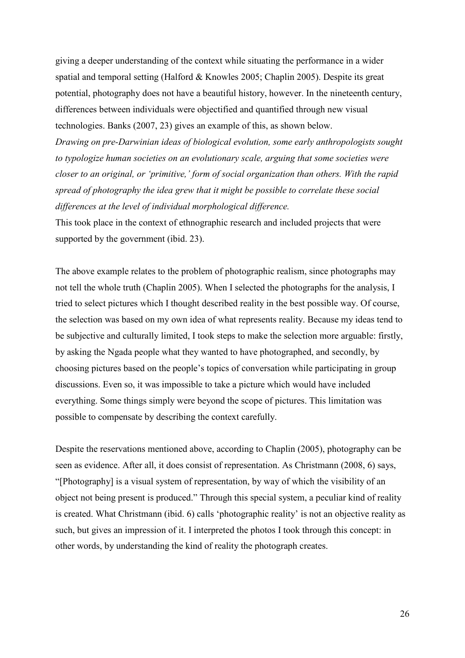giving a deeper understanding of the context while situating the performance in a wider spatial and temporal setting (Halford & Knowles 2005; Chaplin 2005). Despite its great potential, photography does not have a beautiful history, however. In the nineteenth century, differences between individuals were objectified and quantified through new visual technologies. Banks (2007, 23) gives an example of this, as shown below. *Drawing on pre-Darwinian ideas of biological evolution, some early anthropologists sought to typologize human societies on an evolutionary scale, arguing that some societies were closer to an original, or 'primitive,' form of social organization than others. With the rapid spread of photography the idea grew that it might be possible to correlate these social differences at the level of individual morphological difference.*

This took place in the context of ethnographic research and included projects that were supported by the government (ibid. 23).

The above example relates to the problem of photographic realism, since photographs may not tell the whole truth (Chaplin 2005). When I selected the photographs for the analysis, I tried to select pictures which I thought described reality in the best possible way. Of course, the selection was based on my own idea of what represents reality. Because my ideas tend to be subjective and culturally limited, I took steps to make the selection more arguable: firstly, by asking the Ngada people what they wanted to have photographed, and secondly, by choosing pictures based on the people's topics of conversation while participating in group discussions. Even so, it was impossible to take a picture which would have included everything. Some things simply were beyond the scope of pictures. This limitation was possible to compensate by describing the context carefully.

Despite the reservations mentioned above, according to Chaplin (2005), photography can be seen as evidence. After all, it does consist of representation. As Christmann (2008, 6) says, "[Photography] is a visual system of representation, by way of which the visibility of an object not being present is produced." Through this special system, a peculiar kind of reality is created. What Christmann (ibid. 6) calls 'photographic reality' is not an objective reality as such, but gives an impression of it. I interpreted the photos I took through this concept: in other words, by understanding the kind of reality the photograph creates.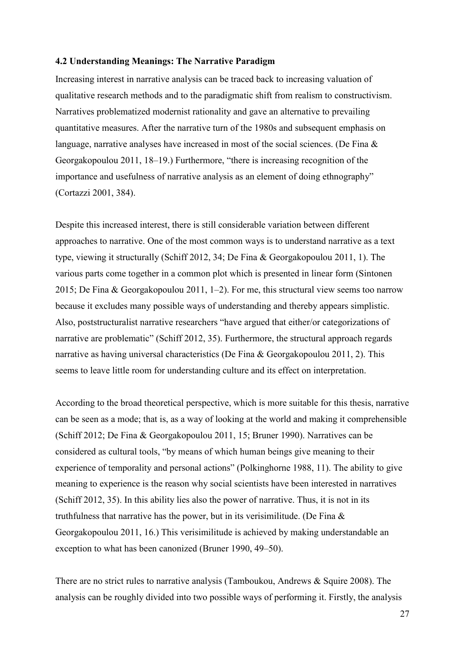### <span id="page-29-0"></span>**4.2 Understanding Meanings: The Narrative Paradigm**

Increasing interest in narrative analysis can be traced back to increasing valuation of qualitative research methods and to the paradigmatic shift from realism to constructivism. Narratives problematized modernist rationality and gave an alternative to prevailing quantitative measures. After the narrative turn of the 1980s and subsequent emphasis on language, narrative analyses have increased in most of the social sciences. (De Fina & Georgakopoulou 2011, 18–19.) Furthermore, "there is increasing recognition of the importance and usefulness of narrative analysis as an element of doing ethnography" (Cortazzi 2001, 384).

Despite this increased interest, there is still considerable variation between different approaches to narrative. One of the most common ways is to understand narrative as a text type, viewing it structurally (Schiff 2012, 34; De Fina & Georgakopoulou 2011, 1). The various parts come together in a common plot which is presented in linear form (Sintonen 2015; De Fina & Georgakopoulou 2011, 1–2). For me, this structural view seems too narrow because it excludes many possible ways of understanding and thereby appears simplistic. Also, poststructuralist narrative researchers "have argued that either/or categorizations of narrative are problematic" (Schiff 2012, 35). Furthermore, the structural approach regards narrative as having universal characteristics (De Fina & Georgakopoulou 2011, 2). This seems to leave little room for understanding culture and its effect on interpretation.

According to the broad theoretical perspective, which is more suitable for this thesis, narrative can be seen as a mode; that is, as a way of looking at the world and making it comprehensible (Schiff 2012; De Fina & Georgakopoulou 2011, 15; Bruner 1990). Narratives can be considered as cultural tools, "by means of which human beings give meaning to their experience of temporality and personal actions" (Polkinghorne 1988, 11). The ability to give meaning to experience is the reason why social scientists have been interested in narratives (Schiff 2012, 35). In this ability lies also the power of narrative. Thus, it is not in its truthfulness that narrative has the power, but in its verisimilitude. (De Fina  $\&$ Georgakopoulou 2011, 16.) This verisimilitude is achieved by making understandable an exception to what has been canonized (Bruner 1990, 49–50).

There are no strict rules to narrative analysis (Tamboukou, Andrews & Squire 2008). The analysis can be roughly divided into two possible ways of performing it. Firstly, the analysis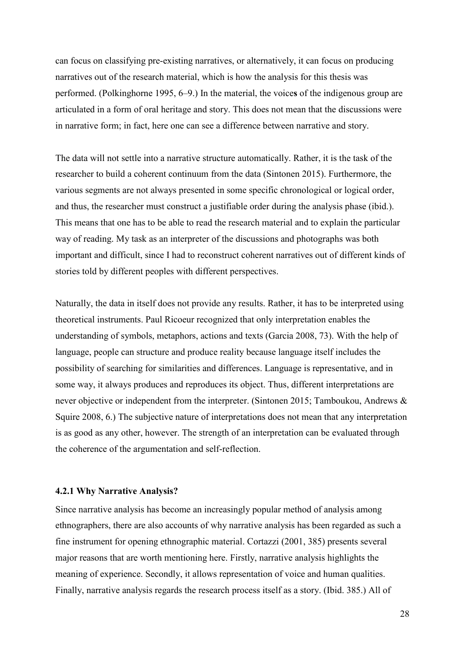can focus on classifying pre-existing narratives, or alternatively, it can focus on producing narratives out of the research material, which is how the analysis for this thesis was performed. (Polkinghorne 1995, 6–9.) In the material, the voice**s** of the indigenous group are articulated in a form of oral heritage and story. This does not mean that the discussions were in narrative form; in fact, here one can see a difference between narrative and story.

The data will not settle into a narrative structure automatically. Rather, it is the task of the researcher to build a coherent continuum from the data (Sintonen 2015). Furthermore, the various segments are not always presented in some specific chronological or logical order, and thus, the researcher must construct a justifiable order during the analysis phase (ibid.). This means that one has to be able to read the research material and to explain the particular way of reading. My task as an interpreter of the discussions and photographs was both important and difficult, since I had to reconstruct coherent narratives out of different kinds of stories told by different peoples with different perspectives.

Naturally, the data in itself does not provide any results. Rather, it has to be interpreted using theoretical instruments. Paul Ricoeur recognized that only interpretation enables the understanding of symbols, metaphors, actions and texts (Garcia 2008, 73). With the help of language, people can structure and produce reality because language itself includes the possibility of searching for similarities and differences. Language is representative, and in some way, it always produces and reproduces its object. Thus, different interpretations are never objective or independent from the interpreter. (Sintonen 2015; Tamboukou, Andrews & Squire 2008, 6.) The subjective nature of interpretations does not mean that any interpretation is as good as any other, however. The strength of an interpretation can be evaluated through the coherence of the argumentation and self-reflection.

# <span id="page-30-0"></span>**4.2.1 Why Narrative Analysis?**

Since narrative analysis has become an increasingly popular method of analysis among ethnographers, there are also accounts of why narrative analysis has been regarded as such a fine instrument for opening ethnographic material. Cortazzi (2001, 385) presents several major reasons that are worth mentioning here. Firstly, narrative analysis highlights the meaning of experience. Secondly, it allows representation of voice and human qualities. Finally, narrative analysis regards the research process itself as a story. (Ibid. 385.) All of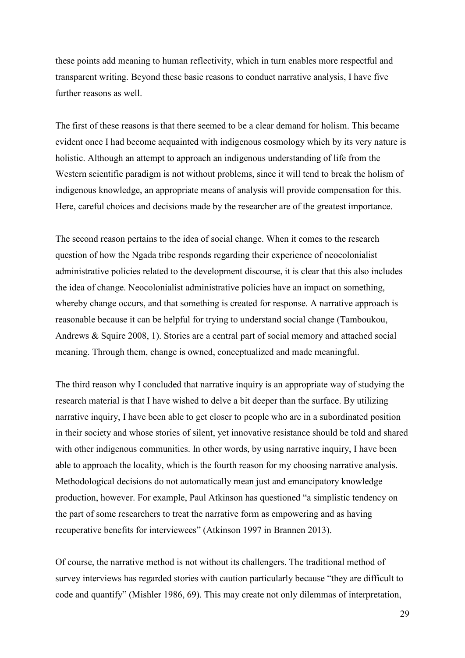these points add meaning to human reflectivity, which in turn enables more respectful and transparent writing. Beyond these basic reasons to conduct narrative analysis, I have five further reasons as well.

The first of these reasons is that there seemed to be a clear demand for holism. This became evident once I had become acquainted with indigenous cosmology which by its very nature is holistic. Although an attempt to approach an indigenous understanding of life from the Western scientific paradigm is not without problems, since it will tend to break the holism of indigenous knowledge, an appropriate means of analysis will provide compensation for this. Here, careful choices and decisions made by the researcher are of the greatest importance.

The second reason pertains to the idea of social change. When it comes to the research question of how the Ngada tribe responds regarding their experience of neocolonialist administrative policies related to the development discourse, it is clear that this also includes the idea of change. Neocolonialist administrative policies have an impact on something, whereby change occurs, and that something is created for response. A narrative approach is reasonable because it can be helpful for trying to understand social change (Tamboukou, Andrews & Squire 2008, 1). Stories are a central part of social memory and attached social meaning. Through them, change is owned, conceptualized and made meaningful.

The third reason why I concluded that narrative inquiry is an appropriate way of studying the research material is that I have wished to delve a bit deeper than the surface. By utilizing narrative inquiry, I have been able to get closer to people who are in a subordinated position in their society and whose stories of silent, yet innovative resistance should be told and shared with other indigenous communities. In other words, by using narrative inquiry, I have been able to approach the locality, which is the fourth reason for my choosing narrative analysis. Methodological decisions do not automatically mean just and emancipatory knowledge production, however. For example, Paul Atkinson has questioned "a simplistic tendency on the part of some researchers to treat the narrative form as empowering and as having recuperative benefits for interviewees" (Atkinson 1997 in Brannen 2013).

Of course, the narrative method is not without its challengers. The traditional method of survey interviews has regarded stories with caution particularly because "they are difficult to code and quantify" (Mishler 1986, 69). This may create not only dilemmas of interpretation,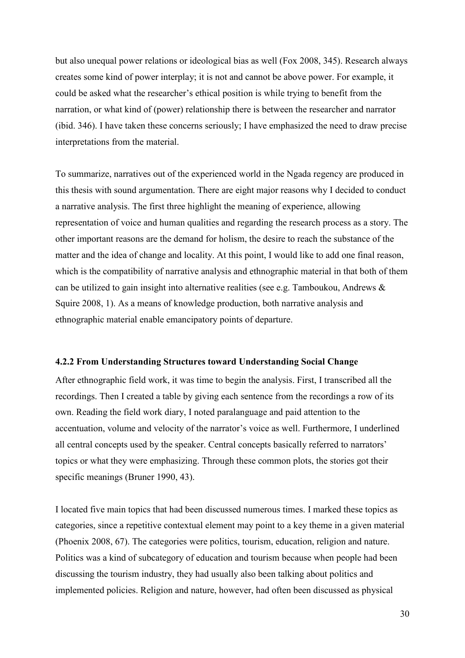but also unequal power relations or ideological bias as well (Fox 2008, 345). Research always creates some kind of power interplay; it is not and cannot be above power. For example, it could be asked what the researcher's ethical position is while trying to benefit from the narration, or what kind of (power) relationship there is between the researcher and narrator (ibid. 346). I have taken these concerns seriously; I have emphasized the need to draw precise interpretations from the material.

To summarize, narratives out of the experienced world in the Ngada regency are produced in this thesis with sound argumentation. There are eight major reasons why I decided to conduct a narrative analysis. The first three highlight the meaning of experience, allowing representation of voice and human qualities and regarding the research process as a story. The other important reasons are the demand for holism, the desire to reach the substance of the matter and the idea of change and locality. At this point, I would like to add one final reason, which is the compatibility of narrative analysis and ethnographic material in that both of them can be utilized to gain insight into alternative realities (see e.g. Tamboukou, Andrews & Squire 2008, 1). As a means of knowledge production, both narrative analysis and ethnographic material enable emancipatory points of departure.

#### <span id="page-32-0"></span>**4.2.2 From Understanding Structures toward Understanding Social Change**

After ethnographic field work, it was time to begin the analysis. First, I transcribed all the recordings. Then I created a table by giving each sentence from the recordings a row of its own. Reading the field work diary, I noted paralanguage and paid attention to the accentuation, volume and velocity of the narrator's voice as well. Furthermore, I underlined all central concepts used by the speaker. Central concepts basically referred to narrators' topics or what they were emphasizing. Through these common plots, the stories got their specific meanings (Bruner 1990, 43).

I located five main topics that had been discussed numerous times. I marked these topics as categories, since a repetitive contextual element may point to a key theme in a given material (Phoenix 2008, 67). The categories were politics, tourism, education, religion and nature. Politics was a kind of subcategory of education and tourism because when people had been discussing the tourism industry, they had usually also been talking about politics and implemented policies. Religion and nature, however, had often been discussed as physical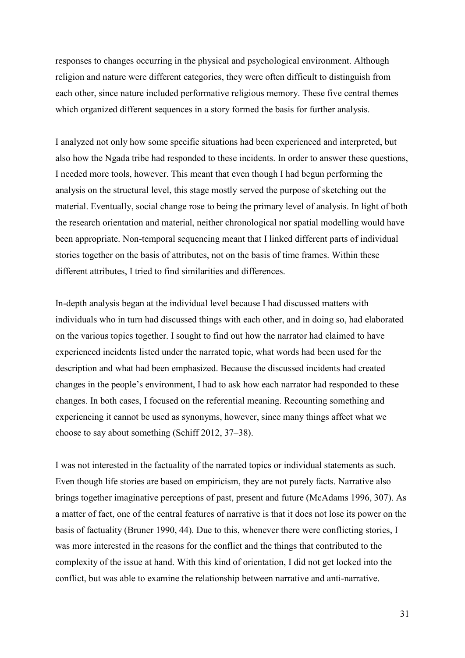responses to changes occurring in the physical and psychological environment. Although religion and nature were different categories, they were often difficult to distinguish from each other, since nature included performative religious memory. These five central themes which organized different sequences in a story formed the basis for further analysis.

I analyzed not only how some specific situations had been experienced and interpreted, but also how the Ngada tribe had responded to these incidents. In order to answer these questions, I needed more tools, however. This meant that even though I had begun performing the analysis on the structural level, this stage mostly served the purpose of sketching out the material. Eventually, social change rose to being the primary level of analysis. In light of both the research orientation and material, neither chronological nor spatial modelling would have been appropriate. Non-temporal sequencing meant that I linked different parts of individual stories together on the basis of attributes, not on the basis of time frames. Within these different attributes, I tried to find similarities and differences.

In-depth analysis began at the individual level because I had discussed matters with individuals who in turn had discussed things with each other, and in doing so, had elaborated on the various topics together. I sought to find out how the narrator had claimed to have experienced incidents listed under the narrated topic, what words had been used for the description and what had been emphasized. Because the discussed incidents had created changes in the people's environment, I had to ask how each narrator had responded to these changes. In both cases, I focused on the referential meaning. Recounting something and experiencing it cannot be used as synonyms, however, since many things affect what we choose to say about something (Schiff 2012, 37–38).

I was not interested in the factuality of the narrated topics or individual statements as such. Even though life stories are based on empiricism, they are not purely facts. Narrative also brings together imaginative perceptions of past, present and future (McAdams 1996, 307). As a matter of fact, one of the central features of narrative is that it does not lose its power on the basis of factuality (Bruner 1990, 44). Due to this, whenever there were conflicting stories, I was more interested in the reasons for the conflict and the things that contributed to the complexity of the issue at hand. With this kind of orientation, I did not get locked into the conflict, but was able to examine the relationship between narrative and anti-narrative.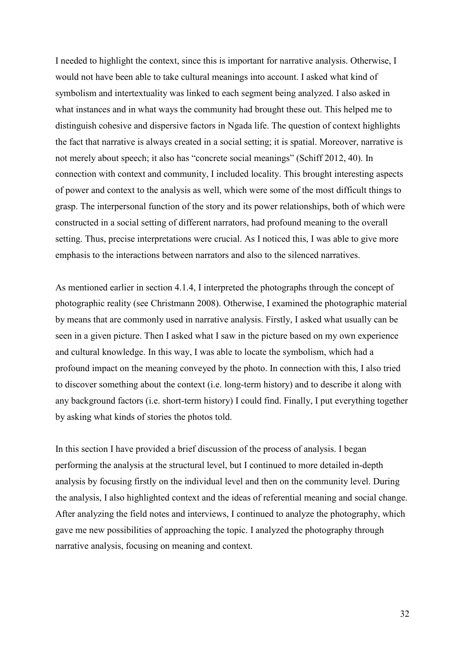I needed to highlight the context, since this is important for narrative analysis. Otherwise, I would not have been able to take cultural meanings into account. I asked what kind of symbolism and intertextuality was linked to each segment being analyzed. I also asked in what instances and in what ways the community had brought these out. This helped me to distinguish cohesive and dispersive factors in Ngada life. The question of context highlights the fact that narrative is always created in a social setting; it is spatial. Moreover, narrative is not merely about speech; it also has "concrete social meanings" (Schiff 2012, 40). In connection with context and community, I included locality. This brought interesting aspects of power and context to the analysis as well, which were some of the most difficult things to grasp. The interpersonal function of the story and its power relationships, both of which were constructed in a social setting of different narrators, had profound meaning to the overall setting. Thus, precise interpretations were crucial. As I noticed this, I was able to give more emphasis to the interactions between narrators and also to the silenced narratives.

As mentioned earlier in section 4.1.4, I interpreted the photographs through the concept of photographic reality (see Christmann 2008). Otherwise, I examined the photographic material by means that are commonly used in narrative analysis. Firstly, I asked what usually can be seen in a given picture. Then I asked what I saw in the picture based on my own experience and cultural knowledge. In this way, I was able to locate the symbolism, which had a profound impact on the meaning conveyed by the photo. In connection with this, I also tried to discover something about the context (i.e. long-term history) and to describe it along with any background factors (i.e. short-term history) I could find. Finally, I put everything together by asking what kinds of stories the photos told.

In this section I have provided a brief discussion of the process of analysis. I began performing the analysis at the structural level, but I continued to more detailed in-depth analysis by focusing firstly on the individual level and then on the community level. During the analysis, I also highlighted context and the ideas of referential meaning and social change. After analyzing the field notes and interviews, I continued to analyze the photography, which gave me new possibilities of approaching the topic. I analyzed the photography through narrative analysis, focusing on meaning and context.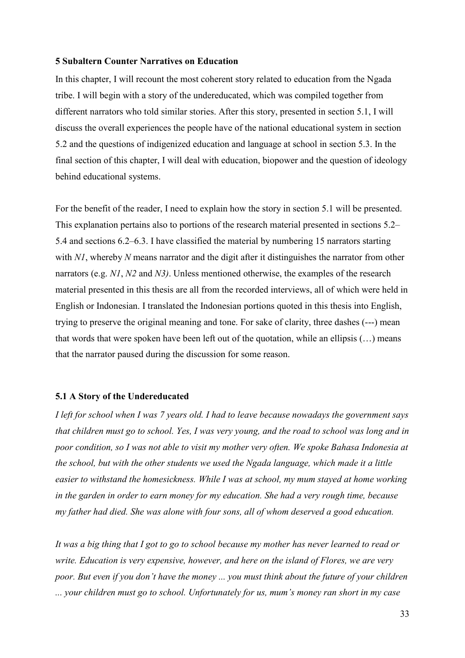### <span id="page-35-0"></span>**5 Subaltern Counter Narratives on Education**

In this chapter, I will recount the most coherent story related to education from the Ngada tribe. I will begin with a story of the undereducated, which was compiled together from different narrators who told similar stories. After this story, presented in section 5.1, I will discuss the overall experiences the people have of the national educational system in section 5.2 and the questions of indigenized education and language at school in section 5.3. In the final section of this chapter, I will deal with education, biopower and the question of ideology behind educational systems.

For the benefit of the reader, I need to explain how the story in section 5.1 will be presented. This explanation pertains also to portions of the research material presented in sections 5.2– 5.4 and sections 6.2–6.3. I have classified the material by numbering 15 narrators starting with *N1*, whereby *N* means narrator and the digit after it distinguishes the narrator from other narrators (e.g. *N1*, *N2* and *N3)*. Unless mentioned otherwise, the examples of the research material presented in this thesis are all from the recorded interviews, all of which were held in English or Indonesian. I translated the Indonesian portions quoted in this thesis into English, trying to preserve the original meaning and tone. For sake of clarity, three dashes (---) mean that words that were spoken have been left out of the quotation, while an ellipsis  $(\ldots)$  means that the narrator paused during the discussion for some reason.

## <span id="page-35-1"></span>**5.1 A Story of the Undereducated**

*I left for school when I was 7 years old. I had to leave because nowadays the government says that children must go to school. Yes, I was very young, and the road to school was long and in poor condition, so I was not able to visit my mother very often. We spoke Bahasa Indonesia at the school, but with the other students we used the Ngada language, which made it a little easier to withstand the homesickness. While I was at school, my mum stayed at home working in the garden in order to earn money for my education. She had a very rough time, because my father had died. She was alone with four sons, all of whom deserved a good education.* 

*It was a big thing that I got to go to school because my mother has never learned to read or write. Education is very expensive, however, and here on the island of Flores, we are very poor. But even if you don't have the money ... you must think about the future of your children ... your children must go to school. Unfortunately for us, mum's money ran short in my case*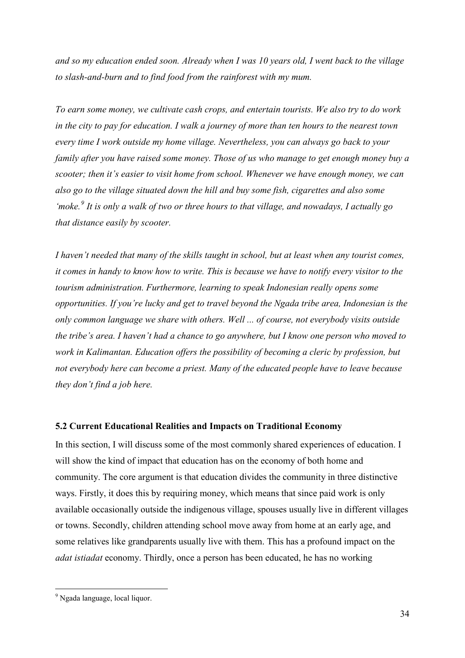*and so my education ended soon. Already when I was 10 years old, I went back to the village to slash-and-burn and to find food from the rainforest with my mum.* 

*To earn some money, we cultivate cash crops, and entertain tourists. We also try to do work in the city to pay for education. I walk a journey of more than ten hours to the nearest town every time I work outside my home village. Nevertheless, you can always go back to your family after you have raised some money. Those of us who manage to get enough money buy a scooter; then it's easier to visit home from school. Whenever we have enough money, we can also go to the village situated down the hill and buy some fish, cigarettes and also some 'moke.[9](#page-36-0) It is only a walk of two or three hours to that village, and nowadays, I actually go that distance easily by scooter.* 

*I haven't needed that many of the skills taught in school, but at least when any tourist comes, it comes in handy to know how to write. This is because we have to notify every visitor to the tourism administration. Furthermore, learning to speak Indonesian really opens some opportunities. If you're lucky and get to travel beyond the Ngada tribe area, Indonesian is the only common language we share with others. Well ... of course, not everybody visits outside the tribe's area. I haven't had a chance to go anywhere, but I know one person who moved to work in Kalimantan. Education offers the possibility of becoming a cleric by profession, but not everybody here can become a priest. Many of the educated people have to leave because they don't find a job here.* 

#### **5.2 Current Educational Realities and Impacts on Traditional Economy**

In this section, I will discuss some of the most commonly shared experiences of education. I will show the kind of impact that education has on the economy of both home and community. The core argument is that education divides the community in three distinctive ways. Firstly, it does this by requiring money, which means that since paid work is only available occasionally outside the indigenous village, spouses usually live in different villages or towns. Secondly, children attending school move away from home at an early age, and some relatives like grandparents usually live with them. This has a profound impact on the *adat istiadat* economy. Thirdly, once a person has been educated, he has no working

<u>.</u>

<span id="page-36-0"></span><sup>9</sup> Ngada language, local liquor.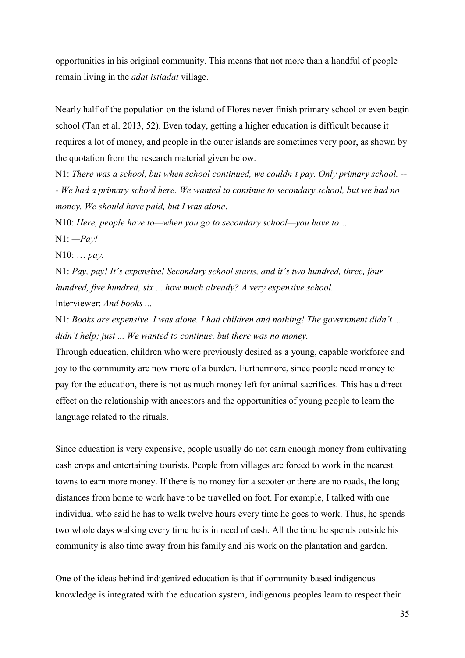opportunities in his original community. This means that not more than a handful of people remain living in the *adat istiadat* village.

Nearly half of the population on the island of Flores never finish primary school or even begin school (Tan et al. 2013, 52). Even today, getting a higher education is difficult because it requires a lot of money, and people in the outer islands are sometimes very poor, as shown by the quotation from the research material given below.

N1: *There was a school, but when school continued, we couldn't pay. Only primary school. -- - We had a primary school here. We wanted to continue to secondary school, but we had no money. We should have paid, but I was alone*.

N10: *Here, people have to—when you go to secondary school—you have to …* 

N1: *—Pay!*

N10: … *pay.*

N1: *Pay, pay! It's expensive! Secondary school starts, and it's two hundred, three, four hundred, five hundred, six ... how much already? A very expensive school.* Interviewer: *And books ...*

N1: *Books are expensive. I was alone. I had children and nothing! The government didn't ... didn't help; just ... We wanted to continue, but there was no money.* 

Through education, children who were previously desired as a young, capable workforce and joy to the community are now more of a burden. Furthermore, since people need money to pay for the education, there is not as much money left for animal sacrifices. This has a direct effect on the relationship with ancestors and the opportunities of young people to learn the language related to the rituals.

Since education is very expensive, people usually do not earn enough money from cultivating cash crops and entertaining tourists. People from villages are forced to work in the nearest towns to earn more money. If there is no money for a scooter or there are no roads, the long distances from home to work have to be travelled on foot. For example, I talked with one individual who said he has to walk twelve hours every time he goes to work. Thus, he spends two whole days walking every time he is in need of cash. All the time he spends outside his community is also time away from his family and his work on the plantation and garden.

One of the ideas behind indigenized education is that if community-based indigenous knowledge is integrated with the education system, indigenous peoples learn to respect their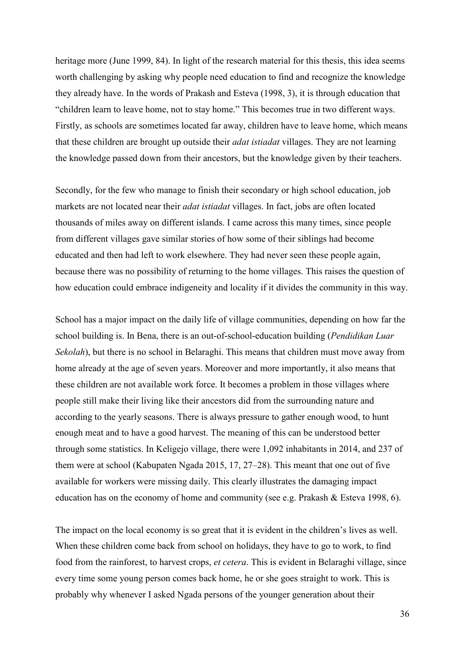heritage more (June 1999, 84). In light of the research material for this thesis, this idea seems worth challenging by asking why people need education to find and recognize the knowledge they already have. In the words of Prakash and Esteva (1998, 3), it is through education that "children learn to leave home, not to stay home." This becomes true in two different ways. Firstly, as schools are sometimes located far away, children have to leave home, which means that these children are brought up outside their *adat istiadat* villages. They are not learning the knowledge passed down from their ancestors, but the knowledge given by their teachers.

Secondly, for the few who manage to finish their secondary or high school education, job markets are not located near their *adat istiadat* villages. In fact, jobs are often located thousands of miles away on different islands. I came across this many times, since people from different villages gave similar stories of how some of their siblings had become educated and then had left to work elsewhere. They had never seen these people again, because there was no possibility of returning to the home villages. This raises the question of how education could embrace indigeneity and locality if it divides the community in this way.

School has a major impact on the daily life of village communities, depending on how far the school building is. In Bena, there is an out-of-school-education building (*Pendidikan Luar Sekolah*), but there is no school in Belaraghi. This means that children must move away from home already at the age of seven years. Moreover and more importantly, it also means that these children are not available work force. It becomes a problem in those villages where people still make their living like their ancestors did from the surrounding nature and according to the yearly seasons. There is always pressure to gather enough wood, to hunt enough meat and to have a good harvest. The meaning of this can be understood better through some statistics. In Keligejo village, there were 1,092 inhabitants in 2014, and 237 of them were at school (Kabupaten Ngada 2015, 17, 27–28). This meant that one out of five available for workers were missing daily. This clearly illustrates the damaging impact education has on the economy of home and community (see e.g. Prakash & Esteva 1998, 6).

The impact on the local economy is so great that it is evident in the children's lives as well. When these children come back from school on holidays, they have to go to work, to find food from the rainforest, to harvest crops, *et cetera*. This is evident in Belaraghi village, since every time some young person comes back home, he or she goes straight to work. This is probably why whenever I asked Ngada persons of the younger generation about their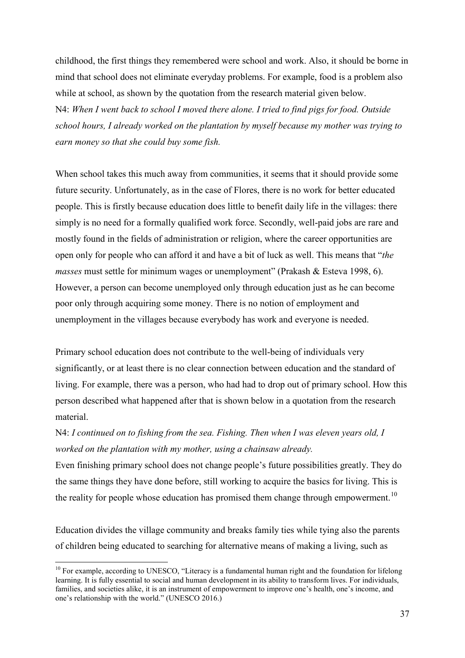childhood, the first things they remembered were school and work. Also, it should be borne in mind that school does not eliminate everyday problems. For example, food is a problem also while at school, as shown by the quotation from the research material given below. N4: *When I went back to school I moved there alone. I tried to find pigs for food. Outside school hours, I already worked on the plantation by myself because my mother was trying to earn money so that she could buy some fish.* 

When school takes this much away from communities, it seems that it should provide some future security. Unfortunately, as in the case of Flores, there is no work for better educated people. This is firstly because education does little to benefit daily life in the villages: there simply is no need for a formally qualified work force. Secondly, well-paid jobs are rare and mostly found in the fields of administration or religion, where the career opportunities are open only for people who can afford it and have a bit of luck as well. This means that "*the masses* must settle for minimum wages or unemployment" (Prakash & Esteva 1998, 6). However, a person can become unemployed only through education just as he can become poor only through acquiring some money. There is no notion of employment and unemployment in the villages because everybody has work and everyone is needed.

Primary school education does not contribute to the well-being of individuals very significantly, or at least there is no clear connection between education and the standard of living. For example, there was a person, who had had to drop out of primary school. How this person described what happened after that is shown below in a quotation from the research material.

N4: *I continued on to fishing from the sea. Fishing. Then when I was eleven years old, I worked on the plantation with my mother, using a chainsaw already.* 

Even finishing primary school does not change people's future possibilities greatly. They do the same things they have done before, still working to acquire the basics for living. This is the reality for people whose education has promised them change through empowerment.<sup>10</sup>

Education divides the village community and breaks family ties while tying also the parents of children being educated to searching for alternative means of making a living, such as

<u>.</u>

<span id="page-39-0"></span><sup>&</sup>lt;sup>10</sup> For example, according to UNESCO, "Literacy is a fundamental human right and the foundation for lifelong learning. It is fully essential to social and human development in its ability to transform lives. For individuals, families, and societies alike, it is an instrument of empowerment to improve one's health, one's income, and one's relationship with the world." (UNESCO 2016.)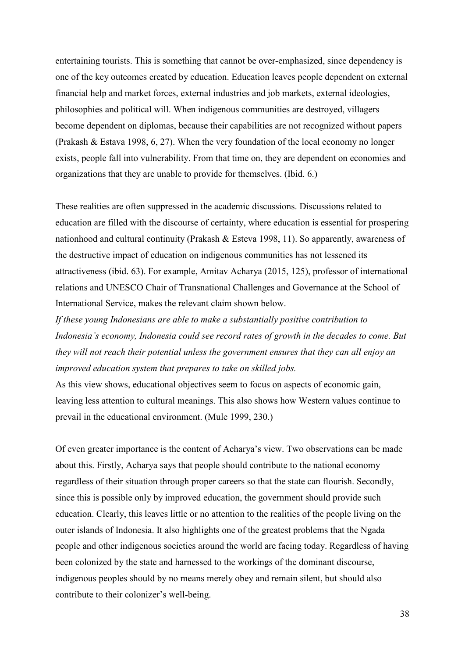entertaining tourists. This is something that cannot be over-emphasized, since dependency is one of the key outcomes created by education. Education leaves people dependent on external financial help and market forces, external industries and job markets, external ideologies, philosophies and political will. When indigenous communities are destroyed, villagers become dependent on diplomas, because their capabilities are not recognized without papers (Prakash & Estava 1998, 6, 27). When the very foundation of the local economy no longer exists, people fall into vulnerability. From that time on, they are dependent on economies and organizations that they are unable to provide for themselves. (Ibid. 6.)

These realities are often suppressed in the academic discussions. Discussions related to education are filled with the discourse of certainty, where education is essential for prospering nationhood and cultural continuity (Prakash & Esteva 1998, 11). So apparently, awareness of the destructive impact of education on indigenous communities has not lessened its attractiveness (ibid. 63). For example, Amitav Acharya (2015, 125), professor of international relations and UNESCO Chair of Transnational Challenges and Governance at the School of International Service, makes the relevant claim shown below.

*If these young Indonesians are able to make a substantially positive contribution to Indonesia's economy, Indonesia could see record rates of growth in the decades to come. But they will not reach their potential unless the government ensures that they can all enjoy an improved education system that prepares to take on skilled jobs.*

As this view shows, educational objectives seem to focus on aspects of economic gain, leaving less attention to cultural meanings. This also shows how Western values continue to prevail in the educational environment. (Mule 1999, 230.)

Of even greater importance is the content of Acharya's view. Two observations can be made about this. Firstly, Acharya says that people should contribute to the national economy regardless of their situation through proper careers so that the state can flourish. Secondly, since this is possible only by improved education, the government should provide such education. Clearly, this leaves little or no attention to the realities of the people living on the outer islands of Indonesia. It also highlights one of the greatest problems that the Ngada people and other indigenous societies around the world are facing today. Regardless of having been colonized by the state and harnessed to the workings of the dominant discourse, indigenous peoples should by no means merely obey and remain silent, but should also contribute to their colonizer's well-being.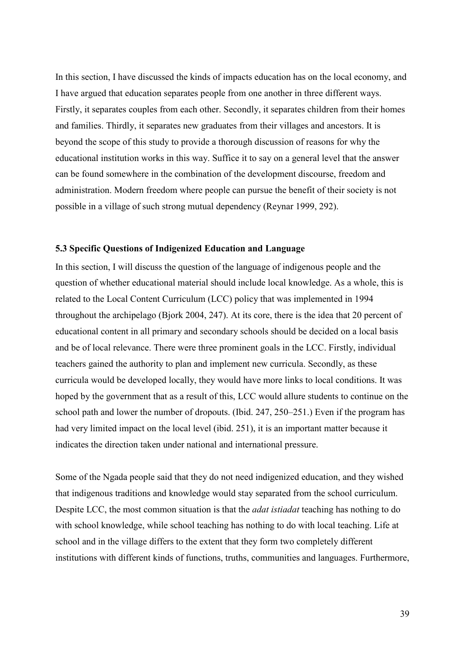In this section, I have discussed the kinds of impacts education has on the local economy, and I have argued that education separates people from one another in three different ways. Firstly, it separates couples from each other. Secondly, it separates children from their homes and families. Thirdly, it separates new graduates from their villages and ancestors. It is beyond the scope of this study to provide a thorough discussion of reasons for why the educational institution works in this way. Suffice it to say on a general level that the answer can be found somewhere in the combination of the development discourse, freedom and administration. Modern freedom where people can pursue the benefit of their society is not possible in a village of such strong mutual dependency (Reynar 1999, 292).

# **5.3 Specific Questions of Indigenized Education and Language**

In this section, I will discuss the question of the language of indigenous people and the question of whether educational material should include local knowledge. As a whole, this is related to the Local Content Curriculum (LCC) policy that was implemented in 1994 throughout the archipelago (Bjork 2004, 247). At its core, there is the idea that 20 percent of educational content in all primary and secondary schools should be decided on a local basis and be of local relevance. There were three prominent goals in the LCC. Firstly, individual teachers gained the authority to plan and implement new curricula. Secondly, as these curricula would be developed locally, they would have more links to local conditions. It was hoped by the government that as a result of this, LCC would allure students to continue on the school path and lower the number of dropouts. (Ibid. 247, 250–251.) Even if the program has had very limited impact on the local level (ibid. 251), it is an important matter because it indicates the direction taken under national and international pressure.

Some of the Ngada people said that they do not need indigenized education, and they wished that indigenous traditions and knowledge would stay separated from the school curriculum. Despite LCC, the most common situation is that the *adat istiadat* teaching has nothing to do with school knowledge, while school teaching has nothing to do with local teaching. Life at school and in the village differs to the extent that they form two completely different institutions with different kinds of functions, truths, communities and languages. Furthermore,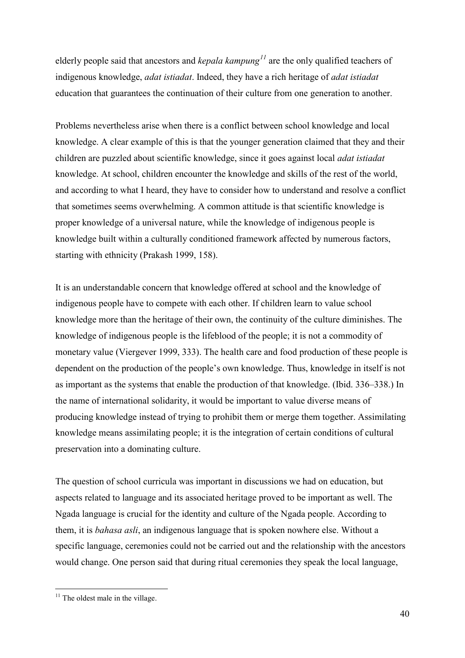elderly people said that ancestors and *kepala kampung[11](#page-42-0)* are the only qualified teachers of indigenous knowledge, *adat istiadat*. Indeed, they have a rich heritage of *adat istiadat* education that guarantees the continuation of their culture from one generation to another.

Problems nevertheless arise when there is a conflict between school knowledge and local knowledge. A clear example of this is that the younger generation claimed that they and their children are puzzled about scientific knowledge, since it goes against local *adat istiadat* knowledge. At school, children encounter the knowledge and skills of the rest of the world, and according to what I heard, they have to consider how to understand and resolve a conflict that sometimes seems overwhelming. A common attitude is that scientific knowledge is proper knowledge of a universal nature, while the knowledge of indigenous people is knowledge built within a culturally conditioned framework affected by numerous factors, starting with ethnicity (Prakash 1999, 158).

It is an understandable concern that knowledge offered at school and the knowledge of indigenous people have to compete with each other. If children learn to value school knowledge more than the heritage of their own, the continuity of the culture diminishes. The knowledge of indigenous people is the lifeblood of the people; it is not a commodity of monetary value (Viergever 1999, 333). The health care and food production of these people is dependent on the production of the people's own knowledge. Thus, knowledge in itself is not as important as the systems that enable the production of that knowledge. (Ibid. 336–338.) In the name of international solidarity, it would be important to value diverse means of producing knowledge instead of trying to prohibit them or merge them together. Assimilating knowledge means assimilating people; it is the integration of certain conditions of cultural preservation into a dominating culture.

The question of school curricula was important in discussions we had on education, but aspects related to language and its associated heritage proved to be important as well. The Ngada language is crucial for the identity and culture of the Ngada people. According to them, it is *bahasa asli*, an indigenous language that is spoken nowhere else. Without a specific language, ceremonies could not be carried out and the relationship with the ancestors would change. One person said that during ritual ceremonies they speak the local language,

<u>.</u>

<span id="page-42-0"></span> $11$  The oldest male in the village.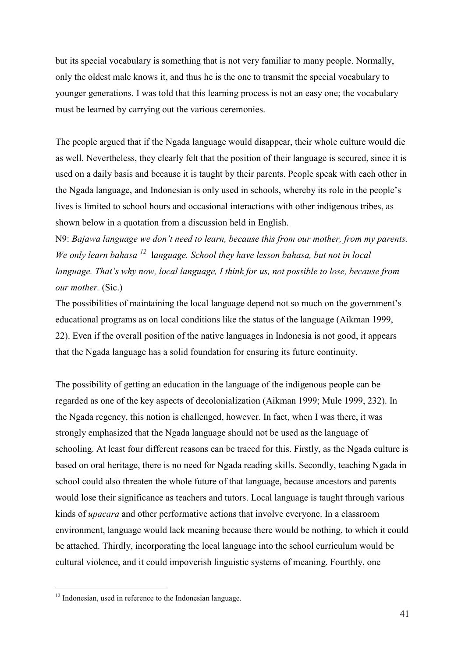but its special vocabulary is something that is not very familiar to many people. Normally, only the oldest male knows it, and thus he is the one to transmit the special vocabulary to younger generations. I was told that this learning process is not an easy one; the vocabulary must be learned by carrying out the various ceremonies.

The people argued that if the Ngada language would disappear, their whole culture would die as well. Nevertheless, they clearly felt that the position of their language is secured, since it is used on a daily basis and because it is taught by their parents. People speak with each other in the Ngada language, and Indonesian is only used in schools, whereby its role in the people's lives is limited to school hours and occasional interactions with other indigenous tribes, as shown below in a quotation from a discussion held in English.

N9: *Bajawa language we don't need to learn, because this from our mother, from my parents. We only learn bahasa [12](#page-43-0)* l*anguage. School they have lesson bahasa, but not in local language. That's why now, local language, I think for us, not possible to lose, because from our mother.* (Sic.)

The possibilities of maintaining the local language depend not so much on the government's educational programs as on local conditions like the status of the language (Aikman 1999, 22). Even if the overall position of the native languages in Indonesia is not good, it appears that the Ngada language has a solid foundation for ensuring its future continuity.

The possibility of getting an education in the language of the indigenous people can be regarded as one of the key aspects of decolonialization (Aikman 1999; Mule 1999, 232). In the Ngada regency, this notion is challenged, however. In fact, when I was there, it was strongly emphasized that the Ngada language should not be used as the language of schooling. At least four different reasons can be traced for this. Firstly, as the Ngada culture is based on oral heritage, there is no need for Ngada reading skills. Secondly, teaching Ngada in school could also threaten the whole future of that language, because ancestors and parents would lose their significance as teachers and tutors. Local language is taught through various kinds of *upacara* and other performative actions that involve everyone. In a classroom environment, language would lack meaning because there would be nothing, to which it could be attached. Thirdly, incorporating the local language into the school curriculum would be cultural violence, and it could impoverish linguistic systems of meaning. Fourthly, one

<u>.</u>

<span id="page-43-0"></span><sup>&</sup>lt;sup>12</sup> Indonesian, used in reference to the Indonesian language.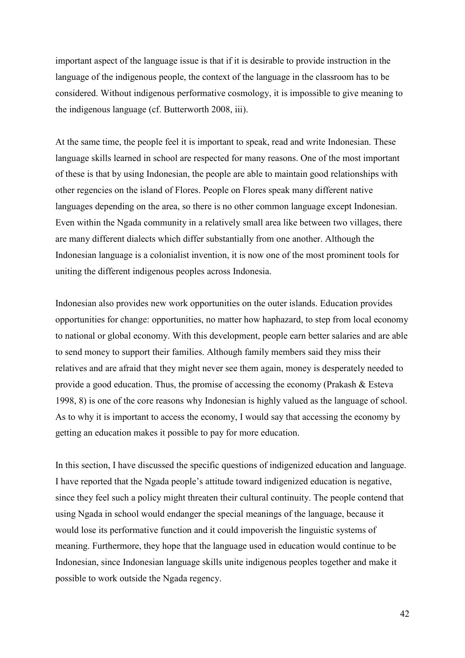important aspect of the language issue is that if it is desirable to provide instruction in the language of the indigenous people, the context of the language in the classroom has to be considered. Without indigenous performative cosmology, it is impossible to give meaning to the indigenous language (cf. Butterworth 2008, iii).

At the same time, the people feel it is important to speak, read and write Indonesian. These language skills learned in school are respected for many reasons. One of the most important of these is that by using Indonesian, the people are able to maintain good relationships with other regencies on the island of Flores. People on Flores speak many different native languages depending on the area, so there is no other common language except Indonesian. Even within the Ngada community in a relatively small area like between two villages, there are many different dialects which differ substantially from one another. Although the Indonesian language is a colonialist invention, it is now one of the most prominent tools for uniting the different indigenous peoples across Indonesia.

Indonesian also provides new work opportunities on the outer islands. Education provides opportunities for change: opportunities, no matter how haphazard, to step from local economy to national or global economy. With this development, people earn better salaries and are able to send money to support their families. Although family members said they miss their relatives and are afraid that they might never see them again, money is desperately needed to provide a good education. Thus, the promise of accessing the economy (Prakash & Esteva 1998, 8) is one of the core reasons why Indonesian is highly valued as the language of school. As to why it is important to access the economy, I would say that accessing the economy by getting an education makes it possible to pay for more education.

In this section, I have discussed the specific questions of indigenized education and language. I have reported that the Ngada people's attitude toward indigenized education is negative, since they feel such a policy might threaten their cultural continuity. The people contend that using Ngada in school would endanger the special meanings of the language, because it would lose its performative function and it could impoverish the linguistic systems of meaning. Furthermore, they hope that the language used in education would continue to be Indonesian, since Indonesian language skills unite indigenous peoples together and make it possible to work outside the Ngada regency.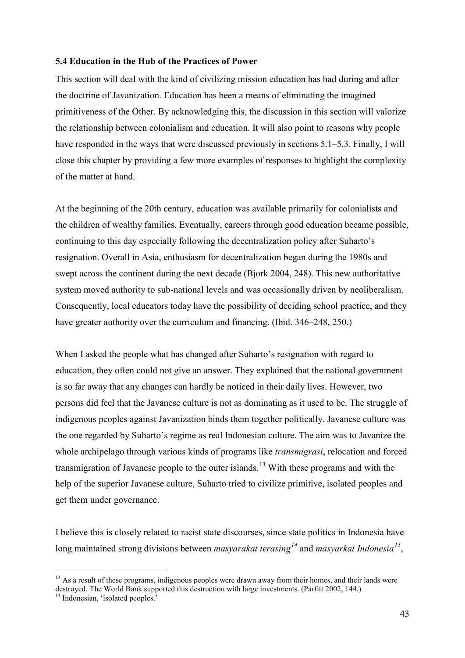# **5.4 Education in the Hub of the Practices of Power**

This section will deal with the kind of civilizing mission education has had during and after the doctrine of Javanization. Education has been a means of eliminating the imagined primitiveness of the Other. By acknowledging this, the discussion in this section will valorize the relationship between colonialism and education. It will also point to reasons why people have responded in the ways that were discussed previously in sections 5.1–5.3. Finally, I will close this chapter by providing a few more examples of responses to highlight the complexity of the matter at hand.

At the beginning of the 20th century, education was available primarily for colonialists and the children of wealthy families. Eventually, careers through good education became possible, continuing to this day especially following the decentralization policy after Suharto's resignation. Overall in Asia, enthusiasm for decentralization began during the 1980s and swept across the continent during the next decade (Bjork 2004, 248). This new authoritative system moved authority to sub-national levels and was occasionally driven by neoliberalism. Consequently, local educators today have the possibility of deciding school practice, and they have greater authority over the curriculum and financing. (Ibid. 346–248, 250.)

When I asked the people what has changed after Suharto's resignation with regard to education, they often could not give an answer. They explained that the national government is so far away that any changes can hardly be noticed in their daily lives. However, two persons did feel that the Javanese culture is not as dominating as it used to be. The struggle of indigenous peoples against Javanization binds them together politically. Javanese culture was the one regarded by Suharto's regime as real Indonesian culture. The aim was to Javanize the whole archipelago through various kinds of programs like *transmigrasi*, relocation and forced transmigration of Javanese people to the outer islands.<sup>[13](#page-45-0)</sup> With these programs and with the help of the superior Javanese culture, Suharto tried to civilize primitive, isolated peoples and get them under governance.

I believe this is closely related to racist state discourses, since state politics in Indonesia have long maintained strong divisions between *masyarakat terasing[14](#page-45-1)* and *masyarkat Indonesia[15](#page-45-0)*,

<span id="page-45-0"></span><sup>-</sup><sup>13</sup> As a result of these programs, indigenous peoples were drawn away from their homes, and their lands were destroyed. The World Bank supported this destruction with large investments. (Parfitt 2002, 144.)

<span id="page-45-1"></span><sup>&</sup>lt;sup>14</sup> Indonesian, 'isolated peoples.<sup>1</sup>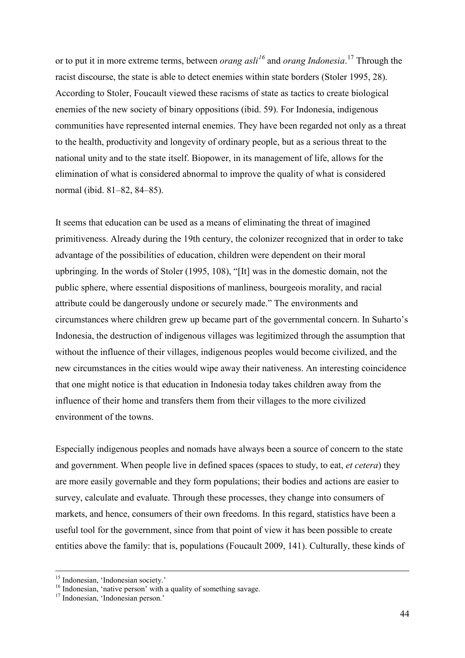or to put it in more extreme terms, between *orang asli[16](#page-46-0)* and *orang Indonesia*. [17](#page-46-1) Through the racist discourse, the state is able to detect enemies within state borders (Stoler 1995, 28). According to Stoler, Foucault viewed these racisms of state as tactics to create biological enemies of the new society of binary oppositions (ibid. 59). For Indonesia, indigenous communities have represented internal enemies. They have been regarded not only as a threat to the health, productivity and longevity of ordinary people, but as a serious threat to the national unity and to the state itself. Biopower, in its management of life, allows for the elimination of what is considered abnormal to improve the quality of what is considered normal (ibid. 81–82, 84–85).

It seems that education can be used as a means of eliminating the threat of imagined primitiveness. Already during the 19th century, the colonizer recognized that in order to take advantage of the possibilities of education, children were dependent on their moral upbringing. In the words of Stoler (1995, 108), "[It] was in the domestic domain, not the public sphere, where essential dispositions of manliness, bourgeois morality, and racial attribute could be dangerously undone or securely made." The environments and circumstances where children grew up became part of the governmental concern. In Suharto's Indonesia, the destruction of indigenous villages was legitimized through the assumption that without the influence of their villages, indigenous peoples would become civilized, and the new circumstances in the cities would wipe away their nativeness. An interesting coincidence that one might notice is that education in Indonesia today takes children away from the influence of their home and transfers them from their villages to the more civilized environment of the towns.

Especially indigenous peoples and nomads have always been a source of concern to the state and government. When people live in defined spaces (spaces to study, to eat, *et cetera*) they are more easily governable and they form populations; their bodies and actions are easier to survey, calculate and evaluate. Through these processes, they change into consumers of markets, and hence, consumers of their own freedoms. In this regard, statistics have been a useful tool for the government, since from that point of view it has been possible to create entities above the family: that is, populations (Foucault 2009, 141). Culturally, these kinds of

<sup>&</sup>lt;sup>15</sup> Indonesian, 'Indonesian society.'

<span id="page-46-0"></span><sup>&</sup>lt;sup>16</sup> Indonesian, 'native person' with a quality of something savage.

<span id="page-46-1"></span><sup>&</sup>lt;sup>17</sup> Indonesian, 'Indonesian person.'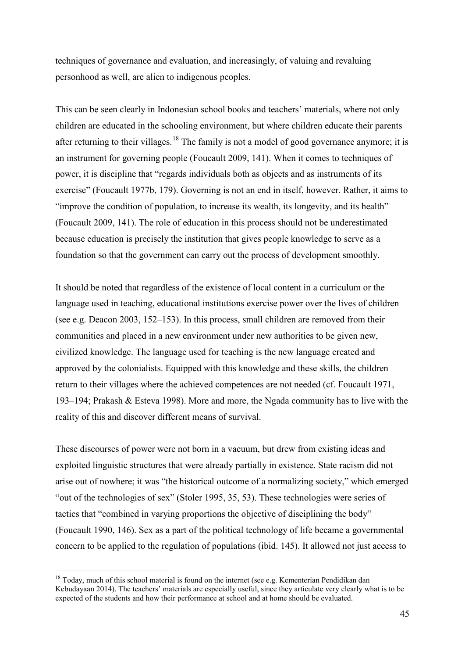techniques of governance and evaluation, and increasingly, of valuing and revaluing personhood as well, are alien to indigenous peoples.

This can be seen clearly in Indonesian school books and teachers' materials, where not only children are educated in the schooling environment, but where children educate their parents after returning to their villages.<sup>[18](#page-47-0)</sup> The family is not a model of good governance anymore; it is an instrument for governing people (Foucault 2009, 141). When it comes to techniques of power, it is discipline that "regards individuals both as objects and as instruments of its exercise" (Foucault 1977b, 179). Governing is not an end in itself, however. Rather, it aims to "improve the condition of population, to increase its wealth, its longevity, and its health" (Foucault 2009, 141). The role of education in this process should not be underestimated because education is precisely the institution that gives people knowledge to serve as a foundation so that the government can carry out the process of development smoothly.

It should be noted that regardless of the existence of local content in a curriculum or the language used in teaching, educational institutions exercise power over the lives of children (see e.g. Deacon 2003, 152–153). In this process, small children are removed from their communities and placed in a new environment under new authorities to be given new, civilized knowledge. The language used for teaching is the new language created and approved by the colonialists. Equipped with this knowledge and these skills, the children return to their villages where the achieved competences are not needed (cf. Foucault 1971, 193–194; Prakash & Esteva 1998). More and more, the Ngada community has to live with the reality of this and discover different means of survival.

These discourses of power were not born in a vacuum, but drew from existing ideas and exploited linguistic structures that were already partially in existence. State racism did not arise out of nowhere; it was "the historical outcome of a normalizing society," which emerged "out of the technologies of sex" (Stoler 1995, 35, 53). These technologies were series of tactics that "combined in varying proportions the objective of disciplining the body" (Foucault 1990, 146). Sex as a part of the political technology of life became a governmental concern to be applied to the regulation of populations (ibid. 145). It allowed not just access to

-

<span id="page-47-0"></span><sup>&</sup>lt;sup>18</sup> Today, much of this school material is found on the internet (see e.g. Kementerian Pendidikan dan Kebudayaan 2014). The teachers' materials are especially useful, since they articulate very clearly what is to be expected of the students and how their performance at school and at home should be evaluated.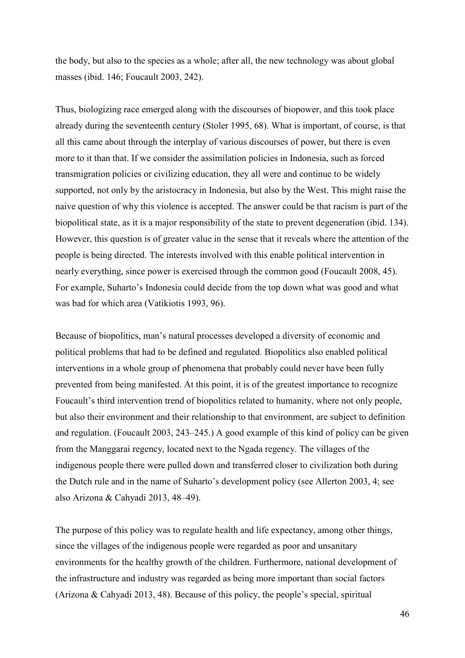the body, but also to the species as a whole; after all, the new technology was about global masses (ibid. 146; Foucault 2003, 242).

Thus, biologizing race emerged along with the discourses of biopower, and this took place already during the seventeenth century (Stoler 1995, 68). What is important, of course, is that all this came about through the interplay of various discourses of power, but there is even more to it than that. If we consider the assimilation policies in Indonesia, such as forced transmigration policies or civilizing education, they all were and continue to be widely supported, not only by the aristocracy in Indonesia, but also by the West. This might raise the naive question of why this violence is accepted. The answer could be that racism is part of the biopolitical state, as it is a major responsibility of the state to prevent degeneration (ibid. 134). However, this question is of greater value in the sense that it reveals where the attention of the people is being directed. The interests involved with this enable political intervention in nearly everything, since power is exercised through the common good (Foucault 2008, 45). For example, Suharto's Indonesia could decide from the top down what was good and what was bad for which area (Vatikiotis 1993, 96).

Because of biopolitics, man's natural processes developed a diversity of economic and political problems that had to be defined and regulated. Biopolitics also enabled political interventions in a whole group of phenomena that probably could never have been fully prevented from being manifested. At this point, it is of the greatest importance to recognize Foucault's third intervention trend of biopolitics related to humanity, where not only people, but also their environment and their relationship to that environment, are subject to definition and regulation. (Foucault 2003, 243–245.) A good example of this kind of policy can be given from the Manggarai regency, located next to the Ngada regency. The villages of the indigenous people there were pulled down and transferred closer to civilization both during the Dutch rule and in the name of Suharto's development policy (see Allerton 2003, 4; see also Arizona & Cahyadi 2013, 48–49).

The purpose of this policy was to regulate health and life expectancy, among other things, since the villages of the indigenous people were regarded as poor and unsanitary environments for the healthy growth of the children. Furthermore, national development of the infrastructure and industry was regarded as being more important than social factors (Arizona & Cahyadi 2013, 48). Because of this policy, the people's special, spiritual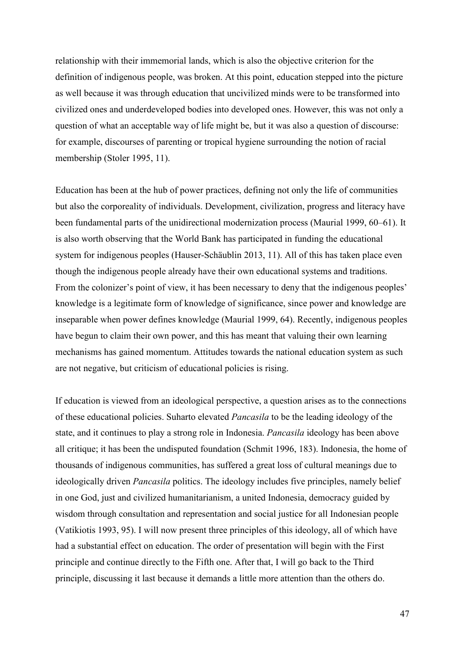relationship with their immemorial lands, which is also the objective criterion for the definition of indigenous people, was broken. At this point, education stepped into the picture as well because it was through education that uncivilized minds were to be transformed into civilized ones and underdeveloped bodies into developed ones. However, this was not only a question of what an acceptable way of life might be, but it was also a question of discourse: for example, discourses of parenting or tropical hygiene surrounding the notion of racial membership (Stoler 1995, 11).

Education has been at the hub of power practices, defining not only the life of communities but also the corporeality of individuals. Development, civilization, progress and literacy have been fundamental parts of the unidirectional modernization process (Maurial 1999, 60–61). It is also worth observing that the World Bank has participated in funding the educational system for indigenous peoples (Hauser-Schäublin 2013, 11). All of this has taken place even though the indigenous people already have their own educational systems and traditions. From the colonizer's point of view, it has been necessary to deny that the indigenous peoples' knowledge is a legitimate form of knowledge of significance, since power and knowledge are inseparable when power defines knowledge (Maurial 1999, 64). Recently, indigenous peoples have begun to claim their own power, and this has meant that valuing their own learning mechanisms has gained momentum. Attitudes towards the national education system as such are not negative, but criticism of educational policies is rising.

If education is viewed from an ideological perspective, a question arises as to the connections of these educational policies. Suharto elevated *Pancasila* to be the leading ideology of the state, and it continues to play a strong role in Indonesia. *Pancasila* ideology has been above all critique; it has been the undisputed foundation (Schmit 1996, 183). Indonesia, the home of thousands of indigenous communities, has suffered a great loss of cultural meanings due to ideologically driven *Pancasila* politics. The ideology includes five principles, namely belief in one God, just and civilized humanitarianism, a united Indonesia, democracy guided by wisdom through consultation and representation and social justice for all Indonesian people (Vatikiotis 1993, 95). I will now present three principles of this ideology, all of which have had a substantial effect on education. The order of presentation will begin with the First principle and continue directly to the Fifth one. After that, I will go back to the Third principle, discussing it last because it demands a little more attention than the others do.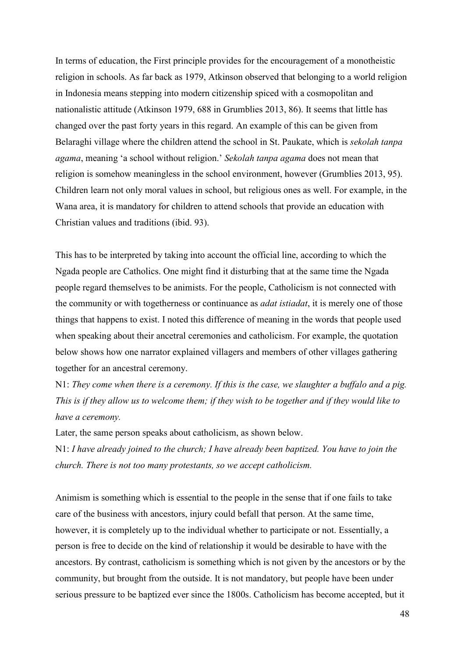In terms of education, the First principle provides for the encouragement of a monotheistic religion in schools. As far back as 1979, Atkinson observed that belonging to a world religion in Indonesia means stepping into modern citizenship spiced with a cosmopolitan and nationalistic attitude (Atkinson 1979, 688 in Grumblies 2013, 86). It seems that little has changed over the past forty years in this regard. An example of this can be given from Belaraghi village where the children attend the school in St. Paukate, which is *sekolah tanpa agama*, meaning 'a school without religion.' *Sekolah tanpa agama* does not mean that religion is somehow meaningless in the school environment, however (Grumblies 2013, 95). Children learn not only moral values in school, but religious ones as well. For example, in the Wana area, it is mandatory for children to attend schools that provide an education with Christian values and traditions (ibid. 93).

This has to be interpreted by taking into account the official line, according to which the Ngada people are Catholics. One might find it disturbing that at the same time the Ngada people regard themselves to be animists. For the people, Catholicism is not connected with the community or with togetherness or continuance as *adat istiadat*, it is merely one of those things that happens to exist. I noted this difference of meaning in the words that people used when speaking about their ancetral ceremonies and catholicism. For example, the quotation below shows how one narrator explained villagers and members of other villages gathering together for an ancestral ceremony.

N1: *They come when there is a ceremony. If this is the case, we slaughter a buffalo and a pig. This is if they allow us to welcome them; if they wish to be together and if they would like to have a ceremony.*

Later, the same person speaks about catholicism, as shown below.

N1: *I have already joined to the church; I have already been baptized. You have to join the church. There is not too many protestants, so we accept catholicism.* 

Animism is something which is essential to the people in the sense that if one fails to take care of the business with ancestors, injury could befall that person. At the same time, however, it is completely up to the individual whether to participate or not. Essentially, a person is free to decide on the kind of relationship it would be desirable to have with the ancestors. By contrast, catholicism is something which is not given by the ancestors or by the community, but brought from the outside. It is not mandatory, but people have been under serious pressure to be baptized ever since the 1800s. Catholicism has become accepted, but it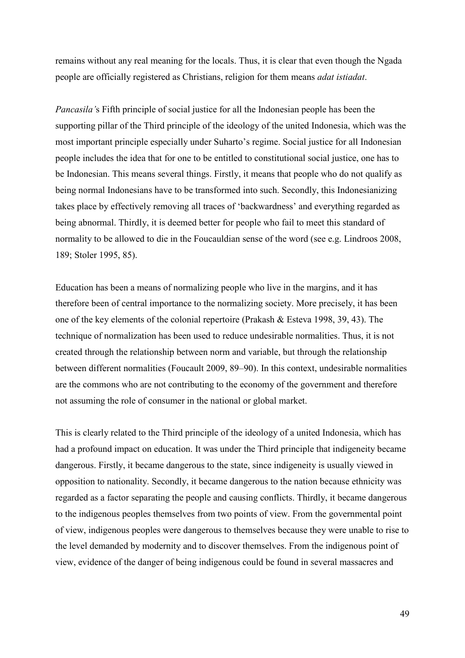remains without any real meaning for the locals. Thus, it is clear that even though the Ngada people are officially registered as Christians, religion for them means *adat istiadat*.

*Pancasila'*s Fifth principle of social justice for all the Indonesian people has been the supporting pillar of the Third principle of the ideology of the united Indonesia, which was the most important principle especially under Suharto's regime. Social justice for all Indonesian people includes the idea that for one to be entitled to constitutional social justice, one has to be Indonesian. This means several things. Firstly, it means that people who do not qualify as being normal Indonesians have to be transformed into such. Secondly, this Indonesianizing takes place by effectively removing all traces of 'backwardness' and everything regarded as being abnormal. Thirdly, it is deemed better for people who fail to meet this standard of normality to be allowed to die in the Foucauldian sense of the word (see e.g. Lindroos 2008, 189; Stoler 1995, 85).

Education has been a means of normalizing people who live in the margins, and it has therefore been of central importance to the normalizing society. More precisely, it has been one of the key elements of the colonial repertoire (Prakash & Esteva 1998, 39, 43). The technique of normalization has been used to reduce undesirable normalities. Thus, it is not created through the relationship between norm and variable, but through the relationship between different normalities (Foucault 2009, 89–90). In this context, undesirable normalities are the commons who are not contributing to the economy of the government and therefore not assuming the role of consumer in the national or global market.

This is clearly related to the Third principle of the ideology of a united Indonesia, which has had a profound impact on education. It was under the Third principle that indigeneity became dangerous. Firstly, it became dangerous to the state, since indigeneity is usually viewed in opposition to nationality. Secondly, it became dangerous to the nation because ethnicity was regarded as a factor separating the people and causing conflicts. Thirdly, it became dangerous to the indigenous peoples themselves from two points of view. From the governmental point of view, indigenous peoples were dangerous to themselves because they were unable to rise to the level demanded by modernity and to discover themselves. From the indigenous point of view, evidence of the danger of being indigenous could be found in several massacres and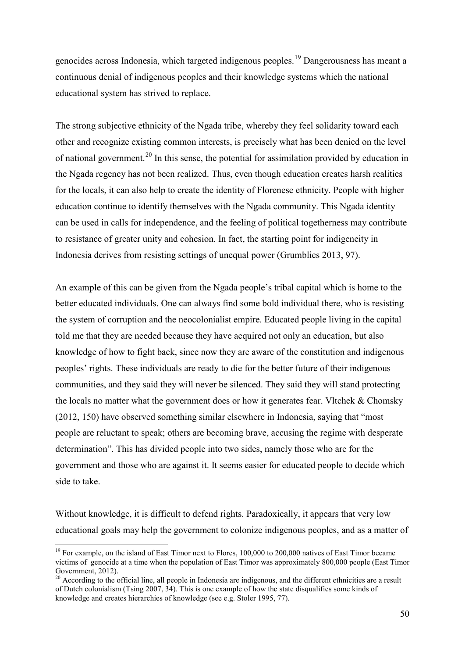genocides across Indonesia, which targeted indigenous peoples.[19](#page-52-0) Dangerousness has meant a continuous denial of indigenous peoples and their knowledge systems which the national educational system has strived to replace.

The strong subjective ethnicity of the Ngada tribe, whereby they feel solidarity toward each other and recognize existing common interests, is precisely what has been denied on the level of national government.<sup>20</sup> In this sense, the potential for assimilation provided by education in the Ngada regency has not been realized. Thus, even though education creates harsh realities for the locals, it can also help to create the identity of Florenese ethnicity. People with higher education continue to identify themselves with the Ngada community. This Ngada identity can be used in calls for independence, and the feeling of political togetherness may contribute to resistance of greater unity and cohesion. In fact, the starting point for indigeneity in Indonesia derives from resisting settings of unequal power (Grumblies 2013, 97).

An example of this can be given from the Ngada people's tribal capital which is home to the better educated individuals. One can always find some bold individual there, who is resisting the system of corruption and the neocolonialist empire. Educated people living in the capital told me that they are needed because they have acquired not only an education, but also knowledge of how to fight back, since now they are aware of the constitution and indigenous peoples' rights. These individuals are ready to die for the better future of their indigenous communities, and they said they will never be silenced. They said they will stand protecting the locals no matter what the government does or how it generates fear. Vltchek & Chomsky (2012, 150) have observed something similar elsewhere in Indonesia, saying that "most people are reluctant to speak; others are becoming brave, accusing the regime with desperate determination". This has divided people into two sides, namely those who are for the government and those who are against it. It seems easier for educated people to decide which side to take.

Without knowledge, it is difficult to defend rights. Paradoxically, it appears that very low educational goals may help the government to colonize indigenous peoples, and as a matter of

-

<span id="page-52-0"></span><sup>&</sup>lt;sup>19</sup> For example, on the island of East Timor next to Flores, 100,000 to 200,000 natives of East Timor became victims of genocide at a time when the population of East Timor was approximately 800,000 people (East Timor Government, 2012).

<span id="page-52-1"></span><sup>&</sup>lt;sup>20</sup> According to the official line, all people in Indonesia are indigenous, and the different ethnicities are a result of Dutch colonialism (Tsing 2007, 34). This is one example of how the state disqualifies some kinds of knowledge and creates hierarchies of knowledge (see e.g. Stoler 1995, 77).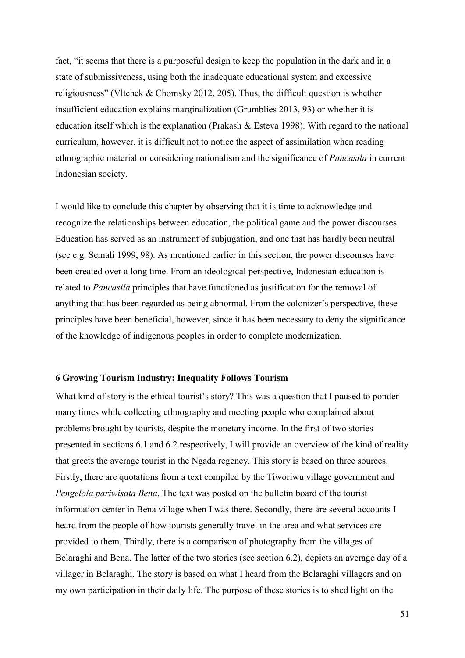fact, "it seems that there is a purposeful design to keep the population in the dark and in a state of submissiveness, using both the inadequate educational system and excessive religiousness" (Vltchek & Chomsky 2012, 205). Thus, the difficult question is whether insufficient education explains marginalization (Grumblies 2013, 93) or whether it is education itself which is the explanation (Prakash & Esteva 1998). With regard to the national curriculum, however, it is difficult not to notice the aspect of assimilation when reading ethnographic material or considering nationalism and the significance of *Pancasila* in current Indonesian society.

I would like to conclude this chapter by observing that it is time to acknowledge and recognize the relationships between education, the political game and the power discourses. Education has served as an instrument of subjugation, and one that has hardly been neutral (see e.g. Semali 1999, 98). As mentioned earlier in this section, the power discourses have been created over a long time. From an ideological perspective, Indonesian education is related to *Pancasila* principles that have functioned as justification for the removal of anything that has been regarded as being abnormal. From the colonizer's perspective, these principles have been beneficial, however, since it has been necessary to deny the significance of the knowledge of indigenous peoples in order to complete modernization.

### **6 Growing Tourism Industry: Inequality Follows Tourism**

What kind of story is the ethical tourist's story? This was a question that I paused to ponder many times while collecting ethnography and meeting people who complained about problems brought by tourists, despite the monetary income. In the first of two stories presented in sections 6.1 and 6.2 respectively, I will provide an overview of the kind of reality that greets the average tourist in the Ngada regency. This story is based on three sources. Firstly, there are quotations from a text compiled by the Tiworiwu village government and *Pengelola pariwisata Bena*. The text was posted on the bulletin board of the tourist information center in Bena village when I was there. Secondly, there are several accounts I heard from the people of how tourists generally travel in the area and what services are provided to them. Thirdly, there is a comparison of photography from the villages of Belaraghi and Bena. The latter of the two stories (see section 6.2), depicts an average day of a villager in Belaraghi. The story is based on what I heard from the Belaraghi villagers and on my own participation in their daily life. The purpose of these stories is to shed light on the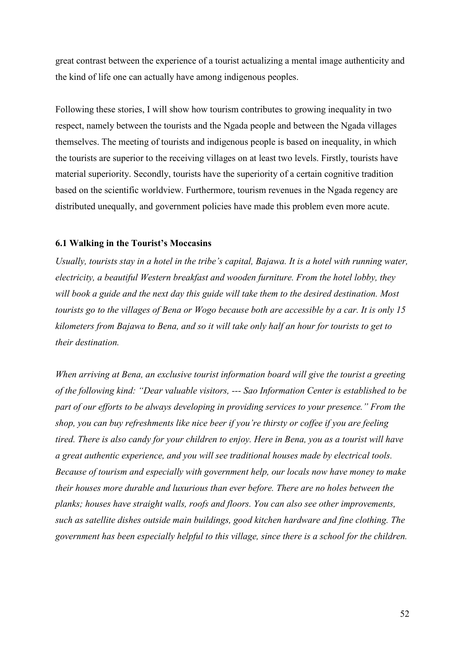great contrast between the experience of a tourist actualizing a mental image authenticity and the kind of life one can actually have among indigenous peoples.

Following these stories, I will show how tourism contributes to growing inequality in two respect, namely between the tourists and the Ngada people and between the Ngada villages themselves. The meeting of tourists and indigenous people is based on inequality, in which the tourists are superior to the receiving villages on at least two levels. Firstly, tourists have material superiority. Secondly, tourists have the superiority of a certain cognitive tradition based on the scientific worldview. Furthermore, tourism revenues in the Ngada regency are distributed unequally, and government policies have made this problem even more acute.

# **6.1 Walking in the Tourist's Moccasins**

*Usually, tourists stay in a hotel in the tribe's capital, Bajawa. It is a hotel with running water, electricity, a beautiful Western breakfast and wooden furniture. From the hotel lobby, they will book a guide and the next day this guide will take them to the desired destination. Most tourists go to the villages of Bena or Wogo because both are accessible by a car. It is only 15 kilometers from Bajawa to Bena, and so it will take only half an hour for tourists to get to their destination.* 

*When arriving at Bena, an exclusive tourist information board will give the tourist a greeting of the following kind: "Dear valuable visitors, --- Sao Information Center is established to be part of our efforts to be always developing in providing services to your presence." From the shop, you can buy refreshments like nice beer if you're thirsty or coffee if you are feeling tired. There is also candy for your children to enjoy. Here in Bena, you as a tourist will have a great authentic experience, and you will see traditional houses made by electrical tools. Because of tourism and especially with government help, our locals now have money to make their houses more durable and luxurious than ever before. There are no holes between the planks; houses have straight walls, roofs and floors. You can also see other improvements, such as satellite dishes outside main buildings, good kitchen hardware and fine clothing. The government has been especially helpful to this village, since there is a school for the children.*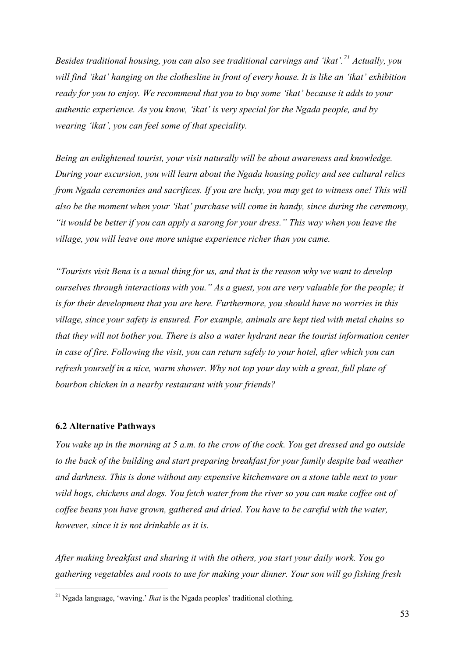*Besides traditional housing, you can also see traditional carvings and 'ikat'.[21](#page-55-0) Actually, you will find 'ikat' hanging on the clothesline in front of every house. It is like an 'ikat' exhibition ready for you to enjoy. We recommend that you to buy some 'ikat' because it adds to your authentic experience. As you know, 'ikat' is very special for the Ngada people, and by wearing 'ikat', you can feel some of that speciality.* 

*Being an enlightened tourist, your visit naturally will be about awareness and knowledge. During your excursion, you will learn about the Ngada housing policy and see cultural relics from Ngada ceremonies and sacrifices. If you are lucky, you may get to witness one! This will also be the moment when your 'ikat' purchase will come in handy, since during the ceremony, "it would be better if you can apply a sarong for your dress." This way when you leave the village, you will leave one more unique experience richer than you came.* 

*"Tourists visit Bena is a usual thing for us, and that is the reason why we want to develop ourselves through interactions with you." As a guest, you are very valuable for the people; it is for their development that you are here. Furthermore, you should have no worries in this village, since your safety is ensured. For example, animals are kept tied with metal chains so that they will not bother you. There is also a water hydrant near the tourist information center in case of fire. Following the visit, you can return safely to your hotel, after which you can refresh yourself in a nice, warm shower. Why not top your day with a great, full plate of bourbon chicken in a nearby restaurant with your friends?* 

#### **6.2 Alternative Pathways**

<u>.</u>

*You wake up in the morning at 5 a.m. to the crow of the cock. You get dressed and go outside*  to the back of the building and start preparing breakfast for your family despite bad weather *and darkness. This is done without any expensive kitchenware on a stone table next to your wild hogs, chickens and dogs. You fetch water from the river so you can make coffee out of coffee beans you have grown, gathered and dried. You have to be careful with the water, however, since it is not drinkable as it is.* 

*After making breakfast and sharing it with the others, you start your daily work. You go gathering vegetables and roots to use for making your dinner. Your son will go fishing fresh* 

<span id="page-55-0"></span><sup>21</sup> Ngada language, 'waving.' *Ikat* is the Ngada peoples' traditional clothing.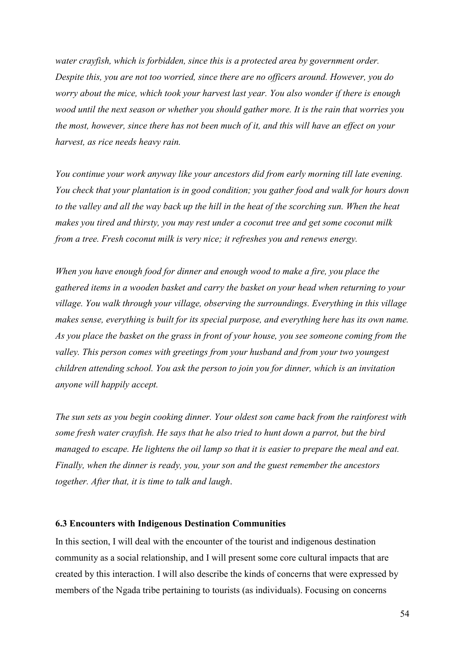*water crayfish, which is forbidden, since this is a protected area by government order. Despite this, you are not too worried, since there are no officers around. However, you do worry about the mice, which took your harvest last year. You also wonder if there is enough wood until the next season or whether you should gather more. It is the rain that worries you the most, however, since there has not been much of it, and this will have an effect on your harvest, as rice needs heavy rain.* 

*You continue your work anyway like your ancestors did from early morning till late evening. You check that your plantation is in good condition; you gather food and walk for hours down to the valley and all the way back up the hill in the heat of the scorching sun. When the heat makes you tired and thirsty, you may rest under a coconut tree and get some coconut milk from a tree. Fresh coconut milk is very nice; it refreshes you and renews energy.* 

*When you have enough food for dinner and enough wood to make a fire, you place the gathered items in a wooden basket and carry the basket on your head when returning to your village. You walk through your village, observing the surroundings. Everything in this village makes sense, everything is built for its special purpose, and everything here has its own name. As you place the basket on the grass in front of your house, you see someone coming from the valley. This person comes with greetings from your husband and from your two youngest children attending school. You ask the person to join you for dinner, which is an invitation anyone will happily accept.* 

*The sun sets as you begin cooking dinner. Your oldest son came back from the rainforest with some fresh water crayfish. He says that he also tried to hunt down a parrot, but the bird managed to escape. He lightens the oil lamp so that it is easier to prepare the meal and eat. Finally, when the dinner is ready, you, your son and the guest remember the ancestors together. After that, it is time to talk and laugh*.

### **6.3 Encounters with Indigenous Destination Communities**

In this section, I will deal with the encounter of the tourist and indigenous destination community as a social relationship, and I will present some core cultural impacts that are created by this interaction. I will also describe the kinds of concerns that were expressed by members of the Ngada tribe pertaining to tourists (as individuals). Focusing on concerns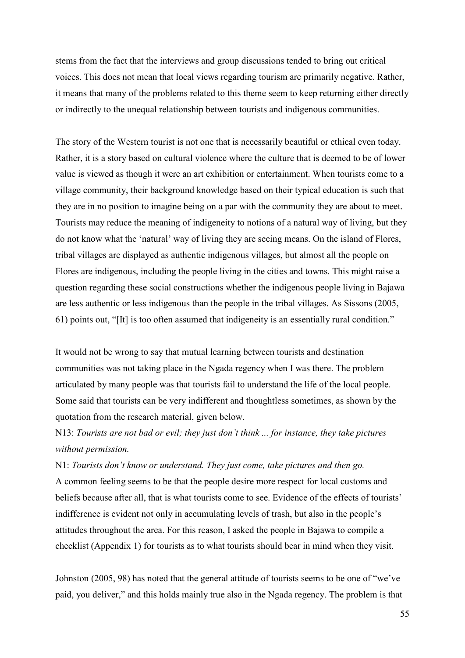stems from the fact that the interviews and group discussions tended to bring out critical voices. This does not mean that local views regarding tourism are primarily negative. Rather, it means that many of the problems related to this theme seem to keep returning either directly or indirectly to the unequal relationship between tourists and indigenous communities.

The story of the Western tourist is not one that is necessarily beautiful or ethical even today. Rather, it is a story based on cultural violence where the culture that is deemed to be of lower value is viewed as though it were an art exhibition or entertainment. When tourists come to a village community, their background knowledge based on their typical education is such that they are in no position to imagine being on a par with the community they are about to meet. Tourists may reduce the meaning of indigeneity to notions of a natural way of living, but they do not know what the 'natural' way of living they are seeing means. On the island of Flores, tribal villages are displayed as authentic indigenous villages, but almost all the people on Flores are indigenous, including the people living in the cities and towns. This might raise a question regarding these social constructions whether the indigenous people living in Bajawa are less authentic or less indigenous than the people in the tribal villages. As Sissons (2005, 61) points out, "[It] is too often assumed that indigeneity is an essentially rural condition."

It would not be wrong to say that mutual learning between tourists and destination communities was not taking place in the Ngada regency when I was there. The problem articulated by many people was that tourists fail to understand the life of the local people. Some said that tourists can be very indifferent and thoughtless sometimes, as shown by the quotation from the research material, given below.

N13: *Tourists are not bad or evil; they just don't think ... for instance, they take pictures without permission.*

N1: *Tourists don't know or understand. They just come, take pictures and then go.*  A common feeling seems to be that the people desire more respect for local customs and beliefs because after all, that is what tourists come to see. Evidence of the effects of tourists' indifference is evident not only in accumulating levels of trash, but also in the people's attitudes throughout the area. For this reason, I asked the people in Bajawa to compile a checklist (Appendix 1) for tourists as to what tourists should bear in mind when they visit.

Johnston (2005, 98) has noted that the general attitude of tourists seems to be one of "we've paid, you deliver," and this holds mainly true also in the Ngada regency. The problem is that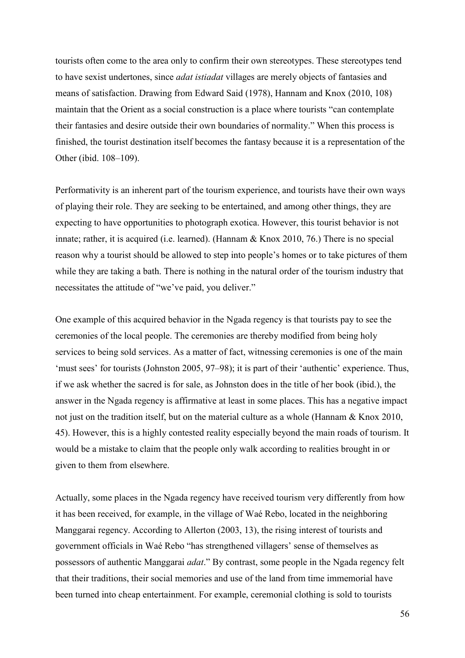tourists often come to the area only to confirm their own stereotypes. These stereotypes tend to have sexist undertones, since *adat istiadat* villages are merely objects of fantasies and means of satisfaction. Drawing from Edward Said (1978), Hannam and Knox (2010, 108) maintain that the Orient as a social construction is a place where tourists "can contemplate their fantasies and desire outside their own boundaries of normality." When this process is finished, the tourist destination itself becomes the fantasy because it is a representation of the Other (ibid. 108–109).

Performativity is an inherent part of the tourism experience, and tourists have their own ways of playing their role. They are seeking to be entertained, and among other things, they are expecting to have opportunities to photograph exotica. However, this tourist behavior is not innate; rather, it is acquired (i.e. learned). (Hannam & Knox 2010, 76.) There is no special reason why a tourist should be allowed to step into people's homes or to take pictures of them while they are taking a bath. There is nothing in the natural order of the tourism industry that necessitates the attitude of "we've paid, you deliver."

One example of this acquired behavior in the Ngada regency is that tourists pay to see the ceremonies of the local people. The ceremonies are thereby modified from being holy services to being sold services. As a matter of fact, witnessing ceremonies is one of the main 'must sees' for tourists (Johnston 2005, 97–98); it is part of their 'authentic' experience. Thus, if we ask whether the sacred is for sale, as Johnston does in the title of her book (ibid.), the answer in the Ngada regency is affirmative at least in some places. This has a negative impact not just on the tradition itself, but on the material culture as a whole (Hannam & Knox 2010, 45). However, this is a highly contested reality especially beyond the main roads of tourism. It would be a mistake to claim that the people only walk according to realities brought in or given to them from elsewhere.

Actually, some places in the Ngada regency have received tourism very differently from how it has been received, for example, in the village of Waé Rebo, located in the neighboring Manggarai regency. According to Allerton (2003, 13), the rising interest of tourists and government officials in Waé Rebo "has strengthened villagers' sense of themselves as possessors of authentic Manggarai *adat*." By contrast, some people in the Ngada regency felt that their traditions, their social memories and use of the land from time immemorial have been turned into cheap entertainment. For example, ceremonial clothing is sold to tourists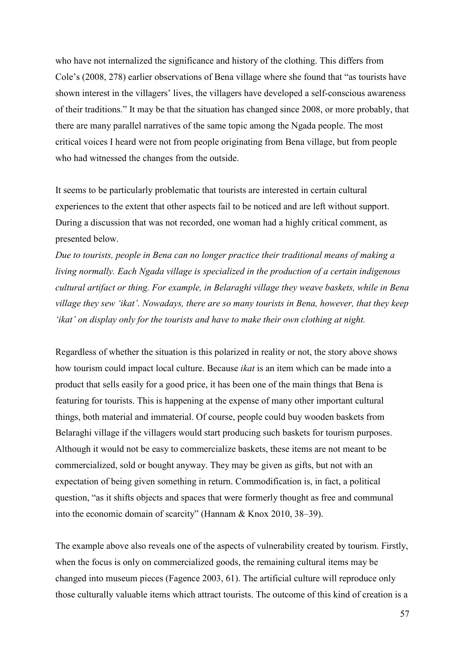who have not internalized the significance and history of the clothing. This differs from Cole's (2008, 278) earlier observations of Bena village where she found that "as tourists have shown interest in the villagers' lives, the villagers have developed a self-conscious awareness of their traditions." It may be that the situation has changed since 2008, or more probably, that there are many parallel narratives of the same topic among the Ngada people. The most critical voices I heard were not from people originating from Bena village, but from people who had witnessed the changes from the outside.

It seems to be particularly problematic that tourists are interested in certain cultural experiences to the extent that other aspects fail to be noticed and are left without support. During a discussion that was not recorded, one woman had a highly critical comment, as presented below.

*Due to tourists, people in Bena can no longer practice their traditional means of making a living normally. Each Ngada village is specialized in the production of a certain indigenous cultural artifact or thing. For example, in Belaraghi village they weave baskets, while in Bena village they sew 'ikat'. Nowadays, there are so many tourists in Bena, however, that they keep 'ikat' on display only for the tourists and have to make their own clothing at night.* 

Regardless of whether the situation is this polarized in reality or not, the story above shows how tourism could impact local culture. Because *ikat* is an item which can be made into a product that sells easily for a good price, it has been one of the main things that Bena is featuring for tourists. This is happening at the expense of many other important cultural things, both material and immaterial. Of course, people could buy wooden baskets from Belaraghi village if the villagers would start producing such baskets for tourism purposes. Although it would not be easy to commercialize baskets, these items are not meant to be commercialized, sold or bought anyway. They may be given as gifts, but not with an expectation of being given something in return. Commodification is, in fact, a political question, "as it shifts objects and spaces that were formerly thought as free and communal into the economic domain of scarcity" (Hannam & Knox 2010, 38–39).

The example above also reveals one of the aspects of vulnerability created by tourism. Firstly, when the focus is only on commercialized goods, the remaining cultural items may be changed into museum pieces (Fagence 2003, 61). The artificial culture will reproduce only those culturally valuable items which attract tourists. The outcome of this kind of creation is a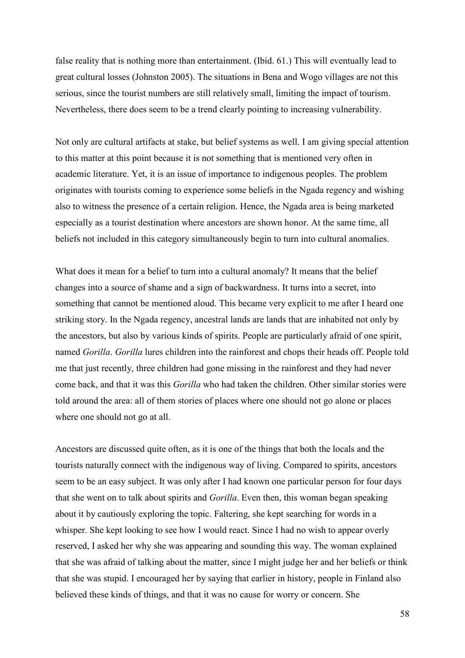false reality that is nothing more than entertainment. (Ibid. 61.) This will eventually lead to great cultural losses (Johnston 2005). The situations in Bena and Wogo villages are not this serious, since the tourist numbers are still relatively small, limiting the impact of tourism. Nevertheless, there does seem to be a trend clearly pointing to increasing vulnerability.

Not only are cultural artifacts at stake, but belief systems as well. I am giving special attention to this matter at this point because it is not something that is mentioned very often in academic literature. Yet, it is an issue of importance to indigenous peoples. The problem originates with tourists coming to experience some beliefs in the Ngada regency and wishing also to witness the presence of a certain religion. Hence, the Ngada area is being marketed especially as a tourist destination where ancestors are shown honor. At the same time, all beliefs not included in this category simultaneously begin to turn into cultural anomalies.

What does it mean for a belief to turn into a cultural anomaly? It means that the belief changes into a source of shame and a sign of backwardness. It turns into a secret, into something that cannot be mentioned aloud. This became very explicit to me after I heard one striking story. In the Ngada regency, ancestral lands are lands that are inhabited not only by the ancestors, but also by various kinds of spirits. People are particularly afraid of one spirit, named *Gorilla*. *Gorilla* lures children into the rainforest and chops their heads off. People told me that just recently, three children had gone missing in the rainforest and they had never come back, and that it was this *Gorilla* who had taken the children. Other similar stories were told around the area: all of them stories of places where one should not go alone or places where one should not go at all.

Ancestors are discussed quite often, as it is one of the things that both the locals and the tourists naturally connect with the indigenous way of living. Compared to spirits, ancestors seem to be an easy subject. It was only after I had known one particular person for four days that she went on to talk about spirits and *Gorilla*. Even then, this woman began speaking about it by cautiously exploring the topic. Faltering, she kept searching for words in a whisper. She kept looking to see how I would react. Since I had no wish to appear overly reserved, I asked her why she was appearing and sounding this way. The woman explained that she was afraid of talking about the matter, since I might judge her and her beliefs or think that she was stupid. I encouraged her by saying that earlier in history, people in Finland also believed these kinds of things, and that it was no cause for worry or concern. She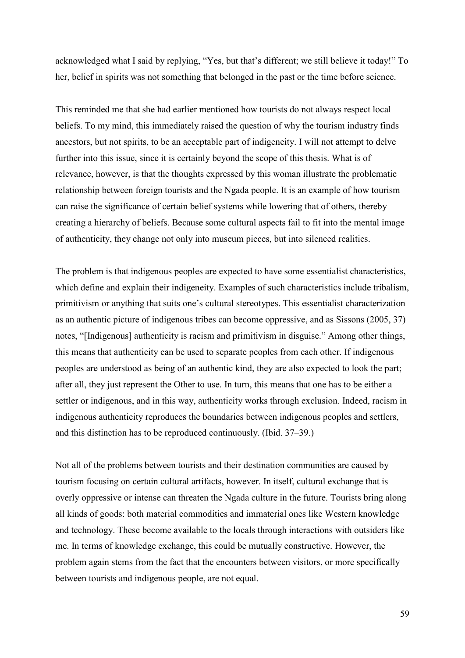acknowledged what I said by replying, "Yes, but that's different; we still believe it today!" To her, belief in spirits was not something that belonged in the past or the time before science.

This reminded me that she had earlier mentioned how tourists do not always respect local beliefs. To my mind, this immediately raised the question of why the tourism industry finds ancestors, but not spirits, to be an acceptable part of indigeneity. I will not attempt to delve further into this issue, since it is certainly beyond the scope of this thesis. What is of relevance, however, is that the thoughts expressed by this woman illustrate the problematic relationship between foreign tourists and the Ngada people. It is an example of how tourism can raise the significance of certain belief systems while lowering that of others, thereby creating a hierarchy of beliefs. Because some cultural aspects fail to fit into the mental image of authenticity, they change not only into museum pieces, but into silenced realities.

The problem is that indigenous peoples are expected to have some essentialist characteristics, which define and explain their indigeneity. Examples of such characteristics include tribalism, primitivism or anything that suits one's cultural stereotypes. This essentialist characterization as an authentic picture of indigenous tribes can become oppressive, and as Sissons (2005, 37) notes, "[Indigenous] authenticity is racism and primitivism in disguise." Among other things, this means that authenticity can be used to separate peoples from each other. If indigenous peoples are understood as being of an authentic kind, they are also expected to look the part; after all, they just represent the Other to use. In turn, this means that one has to be either a settler or indigenous, and in this way, authenticity works through exclusion. Indeed, racism in indigenous authenticity reproduces the boundaries between indigenous peoples and settlers, and this distinction has to be reproduced continuously. (Ibid. 37–39.)

Not all of the problems between tourists and their destination communities are caused by tourism focusing on certain cultural artifacts, however. In itself, cultural exchange that is overly oppressive or intense can threaten the Ngada culture in the future. Tourists bring along all kinds of goods: both material commodities and immaterial ones like Western knowledge and technology. These become available to the locals through interactions with outsiders like me. In terms of knowledge exchange, this could be mutually constructive. However, the problem again stems from the fact that the encounters between visitors, or more specifically between tourists and indigenous people, are not equal.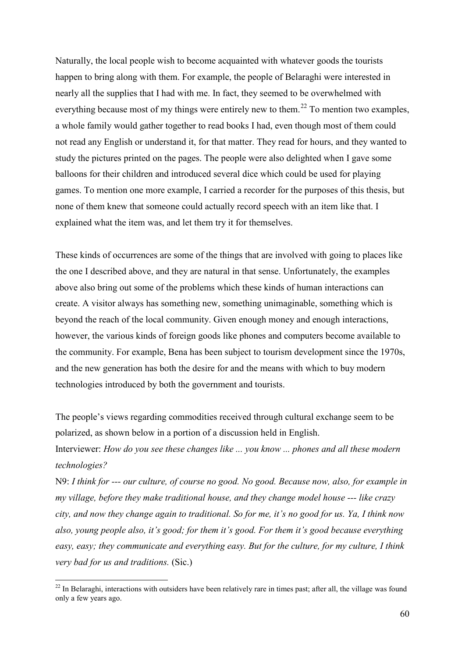Naturally, the local people wish to become acquainted with whatever goods the tourists happen to bring along with them. For example, the people of Belaraghi were interested in nearly all the supplies that I had with me. In fact, they seemed to be overwhelmed with everything because most of my things were entirely new to them.<sup>[22](#page-62-0)</sup> To mention two examples, a whole family would gather together to read books I had, even though most of them could not read any English or understand it, for that matter. They read for hours, and they wanted to study the pictures printed on the pages. The people were also delighted when I gave some balloons for their children and introduced several dice which could be used for playing games. To mention one more example, I carried a recorder for the purposes of this thesis, but none of them knew that someone could actually record speech with an item like that. I explained what the item was, and let them try it for themselves.

These kinds of occurrences are some of the things that are involved with going to places like the one I described above, and they are natural in that sense. Unfortunately, the examples above also bring out some of the problems which these kinds of human interactions can create. A visitor always has something new, something unimaginable, something which is beyond the reach of the local community. Given enough money and enough interactions, however, the various kinds of foreign goods like phones and computers become available to the community. For example, Bena has been subject to tourism development since the 1970s, and the new generation has both the desire for and the means with which to buy modern technologies introduced by both the government and tourists.

The people's views regarding commodities received through cultural exchange seem to be polarized, as shown below in a portion of a discussion held in English.

Interviewer: *How do you see these changes like ... you know ... phones and all these modern technologies?*

N9: *I think for --- our culture, of course no good. No good. Because now, also, for example in my village, before they make traditional house, and they change model house --- like crazy city, and now they change again to traditional. So for me, it's no good for us. Ya, I think now also, young people also, it's good; for them it's good. For them it's good because everything easy, easy; they communicate and everything easy. But for the culture, for my culture, I think very bad for us and traditions.* (Sic.)

<u>.</u>

<span id="page-62-0"></span> $22$  In Belaraghi, interactions with outsiders have been relatively rare in times past; after all, the village was found only a few years ago.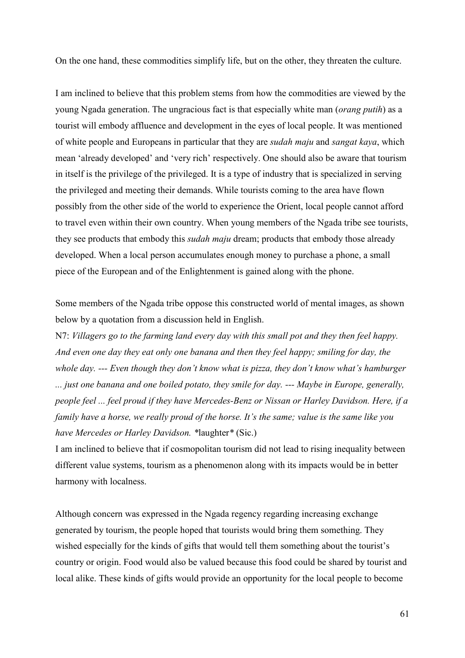On the one hand, these commodities simplify life, but on the other, they threaten the culture.

I am inclined to believe that this problem stems from how the commodities are viewed by the young Ngada generation. The ungracious fact is that especially white man (*orang putih*) as a tourist will embody affluence and development in the eyes of local people. It was mentioned of white people and Europeans in particular that they are *sudah maju* and *sangat kaya*, which mean 'already developed' and 'very rich' respectively. One should also be aware that tourism in itself is the privilege of the privileged. It is a type of industry that is specialized in serving the privileged and meeting their demands. While tourists coming to the area have flown possibly from the other side of the world to experience the Orient, local people cannot afford to travel even within their own country. When young members of the Ngada tribe see tourists, they see products that embody this *sudah maju* dream; products that embody those already developed. When a local person accumulates enough money to purchase a phone, a small piece of the European and of the Enlightenment is gained along with the phone.

Some members of the Ngada tribe oppose this constructed world of mental images, as shown below by a quotation from a discussion held in English.

N7: *Villagers go to the farming land every day with this small pot and they then feel happy. And even one day they eat only one banana and then they feel happy; smiling for day, the whole day. --- Even though they don't know what is pizza, they don't know what's hamburger ... just one banana and one boiled potato, they smile for day. --- Maybe in Europe, generally, people feel ... feel proud if they have Mercedes-Benz or Nissan or Harley Davidson. Here, if a family have a horse, we really proud of the horse. It's the same; value is the same like you have Mercedes or Harley Davidson. \**laughter*\** (Sic.)

I am inclined to believe that if cosmopolitan tourism did not lead to rising inequality between different value systems, tourism as a phenomenon along with its impacts would be in better harmony with localness.

Although concern was expressed in the Ngada regency regarding increasing exchange generated by tourism, the people hoped that tourists would bring them something. They wished especially for the kinds of gifts that would tell them something about the tourist's country or origin. Food would also be valued because this food could be shared by tourist and local alike. These kinds of gifts would provide an opportunity for the local people to become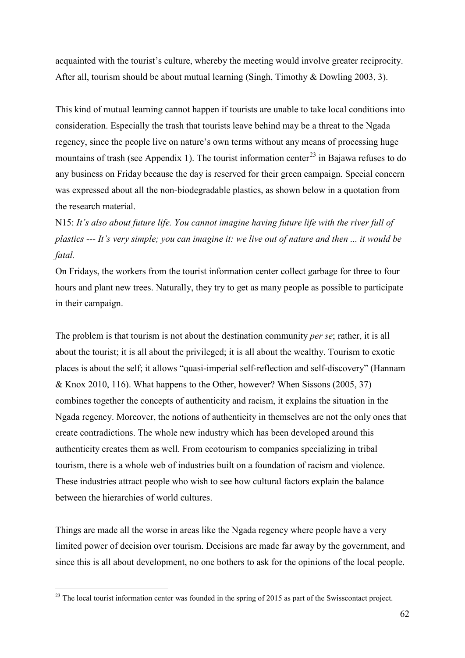acquainted with the tourist's culture, whereby the meeting would involve greater reciprocity. After all, tourism should be about mutual learning (Singh, Timothy & Dowling 2003, 3).

This kind of mutual learning cannot happen if tourists are unable to take local conditions into consideration. Especially the trash that tourists leave behind may be a threat to the Ngada regency, since the people live on nature's own terms without any means of processing huge mountains of trash (see Appendix 1). The tourist information center<sup>[23](#page-64-0)</sup> in Bajawa refuses to do any business on Friday because the day is reserved for their green campaign. Special concern was expressed about all the non-biodegradable plastics, as shown below in a quotation from the research material.

N15: *It's also about future life. You cannot imagine having future life with the river full of plastics --- It's very simple; you can imagine it: we live out of nature and then ... it would be fatal.*

On Fridays, the workers from the tourist information center collect garbage for three to four hours and plant new trees. Naturally, they try to get as many people as possible to participate in their campaign.

The problem is that tourism is not about the destination community *per se*; rather, it is all about the tourist; it is all about the privileged; it is all about the wealthy. Tourism to exotic places is about the self; it allows "quasi-imperial self-reflection and self-discovery" (Hannam & Knox 2010, 116). What happens to the Other, however? When Sissons (2005, 37) combines together the concepts of authenticity and racism, it explains the situation in the Ngada regency. Moreover, the notions of authenticity in themselves are not the only ones that create contradictions. The whole new industry which has been developed around this authenticity creates them as well. From ecotourism to companies specializing in tribal tourism, there is a whole web of industries built on a foundation of racism and violence. These industries attract people who wish to see how cultural factors explain the balance between the hierarchies of world cultures.

Things are made all the worse in areas like the Ngada regency where people have a very limited power of decision over tourism. Decisions are made far away by the government, and since this is all about development, no one bothers to ask for the opinions of the local people.

<u>.</u>

<span id="page-64-0"></span> $23$  The local tourist information center was founded in the spring of 2015 as part of the Swisscontact project.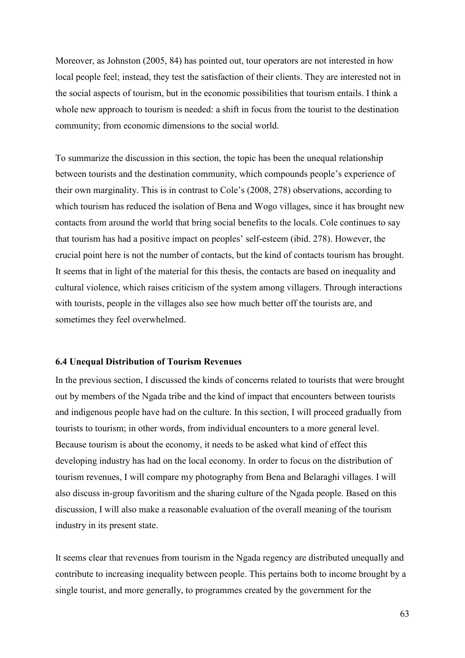Moreover, as Johnston (2005, 84) has pointed out, tour operators are not interested in how local people feel; instead, they test the satisfaction of their clients. They are interested not in the social aspects of tourism, but in the economic possibilities that tourism entails. I think a whole new approach to tourism is needed: a shift in focus from the tourist to the destination community; from economic dimensions to the social world.

To summarize the discussion in this section, the topic has been the unequal relationship between tourists and the destination community, which compounds people's experience of their own marginality. This is in contrast to Cole's (2008, 278) observations, according to which tourism has reduced the isolation of Bena and Wogo villages, since it has brought new contacts from around the world that bring social benefits to the locals. Cole continues to say that tourism has had a positive impact on peoples' self-esteem (ibid. 278). However, the crucial point here is not the number of contacts, but the kind of contacts tourism has brought. It seems that in light of the material for this thesis, the contacts are based on inequality and cultural violence, which raises criticism of the system among villagers. Through interactions with tourists, people in the villages also see how much better off the tourists are, and sometimes they feel overwhelmed.

### **6.4 Unequal Distribution of Tourism Revenues**

In the previous section, I discussed the kinds of concerns related to tourists that were brought out by members of the Ngada tribe and the kind of impact that encounters between tourists and indigenous people have had on the culture. In this section, I will proceed gradually from tourists to tourism; in other words, from individual encounters to a more general level. Because tourism is about the economy, it needs to be asked what kind of effect this developing industry has had on the local economy. In order to focus on the distribution of tourism revenues, I will compare my photography from Bena and Belaraghi villages. I will also discuss in-group favoritism and the sharing culture of the Ngada people. Based on this discussion, I will also make a reasonable evaluation of the overall meaning of the tourism industry in its present state.

It seems clear that revenues from tourism in the Ngada regency are distributed unequally and contribute to increasing inequality between people. This pertains both to income brought by a single tourist, and more generally, to programmes created by the government for the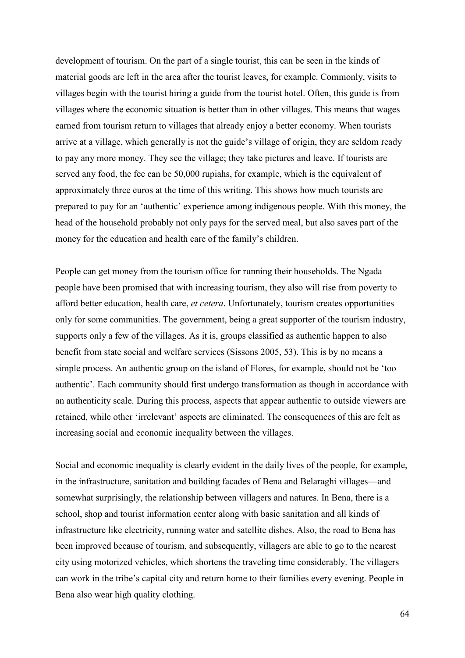development of tourism. On the part of a single tourist, this can be seen in the kinds of material goods are left in the area after the tourist leaves, for example. Commonly, visits to villages begin with the tourist hiring a guide from the tourist hotel. Often, this guide is from villages where the economic situation is better than in other villages. This means that wages earned from tourism return to villages that already enjoy a better economy. When tourists arrive at a village, which generally is not the guide's village of origin, they are seldom ready to pay any more money. They see the village; they take pictures and leave. If tourists are served any food, the fee can be 50,000 rupiahs, for example, which is the equivalent of approximately three euros at the time of this writing. This shows how much tourists are prepared to pay for an 'authentic' experience among indigenous people. With this money, the head of the household probably not only pays for the served meal, but also saves part of the money for the education and health care of the family's children.

People can get money from the tourism office for running their households. The Ngada people have been promised that with increasing tourism, they also will rise from poverty to afford better education, health care, *et cetera*. Unfortunately, tourism creates opportunities only for some communities. The government, being a great supporter of the tourism industry, supports only a few of the villages. As it is, groups classified as authentic happen to also benefit from state social and welfare services (Sissons 2005, 53). This is by no means a simple process. An authentic group on the island of Flores, for example, should not be 'too authentic'. Each community should first undergo transformation as though in accordance with an authenticity scale. During this process, aspects that appear authentic to outside viewers are retained, while other 'irrelevant' aspects are eliminated. The consequences of this are felt as increasing social and economic inequality between the villages.

Social and economic inequality is clearly evident in the daily lives of the people, for example, in the infrastructure, sanitation and building facades of Bena and Belaraghi villages—and somewhat surprisingly, the relationship between villagers and natures. In Bena, there is a school, shop and tourist information center along with basic sanitation and all kinds of infrastructure like electricity, running water and satellite dishes. Also, the road to Bena has been improved because of tourism, and subsequently, villagers are able to go to the nearest city using motorized vehicles, which shortens the traveling time considerably. The villagers can work in the tribe's capital city and return home to their families every evening. People in Bena also wear high quality clothing.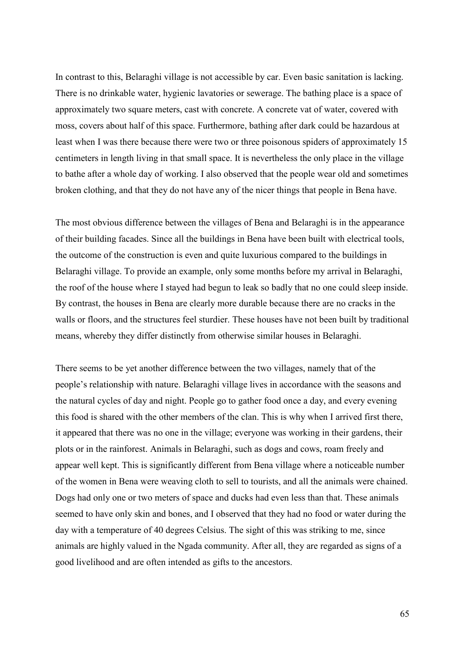In contrast to this, Belaraghi village is not accessible by car. Even basic sanitation is lacking. There is no drinkable water, hygienic lavatories or sewerage. The bathing place is a space of approximately two square meters, cast with concrete. A concrete vat of water, covered with moss, covers about half of this space. Furthermore, bathing after dark could be hazardous at least when I was there because there were two or three poisonous spiders of approximately 15 centimeters in length living in that small space. It is nevertheless the only place in the village to bathe after a whole day of working. I also observed that the people wear old and sometimes broken clothing, and that they do not have any of the nicer things that people in Bena have.

The most obvious difference between the villages of Bena and Belaraghi is in the appearance of their building facades. Since all the buildings in Bena have been built with electrical tools, the outcome of the construction is even and quite luxurious compared to the buildings in Belaraghi village. To provide an example, only some months before my arrival in Belaraghi, the roof of the house where I stayed had begun to leak so badly that no one could sleep inside. By contrast, the houses in Bena are clearly more durable because there are no cracks in the walls or floors, and the structures feel sturdier. These houses have not been built by traditional means, whereby they differ distinctly from otherwise similar houses in Belaraghi.

There seems to be yet another difference between the two villages, namely that of the people's relationship with nature. Belaraghi village lives in accordance with the seasons and the natural cycles of day and night. People go to gather food once a day, and every evening this food is shared with the other members of the clan. This is why when I arrived first there, it appeared that there was no one in the village; everyone was working in their gardens, their plots or in the rainforest. Animals in Belaraghi, such as dogs and cows, roam freely and appear well kept. This is significantly different from Bena village where a noticeable number of the women in Bena were weaving cloth to sell to tourists, and all the animals were chained. Dogs had only one or two meters of space and ducks had even less than that. These animals seemed to have only skin and bones, and I observed that they had no food or water during the day with a temperature of 40 degrees Celsius. The sight of this was striking to me, since animals are highly valued in the Ngada community. After all, they are regarded as signs of a good livelihood and are often intended as gifts to the ancestors.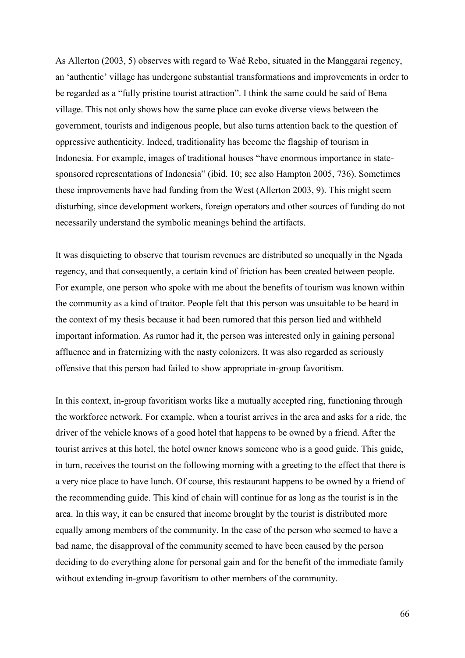As Allerton (2003, 5) observes with regard to Waé Rebo, situated in the Manggarai regency, an 'authentic' village has undergone substantial transformations and improvements in order to be regarded as a "fully pristine tourist attraction". I think the same could be said of Bena village. This not only shows how the same place can evoke diverse views between the government, tourists and indigenous people, but also turns attention back to the question of oppressive authenticity. Indeed, traditionality has become the flagship of tourism in Indonesia. For example, images of traditional houses "have enormous importance in statesponsored representations of Indonesia" (ibid. 10; see also Hampton 2005, 736). Sometimes these improvements have had funding from the West (Allerton 2003, 9). This might seem disturbing, since development workers, foreign operators and other sources of funding do not necessarily understand the symbolic meanings behind the artifacts.

It was disquieting to observe that tourism revenues are distributed so unequally in the Ngada regency, and that consequently, a certain kind of friction has been created between people. For example, one person who spoke with me about the benefits of tourism was known within the community as a kind of traitor. People felt that this person was unsuitable to be heard in the context of my thesis because it had been rumored that this person lied and withheld important information. As rumor had it, the person was interested only in gaining personal affluence and in fraternizing with the nasty colonizers. It was also regarded as seriously offensive that this person had failed to show appropriate in-group favoritism.

In this context, in-group favoritism works like a mutually accepted ring, functioning through the workforce network. For example, when a tourist arrives in the area and asks for a ride, the driver of the vehicle knows of a good hotel that happens to be owned by a friend. After the tourist arrives at this hotel, the hotel owner knows someone who is a good guide. This guide, in turn, receives the tourist on the following morning with a greeting to the effect that there is a very nice place to have lunch. Of course, this restaurant happens to be owned by a friend of the recommending guide. This kind of chain will continue for as long as the tourist is in the area. In this way, it can be ensured that income brought by the tourist is distributed more equally among members of the community. In the case of the person who seemed to have a bad name, the disapproval of the community seemed to have been caused by the person deciding to do everything alone for personal gain and for the benefit of the immediate family without extending in-group favoritism to other members of the community.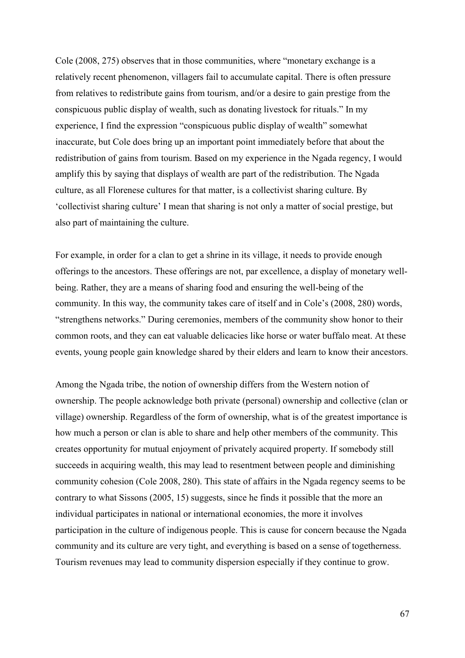Cole (2008, 275) observes that in those communities, where "monetary exchange is a relatively recent phenomenon, villagers fail to accumulate capital. There is often pressure from relatives to redistribute gains from tourism, and/or a desire to gain prestige from the conspicuous public display of wealth, such as donating livestock for rituals." In my experience, I find the expression "conspicuous public display of wealth" somewhat inaccurate, but Cole does bring up an important point immediately before that about the redistribution of gains from tourism. Based on my experience in the Ngada regency, I would amplify this by saying that displays of wealth are part of the redistribution. The Ngada culture, as all Florenese cultures for that matter, is a collectivist sharing culture. By 'collectivist sharing culture' I mean that sharing is not only a matter of social prestige, but also part of maintaining the culture.

For example, in order for a clan to get a shrine in its village, it needs to provide enough offerings to the ancestors. These offerings are not, par excellence, a display of monetary wellbeing. Rather, they are a means of sharing food and ensuring the well-being of the community. In this way, the community takes care of itself and in Cole's (2008, 280) words, "strengthens networks." During ceremonies, members of the community show honor to their common roots, and they can eat valuable delicacies like horse or water buffalo meat. At these events, young people gain knowledge shared by their elders and learn to know their ancestors.

Among the Ngada tribe, the notion of ownership differs from the Western notion of ownership. The people acknowledge both private (personal) ownership and collective (clan or village) ownership. Regardless of the form of ownership, what is of the greatest importance is how much a person or clan is able to share and help other members of the community. This creates opportunity for mutual enjoyment of privately acquired property. If somebody still succeeds in acquiring wealth, this may lead to resentment between people and diminishing community cohesion (Cole 2008, 280). This state of affairs in the Ngada regency seems to be contrary to what Sissons (2005, 15) suggests, since he finds it possible that the more an individual participates in national or international economies, the more it involves participation in the culture of indigenous people. This is cause for concern because the Ngada community and its culture are very tight, and everything is based on a sense of togetherness. Tourism revenues may lead to community dispersion especially if they continue to grow.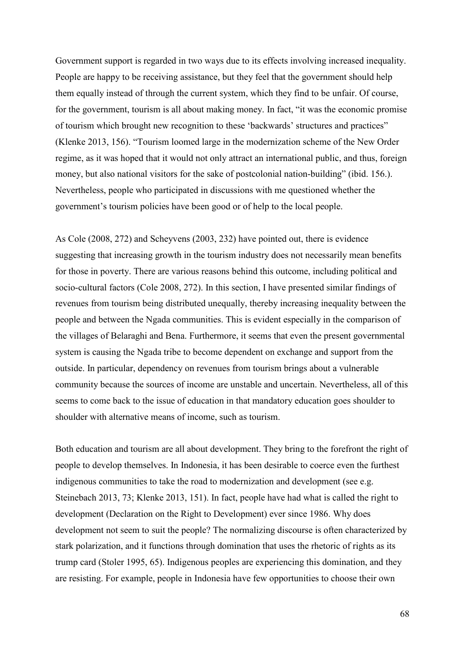Government support is regarded in two ways due to its effects involving increased inequality. People are happy to be receiving assistance, but they feel that the government should help them equally instead of through the current system, which they find to be unfair. Of course, for the government, tourism is all about making money. In fact, "it was the economic promise of tourism which brought new recognition to these 'backwards' structures and practices" (Klenke 2013, 156). "Tourism loomed large in the modernization scheme of the New Order regime, as it was hoped that it would not only attract an international public, and thus, foreign money, but also national visitors for the sake of postcolonial nation-building" (ibid. 156.). Nevertheless, people who participated in discussions with me questioned whether the government's tourism policies have been good or of help to the local people.

As Cole (2008, 272) and Scheyvens (2003, 232) have pointed out, there is evidence suggesting that increasing growth in the tourism industry does not necessarily mean benefits for those in poverty. There are various reasons behind this outcome, including political and socio-cultural factors (Cole 2008, 272). In this section, I have presented similar findings of revenues from tourism being distributed unequally, thereby increasing inequality between the people and between the Ngada communities. This is evident especially in the comparison of the villages of Belaraghi and Bena. Furthermore, it seems that even the present governmental system is causing the Ngada tribe to become dependent on exchange and support from the outside. In particular, dependency on revenues from tourism brings about a vulnerable community because the sources of income are unstable and uncertain. Nevertheless, all of this seems to come back to the issue of education in that mandatory education goes shoulder to shoulder with alternative means of income, such as tourism.

Both education and tourism are all about development. They bring to the forefront the right of people to develop themselves. In Indonesia, it has been desirable to coerce even the furthest indigenous communities to take the road to modernization and development (see e.g. Steinebach 2013, 73; Klenke 2013, 151). In fact, people have had what is called the right to development (Declaration on the Right to Development) ever since 1986. Why does development not seem to suit the people? The normalizing discourse is often characterized by stark polarization, and it functions through domination that uses the rhetoric of rights as its trump card (Stoler 1995, 65). Indigenous peoples are experiencing this domination, and they are resisting. For example, people in Indonesia have few opportunities to choose their own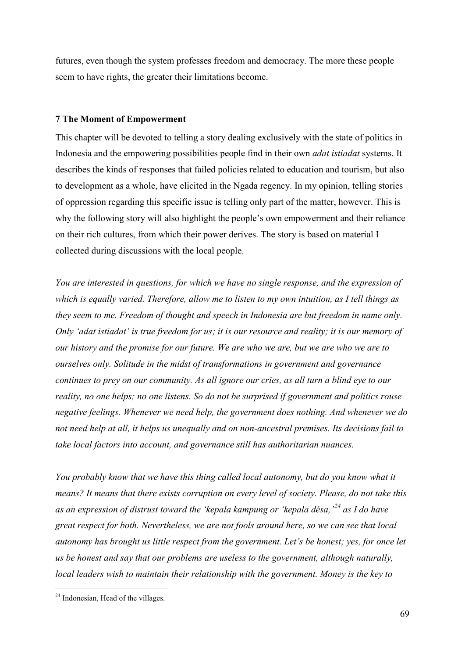futures, even though the system professes freedom and democracy. The more these people seem to have rights, the greater their limitations become.

# **7 The Moment of Empowerment**

This chapter will be devoted to telling a story dealing exclusively with the state of politics in Indonesia and the empowering possibilities people find in their own *adat istiadat* systems. It describes the kinds of responses that failed policies related to education and tourism, but also to development as a whole, have elicited in the Ngada regency. In my opinion, telling stories of oppression regarding this specific issue is telling only part of the matter, however. This is why the following story will also highlight the people's own empowerment and their reliance on their rich cultures, from which their power derives. The story is based on material I collected during discussions with the local people.

*You are interested in questions, for which we have no single response, and the expression of which is equally varied. Therefore, allow me to listen to my own intuition, as I tell things as they seem to me. Freedom of thought and speech in Indonesia are but freedom in name only. Only 'adat istiadat' is true freedom for us; it is our resource and reality; it is our memory of our history and the promise for our future. We are who we are, but we are who we are to ourselves only. Solitude in the midst of transformations in government and governance continues to prey on our community. As all ignore our cries, as all turn a blind eye to our reality, no one helps; no one listens. So do not be surprised if government and politics rouse negative feelings. Whenever we need help, the government does nothing. And whenever we do not need help at all, it helps us unequally and on non-ancestral premises. Its decisions fail to take local factors into account, and governance still has authoritarian nuances.* 

*You probably know that we have this thing called local autonomy, but do you know what it means? It means that there exists corruption on every level of society. Please, do not take this as an expression of distrust toward the 'kepala kampung or 'kepala désa,'[24](#page-71-0) as I do have great respect for both. Nevertheless, we are not fools around here, so we can see that local autonomy has brought us little respect from the government. Let's be honest; yes, for once let us be honest and say that our problems are useless to the government, although naturally, local leaders wish to maintain their relationship with the government. Money is the key to* 

<u>.</u>

<span id="page-71-0"></span><sup>&</sup>lt;sup>24</sup> Indonesian, Head of the villages.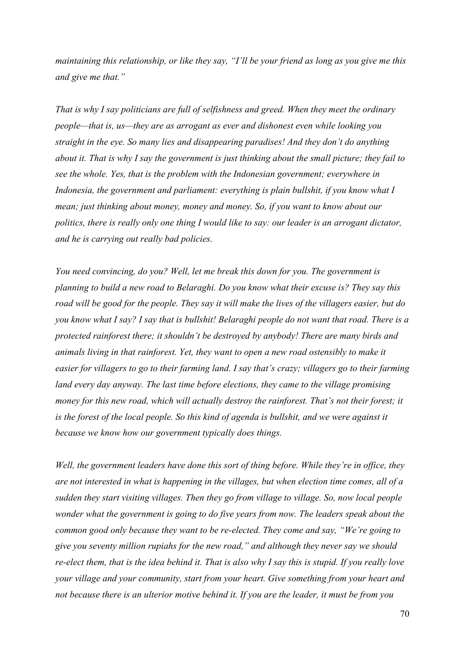*maintaining this relationship, or like they say, "I'll be your friend as long as you give me this and give me that."* 

*That is why I say politicians are full of selfishness and greed. When they meet the ordinary people—that is, us—they are as arrogant as ever and dishonest even while looking you straight in the eye. So many lies and disappearing paradises! And they don't do anything about it. That is why I say the government is just thinking about the small picture; they fail to see the whole. Yes, that is the problem with the Indonesian government; everywhere in Indonesia, the government and parliament: everything is plain bullshit, if you know what I mean; just thinking about money, money and money. So, if you want to know about our politics, there is really only one thing I would like to say: our leader is an arrogant dictator, and he is carrying out really bad policies.* 

*You need convincing, do you? Well, let me break this down for you. The government is planning to build a new road to Belaraghi. Do you know what their excuse is? They say this road will be good for the people. They say it will make the lives of the villagers easier, but do you know what I say? I say that is bullshit! Belaraghi people do not want that road. There is a protected rainforest there; it shouldn't be destroyed by anybody! There are many birds and animals living in that rainforest. Yet, they want to open a new road ostensibly to make it easier for villagers to go to their farming land. I say that's crazy; villagers go to their farming land every day anyway. The last time before elections, they came to the village promising money for this new road, which will actually destroy the rainforest. That's not their forest; it is the forest of the local people. So this kind of agenda is bullshit, and we were against it because we know how our government typically does things.* 

*Well, the government leaders have done this sort of thing before. While they're in office, they are not interested in what is happening in the villages, but when election time comes, all of a sudden they start visiting villages. Then they go from village to village. So, now local people wonder what the government is going to do five years from now. The leaders speak about the common good only because they want to be re-elected. They come and say, "We're going to give you seventy million rupiahs for the new road," and although they never say we should re-elect them, that is the idea behind it. That is also why I say this is stupid. If you really love your village and your community, start from your heart. Give something from your heart and not because there is an ulterior motive behind it. If you are the leader, it must be from you*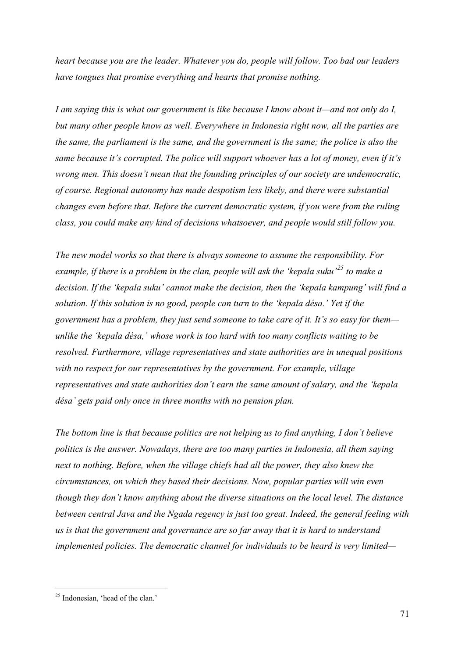*heart because you are the leader. Whatever you do, people will follow. Too bad our leaders have tongues that promise everything and hearts that promise nothing.* 

*I am saying this is what our government is like because I know about it—and not only do I, but many other people know as well. Everywhere in Indonesia right now, all the parties are the same, the parliament is the same, and the government is the same; the police is also the same because it's corrupted. The police will support whoever has a lot of money, even if it's wrong men. This doesn't mean that the founding principles of our society are undemocratic, of course. Regional autonomy has made despotism less likely, and there were substantial changes even before that. Before the current democratic system, if you were from the ruling class, you could make any kind of decisions whatsoever, and people would still follow you.* 

*The new model works so that there is always someone to assume the responsibility. For example, if there is a problem in the clan, people will ask the 'kepala suku'[25](#page-73-0) to make a decision. If the 'kepala suku' cannot make the decision, then the 'kepala kampung' will find a solution. If this solution is no good, people can turn to the 'kepala désa.' Yet if the government has a problem, they just send someone to take care of it. It's so easy for them unlike the 'kepala désa,' whose work is too hard with too many conflicts waiting to be resolved. Furthermore, village representatives and state authorities are in unequal positions with no respect for our representatives by the government. For example, village representatives and state authorities don't earn the same amount of salary, and the 'kepala désa' gets paid only once in three months with no pension plan.* 

*The bottom line is that because politics are not helping us to find anything, I don't believe politics is the answer. Nowadays, there are too many parties in Indonesia, all them saying next to nothing. Before, when the village chiefs had all the power, they also knew the circumstances, on which they based their decisions. Now, popular parties will win even though they don't know anything about the diverse situations on the local level. The distance between central Java and the Ngada regency is just too great. Indeed, the general feeling with us is that the government and governance are so far away that it is hard to understand implemented policies. The democratic channel for individuals to be heard is very limited—*

<span id="page-73-0"></span><sup>&</sup>lt;u>.</u> <sup>25</sup> Indonesian, 'head of the clan.'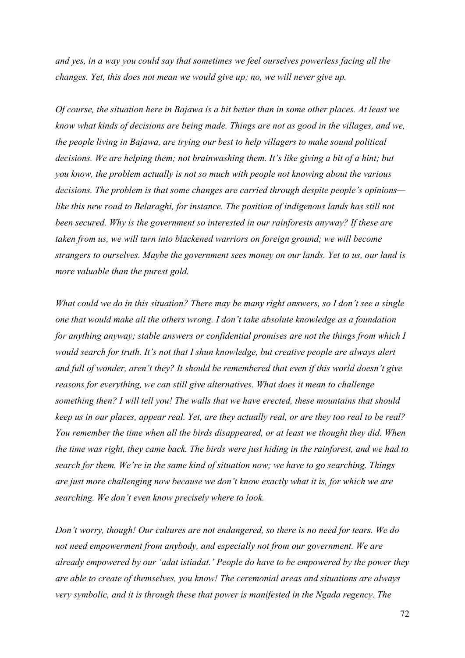*and yes, in a way you could say that sometimes we feel ourselves powerless facing all the changes. Yet, this does not mean we would give up; no, we will never give up.* 

*Of course, the situation here in Bajawa is a bit better than in some other places. At least we know what kinds of decisions are being made. Things are not as good in the villages, and we, the people living in Bajawa, are trying our best to help villagers to make sound political decisions. We are helping them; not brainwashing them. It's like giving a bit of a hint; but you know, the problem actually is not so much with people not knowing about the various decisions. The problem is that some changes are carried through despite people's opinions like this new road to Belaraghi, for instance. The position of indigenous lands has still not been secured. Why is the government so interested in our rainforests anyway? If these are taken from us, we will turn into blackened warriors on foreign ground; we will become strangers to ourselves. Maybe the government sees money on our lands. Yet to us, our land is more valuable than the purest gold.* 

*What could we do in this situation? There may be many right answers, so I don't see a single one that would make all the others wrong. I don't take absolute knowledge as a foundation for anything anyway; stable answers or confidential promises are not the things from which I would search for truth. It's not that I shun knowledge, but creative people are always alert and full of wonder, aren't they? It should be remembered that even if this world doesn't give reasons for everything, we can still give alternatives. What does it mean to challenge something then? I will tell you! The walls that we have erected, these mountains that should keep us in our places, appear real. Yet, are they actually real, or are they too real to be real? You remember the time when all the birds disappeared, or at least we thought they did. When the time was right, they came back. The birds were just hiding in the rainforest, and we had to search for them. We're in the same kind of situation now; we have to go searching. Things are just more challenging now because we don't know exactly what it is, for which we are searching. We don't even know precisely where to look.* 

*Don't worry, though! Our cultures are not endangered, so there is no need for tears. We do not need empowerment from anybody, and especially not from our government. We are already empowered by our 'adat istiadat.' People do have to be empowered by the power they are able to create of themselves, you know! The ceremonial areas and situations are always very symbolic, and it is through these that power is manifested in the Ngada regency. The*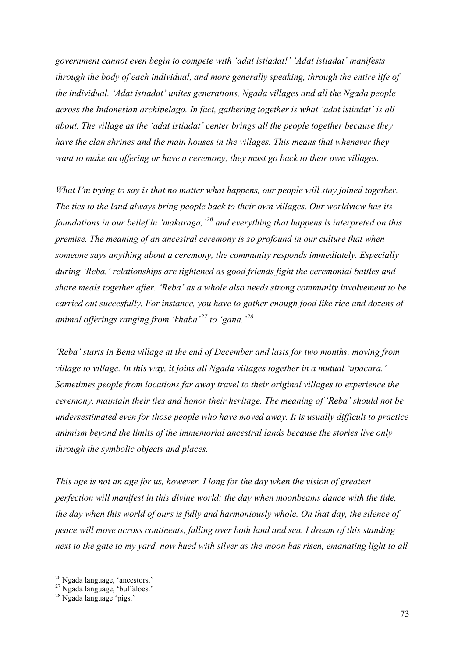*government cannot even begin to compete with 'adat istiadat!' 'Adat istiadat' manifests through the body of each individual, and more generally speaking, through the entire life of the individual. 'Adat istiadat' unites generations, Ngada villages and all the Ngada people across the Indonesian archipelago. In fact, gathering together is what 'adat istiadat' is all about. The village as the 'adat istiadat' center brings all the people together because they have the clan shrines and the main houses in the villages. This means that whenever they want to make an offering or have a ceremony, they must go back to their own villages.* 

*What I'm trying to say is that no matter what happens, our people will stay joined together. The ties to the land always bring people back to their own villages. Our worldview has its foundations in our belief in 'makaraga,'[26](#page-75-0) and everything that happens is interpreted on this premise. The meaning of an ancestral ceremony is so profound in our culture that when someone says anything about a ceremony, the community responds immediately. Especially during 'Reba,' relationships are tightened as good friends fight the ceremonial battles and share meals together after. 'Reba' as a whole also needs strong community involvement to be carried out succesfully. For instance, you have to gather enough food like rice and dozens of animal offerings ranging from 'khaba'[27](#page-75-1) to 'gana.'[28](#page-75-2)* 

*'Reba' starts in Bena village at the end of December and lasts for two months, moving from village to village. In this way, it joins all Ngada villages together in a mutual 'upacara.' Sometimes people from locations far away travel to their original villages to experience the ceremony, maintain their ties and honor their heritage. The meaning of 'Reba' should not be undersestimated even for those people who have moved away. It is usually difficult to practice animism beyond the limits of the immemorial ancestral lands because the stories live only through the symbolic objects and places.* 

*This age is not an age for us, however. I long for the day when the vision of greatest perfection will manifest in this divine world: the day when moonbeams dance with the tide, the day when this world of ours is fully and harmoniously whole. On that day, the silence of peace will move across continents, falling over both land and sea. I dream of this standing next to the gate to my yard, now hued with silver as the moon has risen, emanating light to all* 

-

<span id="page-75-0"></span><sup>&</sup>lt;sup>26</sup> Ngada language, 'ancestors.'

<span id="page-75-1"></span><sup>27</sup> Ngada language, 'buffaloes.'

<span id="page-75-2"></span><sup>28</sup> Ngada language 'pigs.'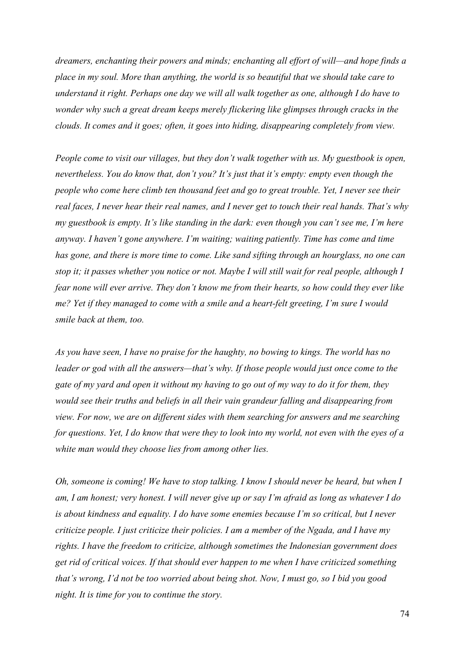*dreamers, enchanting their powers and minds; enchanting all effort of will—and hope finds a place in my soul. More than anything, the world is so beautiful that we should take care to understand it right. Perhaps one day we will all walk together as one, although I do have to wonder why such a great dream keeps merely flickering like glimpses through cracks in the clouds. It comes and it goes; often, it goes into hiding, disappearing completely from view.* 

*People come to visit our villages, but they don't walk together with us. My guestbook is open, nevertheless. You do know that, don't you? It's just that it's empty: empty even though the people who come here climb ten thousand feet and go to great trouble. Yet, I never see their real faces, I never hear their real names, and I never get to touch their real hands. That's why my guestbook is empty. It's like standing in the dark: even though you can't see me, I'm here anyway. I haven't gone anywhere. I'm waiting; waiting patiently. Time has come and time has gone, and there is more time to come. Like sand sifting through an hourglass, no one can stop it; it passes whether you notice or not. Maybe I will still wait for real people, although I fear none will ever arrive. They don't know me from their hearts, so how could they ever like me? Yet if they managed to come with a smile and a heart-felt greeting, I'm sure I would smile back at them, too.* 

*As you have seen, I have no praise for the haughty, no bowing to kings. The world has no leader or god with all the answers—that's why. If those people would just once come to the gate of my yard and open it without my having to go out of my way to do it for them, they would see their truths and beliefs in all their vain grandeur falling and disappearing from view. For now, we are on different sides with them searching for answers and me searching for questions. Yet, I do know that were they to look into my world, not even with the eyes of a white man would they choose lies from among other lies.* 

*Oh, someone is coming! We have to stop talking. I know I should never be heard, but when I am, I am honest; very honest. I will never give up or say I'm afraid as long as whatever I do is about kindness and equality. I do have some enemies because I'm so critical, but I never criticize people. I just criticize their policies. I am a member of the Ngada, and I have my rights. I have the freedom to criticize, although sometimes the Indonesian government does get rid of critical voices. If that should ever happen to me when I have criticized something that's wrong, I'd not be too worried about being shot. Now, I must go, so I bid you good night. It is time for you to continue the story.*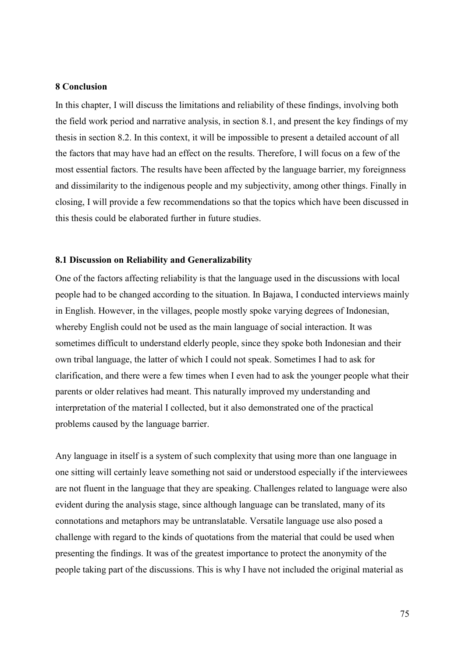## **8 Conclusion**

In this chapter, I will discuss the limitations and reliability of these findings, involving both the field work period and narrative analysis, in section 8.1, and present the key findings of my thesis in section 8.2. In this context, it will be impossible to present a detailed account of all the factors that may have had an effect on the results. Therefore, I will focus on a few of the most essential factors. The results have been affected by the language barrier, my foreignness and dissimilarity to the indigenous people and my subjectivity, among other things. Finally in closing, I will provide a few recommendations so that the topics which have been discussed in this thesis could be elaborated further in future studies.

### **8.1 Discussion on Reliability and Generalizability**

One of the factors affecting reliability is that the language used in the discussions with local people had to be changed according to the situation. In Bajawa, I conducted interviews mainly in English. However, in the villages, people mostly spoke varying degrees of Indonesian, whereby English could not be used as the main language of social interaction. It was sometimes difficult to understand elderly people, since they spoke both Indonesian and their own tribal language, the latter of which I could not speak. Sometimes I had to ask for clarification, and there were a few times when I even had to ask the younger people what their parents or older relatives had meant. This naturally improved my understanding and interpretation of the material I collected, but it also demonstrated one of the practical problems caused by the language barrier.

Any language in itself is a system of such complexity that using more than one language in one sitting will certainly leave something not said or understood especially if the interviewees are not fluent in the language that they are speaking. Challenges related to language were also evident during the analysis stage, since although language can be translated, many of its connotations and metaphors may be untranslatable. Versatile language use also posed a challenge with regard to the kinds of quotations from the material that could be used when presenting the findings. It was of the greatest importance to protect the anonymity of the people taking part of the discussions. This is why I have not included the original material as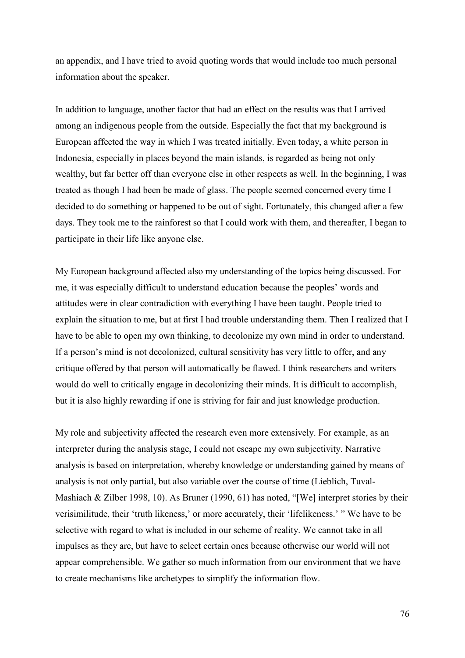an appendix, and I have tried to avoid quoting words that would include too much personal information about the speaker.

In addition to language, another factor that had an effect on the results was that I arrived among an indigenous people from the outside. Especially the fact that my background is European affected the way in which I was treated initially. Even today, a white person in Indonesia, especially in places beyond the main islands, is regarded as being not only wealthy, but far better off than everyone else in other respects as well. In the beginning, I was treated as though I had been be made of glass. The people seemed concerned every time I decided to do something or happened to be out of sight. Fortunately, this changed after a few days. They took me to the rainforest so that I could work with them, and thereafter, I began to participate in their life like anyone else.

My European background affected also my understanding of the topics being discussed. For me, it was especially difficult to understand education because the peoples' words and attitudes were in clear contradiction with everything I have been taught. People tried to explain the situation to me, but at first I had trouble understanding them. Then I realized that I have to be able to open my own thinking, to decolonize my own mind in order to understand. If a person's mind is not decolonized, cultural sensitivity has very little to offer, and any critique offered by that person will automatically be flawed. I think researchers and writers would do well to critically engage in decolonizing their minds. It is difficult to accomplish, but it is also highly rewarding if one is striving for fair and just knowledge production.

My role and subjectivity affected the research even more extensively. For example, as an interpreter during the analysis stage, I could not escape my own subjectivity. Narrative analysis is based on interpretation, whereby knowledge or understanding gained by means of analysis is not only partial, but also variable over the course of time (Lieblich, Tuval-Mashiach & Zilber 1998, 10). As Bruner (1990, 61) has noted, "[We] interpret stories by their verisimilitude, their 'truth likeness,' or more accurately, their 'lifelikeness.' " We have to be selective with regard to what is included in our scheme of reality. We cannot take in all impulses as they are, but have to select certain ones because otherwise our world will not appear comprehensible. We gather so much information from our environment that we have to create mechanisms like archetypes to simplify the information flow.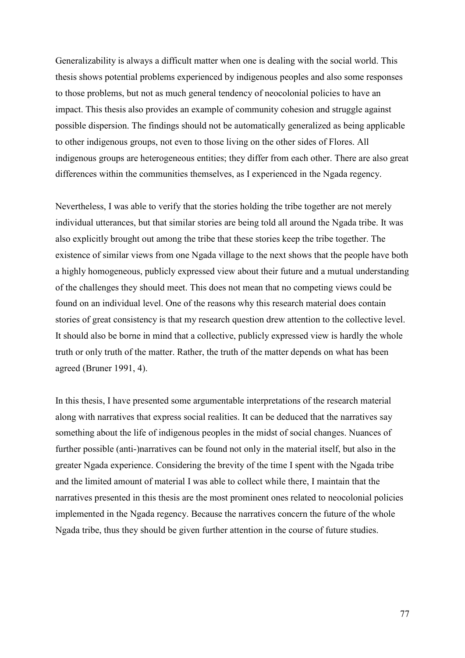Generalizability is always a difficult matter when one is dealing with the social world. This thesis shows potential problems experienced by indigenous peoples and also some responses to those problems, but not as much general tendency of neocolonial policies to have an impact. This thesis also provides an example of community cohesion and struggle against possible dispersion. The findings should not be automatically generalized as being applicable to other indigenous groups, not even to those living on the other sides of Flores. All indigenous groups are heterogeneous entities; they differ from each other. There are also great differences within the communities themselves, as I experienced in the Ngada regency.

Nevertheless, I was able to verify that the stories holding the tribe together are not merely individual utterances, but that similar stories are being told all around the Ngada tribe. It was also explicitly brought out among the tribe that these stories keep the tribe together. The existence of similar views from one Ngada village to the next shows that the people have both a highly homogeneous, publicly expressed view about their future and a mutual understanding of the challenges they should meet. This does not mean that no competing views could be found on an individual level. One of the reasons why this research material does contain stories of great consistency is that my research question drew attention to the collective level. It should also be borne in mind that a collective, publicly expressed view is hardly the whole truth or only truth of the matter. Rather, the truth of the matter depends on what has been agreed (Bruner 1991, 4).

In this thesis, I have presented some argumentable interpretations of the research material along with narratives that express social realities. It can be deduced that the narratives say something about the life of indigenous peoples in the midst of social changes. Nuances of further possible (anti-)narratives can be found not only in the material itself, but also in the greater Ngada experience. Considering the brevity of the time I spent with the Ngada tribe and the limited amount of material I was able to collect while there, I maintain that the narratives presented in this thesis are the most prominent ones related to neocolonial policies implemented in the Ngada regency. Because the narratives concern the future of the whole Ngada tribe, thus they should be given further attention in the course of future studies.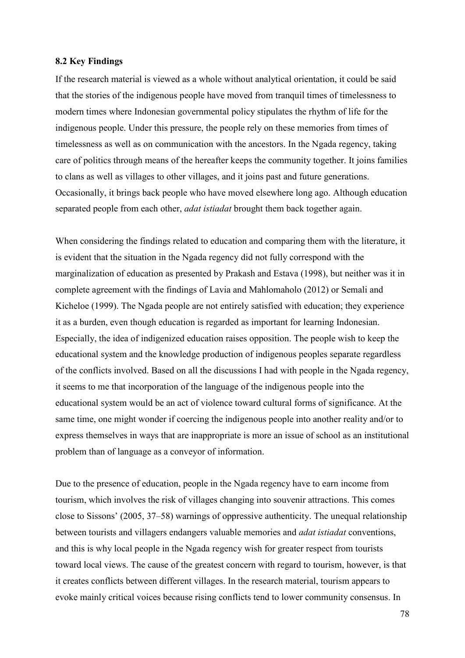#### **8.2 Key Findings**

If the research material is viewed as a whole without analytical orientation, it could be said that the stories of the indigenous people have moved from tranquil times of timelessness to modern times where Indonesian governmental policy stipulates the rhythm of life for the indigenous people. Under this pressure, the people rely on these memories from times of timelessness as well as on communication with the ancestors. In the Ngada regency, taking care of politics through means of the hereafter keeps the community together. It joins families to clans as well as villages to other villages, and it joins past and future generations. Occasionally, it brings back people who have moved elsewhere long ago. Although education separated people from each other, *adat istiadat* brought them back together again.

When considering the findings related to education and comparing them with the literature, it is evident that the situation in the Ngada regency did not fully correspond with the marginalization of education as presented by Prakash and Estava (1998), but neither was it in complete agreement with the findings of Lavia and Mahlomaholo (2012) or Semali and Kicheloe (1999). The Ngada people are not entirely satisfied with education; they experience it as a burden, even though education is regarded as important for learning Indonesian. Especially, the idea of indigenized education raises opposition. The people wish to keep the educational system and the knowledge production of indigenous peoples separate regardless of the conflicts involved. Based on all the discussions I had with people in the Ngada regency, it seems to me that incorporation of the language of the indigenous people into the educational system would be an act of violence toward cultural forms of significance. At the same time, one might wonder if coercing the indigenous people into another reality and/or to express themselves in ways that are inappropriate is more an issue of school as an institutional problem than of language as a conveyor of information.

Due to the presence of education, people in the Ngada regency have to earn income from tourism, which involves the risk of villages changing into souvenir attractions. This comes close to Sissons' (2005, 37–58) warnings of oppressive authenticity. The unequal relationship between tourists and villagers endangers valuable memories and *adat istiadat* conventions, and this is why local people in the Ngada regency wish for greater respect from tourists toward local views. The cause of the greatest concern with regard to tourism, however, is that it creates conflicts between different villages. In the research material, tourism appears to evoke mainly critical voices because rising conflicts tend to lower community consensus. In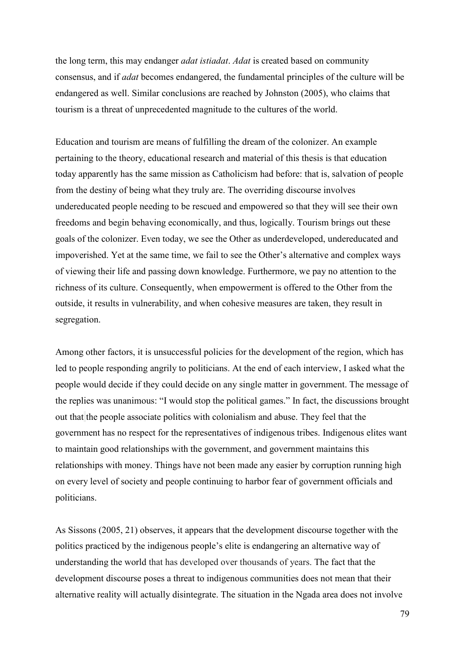the long term, this may endanger *adat istiadat*. *Adat* is created based on community consensus, and if *adat* becomes endangered, the fundamental principles of the culture will be endangered as well. Similar conclusions are reached by Johnston (2005), who claims that tourism is a threat of unprecedented magnitude to the cultures of the world.

Education and tourism are means of fulfilling the dream of the colonizer. An example pertaining to the theory, educational research and material of this thesis is that education today apparently has the same mission as Catholicism had before: that is, salvation of people from the destiny of being what they truly are. The overriding discourse involves undereducated people needing to be rescued and empowered so that they will see their own freedoms and begin behaving economically, and thus, logically. Tourism brings out these goals of the colonizer. Even today, we see the Other as underdeveloped, undereducated and impoverished. Yet at the same time, we fail to see the Other's alternative and complex ways of viewing their life and passing down knowledge. Furthermore, we pay no attention to the richness of its culture. Consequently, when empowerment is offered to the Other from the outside, it results in vulnerability, and when cohesive measures are taken, they result in segregation.

Among other factors, it is unsuccessful policies for the development of the region, which has led to people responding angrily to politicians. At the end of each interview, I asked what the people would decide if they could decide on any single matter in government. The message of the replies was unanimous: "I would stop the political games." In fact, the discussions brought out that the people associate politics with colonialism and abuse. They feel that the government has no respect for the representatives of indigenous tribes. Indigenous elites want to maintain good relationships with the government, and government maintains this relationships with money. Things have not been made any easier by corruption running high on every level of society and people continuing to harbor fear of government officials and politicians.

As Sissons (2005, 21) observes, it appears that the development discourse together with the politics practiced by the indigenous people's elite is endangering an alternative way of understanding the world that has developed over thousands of years. The fact that the development discourse poses a threat to indigenous communities does not mean that their alternative reality will actually disintegrate. The situation in the Ngada area does not involve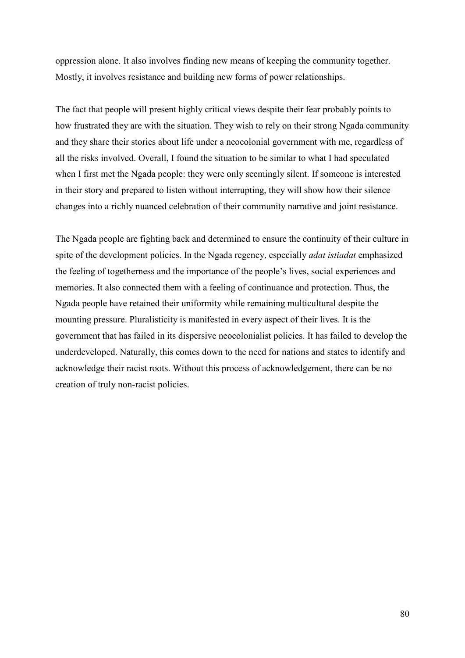oppression alone. It also involves finding new means of keeping the community together. Mostly, it involves resistance and building new forms of power relationships.

The fact that people will present highly critical views despite their fear probably points to how frustrated they are with the situation. They wish to rely on their strong Ngada community and they share their stories about life under a neocolonial government with me, regardless of all the risks involved. Overall, I found the situation to be similar to what I had speculated when I first met the Ngada people: they were only seemingly silent. If someone is interested in their story and prepared to listen without interrupting, they will show how their silence changes into a richly nuanced celebration of their community narrative and joint resistance.

The Ngada people are fighting back and determined to ensure the continuity of their culture in spite of the development policies. In the Ngada regency, especially *adat istiadat* emphasized the feeling of togetherness and the importance of the people's lives, social experiences and memories. It also connected them with a feeling of continuance and protection. Thus, the Ngada people have retained their uniformity while remaining multicultural despite the mounting pressure. Pluralisticity is manifested in every aspect of their lives. It is the government that has failed in its dispersive neocolonialist policies. It has failed to develop the underdeveloped. Naturally, this comes down to the need for nations and states to identify and acknowledge their racist roots. Without this process of acknowledgement, there can be no creation of truly non-racist policies.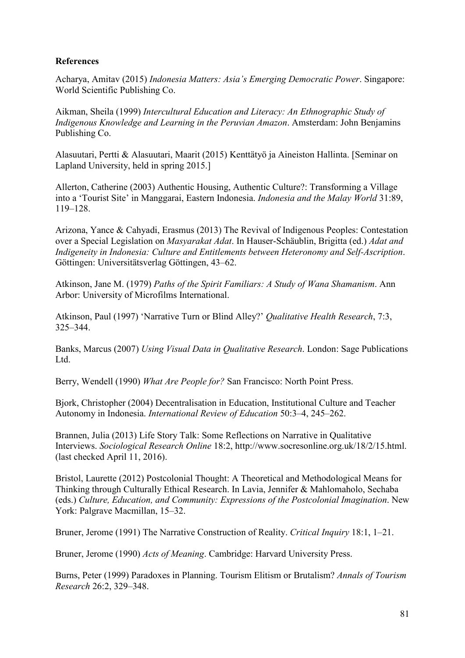# **References**

Acharya, Amitav (2015) *Indonesia Matters: Asia's Emerging Democratic Power*. Singapore: World Scientific Publishing Co.

Aikman, Sheila (1999) *Intercultural Education and Literacy: An Ethnographic Study of Indigenous Knowledge and Learning in the Peruvian Amazon*. Amsterdam: John Benjamins Publishing Co.

Alasuutari, Pertti & Alasuutari, Maarit (2015) Kenttätyö ja Aineiston Hallinta. [Seminar on Lapland University, held in spring 2015.]

Allerton, Catherine (2003) Authentic Housing, Authentic Culture?: Transforming a Village into a 'Tourist Site' in Manggarai, Eastern Indonesia. *Indonesia and the Malay World* 31:89, 119–128.

Arizona, Yance & Cahyadi, Erasmus (2013) The Revival of Indigenous Peoples: Contestation over a Special Legislation on *Masyarakat Adat*. In Hauser-Schäublin, Brigitta (ed.) *Adat and Indigeneity in Indonesia: Culture and Entitlements between Heteronomy and Self-Ascription*. Göttingen: Universitätsverlag Göttingen, 43–62.

Atkinson, Jane M. (1979) *Paths of the Spirit Familiars: A Study of Wana Shamanism*. Ann Arbor: University of Microfilms International.

Atkinson, Paul (1997) 'Narrative Turn or Blind Alley?' *Qualitative Health Research*, 7:3, 325–344.

Banks, Marcus (2007) *Using Visual Data in Qualitative Research*. London: Sage Publications Ltd.

Berry, Wendell (1990) *What Are People for?* San Francisco: North Point Press.

Bjork, Christopher (2004) Decentralisation in Education, Institutional Culture and Teacher Autonomy in Indonesia. *International Review of Education* 50:3–4, 245–262.

Brannen, Julia (2013) Life Story Talk: Some Reflections on Narrative in Qualitative Interviews. *Sociological Research Online* 18:2, http://www.socresonline.org.uk/18/2/15.html. (last checked April 11, 2016).

Bristol, Laurette (2012) Postcolonial Thought: A Theoretical and Methodological Means for Thinking through Culturally Ethical Research. In Lavia, Jennifer & Mahlomaholo, Sechaba (eds.) *Culture, Education, and Community: Expressions of the Postcolonial Imagination*. New York: Palgrave Macmillan, 15–32.

Bruner, Jerome (1991) The Narrative Construction of Reality. *Critical Inquiry* 18:1, 1–21.

Bruner, Jerome (1990) *Acts of Meaning*. Cambridge: Harvard University Press.

Burns, Peter (1999) Paradoxes in Planning. Tourism Elitism or Brutalism? *Annals of Tourism Research* 26:2, 329–348.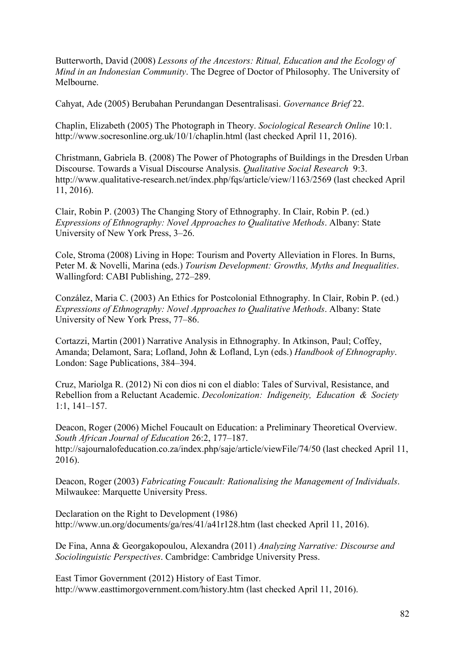Butterworth, David (2008) *Lessons of the Ancestors: Ritual, Education and the Ecology of Mind in an Indonesian Community*. The Degree of Doctor of Philosophy. The University of Melbourne.

Cahyat, Ade (2005) Berubahan Perundangan Desentralisasi. *Governance Brief* 22.

Chaplin, Elizabeth (2005) The Photograph in Theory. *Sociological Research Online* 10:1. http://www.socresonline.org.uk/10/1/chaplin.html (last checked April 11, 2016).

Christmann, Gabriela B. (2008) The Power of Photographs of Buildings in the Dresden Urban Discourse. Towards a Visual Discourse Analysis. *Qualitative Social Research* 9:3. http://www.qualitative-research.net/index.php/fqs/article/view/1163/2569 (last checked April 11, 2016).

Clair, Robin P. (2003) The Changing Story of Ethnography. In Clair, Robin P. (ed.) *Expressions of Ethnography: Novel Approaches to Qualitative Methods*. Albany: State University of New York Press, 3–26.

Cole, Stroma (2008) Living in Hope: Tourism and Poverty Alleviation in Flores. In Burns, Peter M. & Novelli, Marina (eds.) *Tourism Development: Growths, Myths and Inequalities*. Wallingford: CABI Publishing, 272–289.

Conzález, Maria C. (2003) An Ethics for Postcolonial Ethnography. In Clair, Robin P. (ed.) *Expressions of Ethnography: Novel Approaches to Qualitative Methods*. Albany: State University of New York Press, 77–86.

Cortazzi, Martin (2001) Narrative Analysis in Ethnography. In Atkinson, Paul; Coffey, Amanda; Delamont, Sara; Lofland, John & Lofland, Lyn (eds.) *Handbook of Ethnography*. London: Sage Publications, 384–394.

Cruz, Mariolga R. (2012) Ni con dios ni con el diablo: Tales of Survival, Resistance, and Rebellion from a Reluctant Academic. *Decolonization: Indigeneity, Education & Society* 1:1, 141–157.

Deacon, Roger (2006) Michel Foucault on Education: a Preliminary Theoretical Overview. *South African Journal of Education* 26:2, 177–187. http://sajournalofeducation.co.za/index.php/saje/article/viewFile/74/50 (last checked April 11, 2016).

Deacon, Roger (2003) *Fabricating Foucault: Rationalising the Management of Individuals*. Milwaukee: Marquette University Press.

Declaration on the Right to Development (1986) http://www.un.org/documents/ga/res/41/a41r128.htm (last checked April 11, 2016).

De Fina, Anna & Georgakopoulou, Alexandra (2011) *Analyzing Narrative: Discourse and Sociolinguistic Perspectives*. Cambridge: Cambridge University Press.

East Timor Government (2012) History of East Timor. http://www.easttimorgovernment.com/history.htm (last checked April 11, 2016).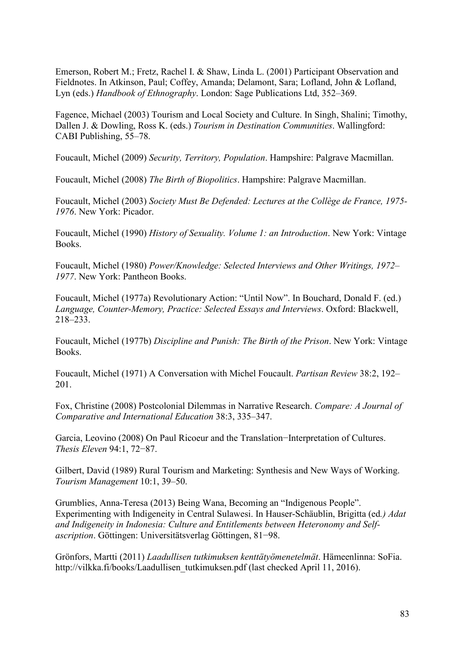Emerson, Robert M.; Fretz, Rachel I. & Shaw, Linda L. (2001) Participant Observation and Fieldnotes. In Atkinson, Paul; Coffey, Amanda; Delamont, Sara; Lofland, John & Lofland, Lyn (eds.) *Handbook of Ethnography*. London: Sage Publications Ltd, 352–369.

Fagence, Michael (2003) Tourism and Local Society and Culture. In Singh, Shalini; Timothy, Dallen J. & Dowling, Ross K. (eds.) *Tourism in Destination Communities*. Wallingford: CABI Publishing, 55–78.

Foucault, Michel (2009) *Security, Territory, Population*. Hampshire: Palgrave Macmillan.

Foucault, Michel (2008) *The Birth of Biopolitics*. Hampshire: Palgrave Macmillan.

Foucault, Michel (2003) *Society Must Be Defended: Lectures at the Collège de France, 1975- 1976*. New York: Picador.

Foucault, Michel (1990) *History of Sexuality. Volume 1: an Introduction*. New York: Vintage Books.

Foucault, Michel (1980) *Power/Knowledge: Selected Interviews and Other Writings, 1972– 1977*. New York: Pantheon Books.

Foucault, Michel (1977a) Revolutionary Action: "Until Now". In Bouchard, Donald F. (ed.) *Language, Counter-Memory, Practice: Selected Essays and Interviews*. Oxford: Blackwell, 218–233.

Foucault, Michel (1977b) *Discipline and Punish: The Birth of the Prison*. New York: Vintage Books.

Foucault, Michel (1971) A Conversation with Michel Foucault. *Partisan Review* 38:2, 192– 201.

Fox, Christine (2008) Postcolonial Dilemmas in Narrative Research. *Compare: A Journal of Comparative and International Education* 38:3, 335–347.

Garcia, Leovino (2008) On Paul Ricoeur and the Translation−Interpretation of Cultures. *Thesis Eleven* 94:1, 72−87.

Gilbert, David (1989) Rural Tourism and Marketing: Synthesis and New Ways of Working. *Tourism Management* 10:1, 39–50.

Grumblies, Anna-Teresa (2013) Being Wana, Becoming an "Indigenous People". Experimenting with Indigeneity in Central Sulawesi. In Hauser-Schäublin, Brigitta (ed*.) Adat and Indigeneity in Indonesia: Culture and Entitlements between Heteronomy and Selfascription*. Göttingen: Universitätsverlag Göttingen, 81−98.

Grönfors, Martti (2011) *Laadullisen tutkimuksen kenttätyömenetelmät*. Hämeenlinna: SoFia. http://vilkka.fi/books/Laadullisen\_tutkimuksen.pdf (last checked April 11, 2016).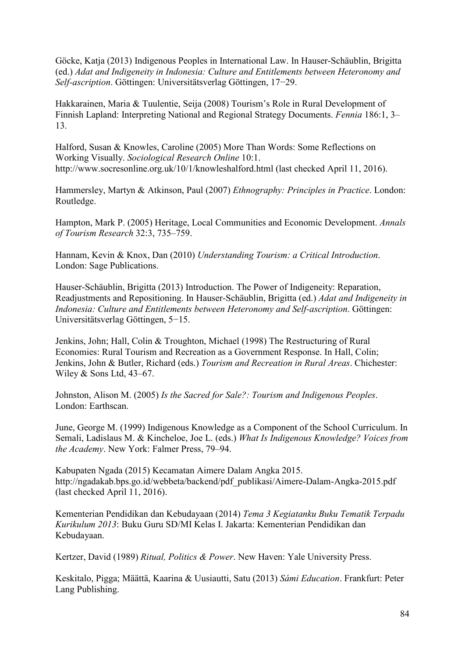Göcke, Katja (2013) Indigenous Peoples in International Law. In Hauser-Schäublin, Brigitta (ed.) *Adat and Indigeneity in Indonesia: Culture and Entitlements between Heteronomy and Self-ascription*. Göttingen: Universitätsverlag Göttingen, 17−29.

Hakkarainen, Maria & Tuulentie, Seija (2008) Tourism's Role in Rural Development of Finnish Lapland: Interpreting National and Regional Strategy Documents. *Fennia* 186:1, 3– 13.

Halford, Susan & Knowles, Caroline (2005) More Than Words: Some Reflections on Working Visually. *Sociological Research Online* 10:1. http://www.socresonline.org.uk/10/1/knowleshalford.html (last checked April 11, 2016).

Hammersley, Martyn & Atkinson, Paul (2007) *Ethnography: Principles in Practice*. London: Routledge.

Hampton, Mark P. (2005) Heritage, Local Communities and Economic Development. *Annals of Tourism Research* 32:3, 735–759.

Hannam, Kevin & Knox, Dan (2010) *Understanding Tourism: a Critical Introduction*. London: Sage Publications.

Hauser-Schäublin, Brigitta (2013) Introduction. The Power of Indigeneity: Reparation, Readjustments and Repositioning. In Hauser-Schäublin, Brigitta (ed.) *Adat and Indigeneity in Indonesia: Culture and Entitlements between Heteronomy and Self-ascription*. Göttingen: Universitätsverlag Göttingen, 5−15.

Jenkins, John; Hall, Colin & Troughton, Michael (1998) The Restructuring of Rural Economies: Rural Tourism and Recreation as a Government Response. In Hall, Colin; Jenkins, John & Butler, Richard (eds.) *Tourism and Recreation in Rural Areas*. Chichester: Wiley & Sons Ltd, 43–67.

Johnston, Alison M. (2005) *Is the Sacred for Sale?: Tourism and Indigenous Peoples*. London: Earthscan.

June, George M. (1999) Indigenous Knowledge as a Component of the School Curriculum. In Semali, Ladislaus M. & Kincheloe, Joe L. (eds.) *What Is Indigenous Knowledge? Voices from the Academy*. New York: Falmer Press, 79–94.

Kabupaten Ngada (2015) Kecamatan Aimere Dalam Angka 2015. http://ngadakab.bps.go.id/webbeta/backend/pdf\_publikasi/Aimere-Dalam-Angka-2015.pdf (last checked April 11, 2016).

Kementerian Pendidikan dan Kebudayaan (2014) *Tema 3 Kegiatanku Buku Tematik Terpadu Kurikulum 2013*: Buku Guru SD/MI Kelas I. Jakarta: Kementerian Pendidikan dan Kebudayaan.

Kertzer, David (1989) *Ritual, Politics & Power*. New Haven: Yale University Press.

Keskitalo, Pigga; Määttä, Kaarina & Uusiautti, Satu (2013) *Sámi Education*. Frankfurt: Peter Lang Publishing.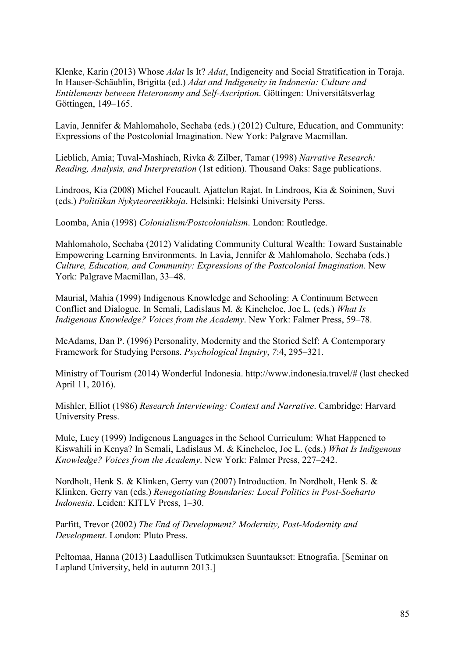Klenke, Karin (2013) Whose *Adat* Is It? *Adat*, Indigeneity and Social Stratification in Toraja. In Hauser-Schäublin, Brigitta (ed.) *Adat and Indigeneity in Indonesia: Culture and Entitlements between Heteronomy and Self-Ascription*. Göttingen: Universitätsverlag Göttingen, 149–165.

Lavia, Jennifer & Mahlomaholo, Sechaba (eds.) (2012) Culture, Education, and Community: Expressions of the Postcolonial Imagination. New York: Palgrave Macmillan.

Lieblich, Amia; Tuval-Mashiach, Rivka & Zilber, Tamar (1998) *Narrative Research: Reading, Analysis, and Interpretation* (1st edition). Thousand Oaks: Sage publications.

Lindroos, Kia (2008) Michel Foucault. Ajattelun Rajat. In Lindroos, Kia & Soininen, Suvi (eds.) *Politiikan Nykyteoreetikkoja*. Helsinki: Helsinki University Perss.

Loomba, Ania (1998) *Colonialism/Postcolonialism*. London: Routledge.

Mahlomaholo, Sechaba (2012) Validating Community Cultural Wealth: Toward Sustainable Empowering Learning Environments. In Lavia, Jennifer & Mahlomaholo, Sechaba (eds.) *Culture, Education, and Community: Expressions of the Postcolonial Imagination*. New York: Palgrave Macmillan, 33–48.

Maurial, Mahia (1999) Indigenous Knowledge and Schooling: A Continuum Between Conflict and Dialogue. In Semali, Ladislaus M. & Kincheloe, Joe L. (eds.) *What Is Indigenous Knowledge? Voices from the Academy*. New York: Falmer Press, 59–78.

McAdams, Dan P. (1996) Personality, Modernity and the Storied Self: A Contemporary Framework for Studying Persons. *Psychological Inquiry*, *7*:4, 295–321.

Ministry of Tourism (2014) Wonderful Indonesia. http://www.indonesia.travel/# (last checked April 11, 2016).

Mishler, Elliot (1986) *Research Interviewing: Context and Narrative*. Cambridge: Harvard University Press.

Mule, Lucy (1999) Indigenous Languages in the School Curriculum: What Happened to Kiswahili in Kenya? In Semali, Ladislaus M. & Kincheloe, Joe L. (eds.) *What Is Indigenous Knowledge? Voices from the Academy*. New York: Falmer Press, 227–242.

Nordholt, Henk S. & Klinken, Gerry van (2007) Introduction. In Nordholt, Henk S. & Klinken, Gerry van (eds.) *Renegotiating Boundaries: Local Politics in Post-Soeharto Indonesia*. Leiden: KITLV Press, 1–30.

Parfitt, Trevor (2002) *The End of Development? Modernity, Post-Modernity and Development*. London: Pluto Press.

Peltomaa, Hanna (2013) Laadullisen Tutkimuksen Suuntaukset: Etnografia. [Seminar on Lapland University, held in autumn 2013.]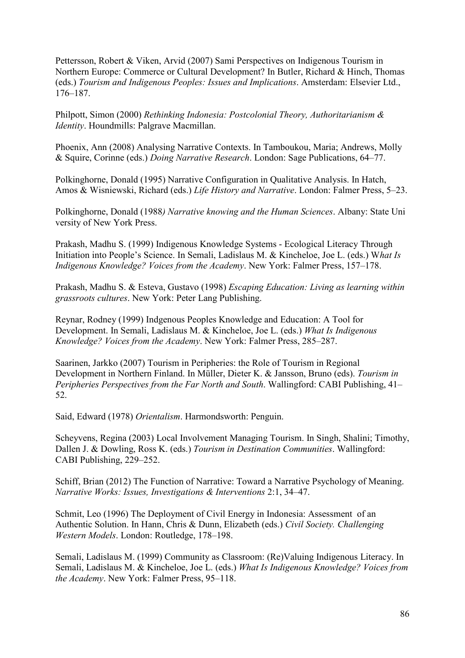Pettersson, Robert & Viken, Arvid (2007) Sami Perspectives on Indigenous Tourism in Northern Europe: Commerce or Cultural Development? In Butler, Richard & Hinch, Thomas (eds.) *Tourism and Indigenous Peoples: Issues and Implications*. Amsterdam: Elsevier Ltd., 176–187.

Philpott, Simon (2000) *Rethinking Indonesia: Postcolonial Theory, Authoritarianism & Identity*. Houndmills: Palgrave Macmillan.

Phoenix, Ann (2008) Analysing Narrative Contexts. In Tamboukou, Maria; Andrews, Molly & Squire, Corinne (eds.) *Doing Narrative Research*. London: Sage Publications, 64–77.

Polkinghorne, Donald (1995) Narrative Configuration in Qualitative Analysis. In Hatch, Amos & Wisniewski, Richard (eds.) *Life History and Narrative*. London: Falmer Press, 5–23.

Polkinghorne, Donald (1988*) Narrative knowing and the Human Sciences*. Albany: State Uni versity of New York Press.

Prakash, Madhu S. (1999) Indigenous Knowledge Systems - Ecological Literacy Through Initiation into People's Science. In Semali, Ladislaus M. & Kincheloe, Joe L. (eds.) W*hat Is Indigenous Knowledge? Voices from the Academy*. New York: Falmer Press, 157–178.

Prakash, Madhu S. & Esteva, Gustavo (1998) *Escaping Education: Living as learning within grassroots cultures*. New York: Peter Lang Publishing.

Reynar, Rodney (1999) Indgenous Peoples Knowledge and Education: A Tool for Development. In Semali, Ladislaus M. & Kincheloe, Joe L. (eds.) *What Is Indigenous Knowledge? Voices from the Academy*. New York: Falmer Press, 285–287.

Saarinen, Jarkko (2007) Tourism in Peripheries: the Role of Tourism in Regional Development in Northern Finland. In Müller, Dieter K. & Jansson, Bruno (eds). *Tourism in Peripheries Perspectives from the Far North and South*. Wallingford: CABI Publishing, 41– 52.

Said, Edward (1978) *Orientalism*. Harmondsworth: Penguin.

Scheyvens, Regina (2003) Local Involvement Managing Tourism. In Singh, Shalini; Timothy, Dallen J. & Dowling, Ross K. (eds.) *Tourism in Destination Communities*. Wallingford: CABI Publishing, 229–252.

Schiff, Brian (2012) The Function of Narrative: Toward a Narrative Psychology of Meaning. *Narrative Works: Issues, Investigations & Interventions* 2:1, 34–47.

Schmit, Leo (1996) The Deployment of Civil Energy in Indonesia: Assessment of an Authentic Solution. In Hann, Chris & Dunn, Elizabeth (eds.) *Civil Society. Challenging Western Models*. London: Routledge, 178–198.

Semali, Ladislaus M. (1999) Community as Classroom: (Re)Valuing Indigenous Literacy. In Semali, Ladislaus M. & Kincheloe, Joe L. (eds.) *What Is Indigenous Knowledge? Voices from the Academy*. New York: Falmer Press, 95–118.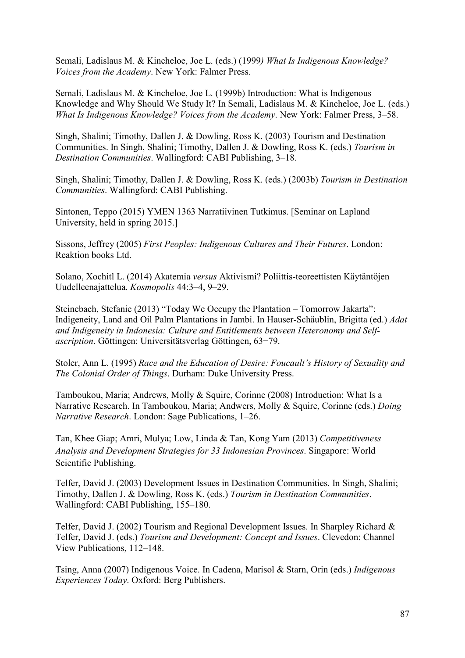Semali, Ladislaus M. & Kincheloe, Joe L. (eds.) (1999*) What Is Indigenous Knowledge? Voices from the Academy*. New York: Falmer Press.

Semali, Ladislaus M. & Kincheloe, Joe L. (1999b) Introduction: What is Indigenous Knowledge and Why Should We Study It? In Semali, Ladislaus M. & Kincheloe, Joe L. (eds.) *What Is Indigenous Knowledge? Voices from the Academy*. New York: Falmer Press, 3–58.

Singh, Shalini; Timothy, Dallen J. & Dowling, Ross K. (2003) Tourism and Destination Communities. In Singh, Shalini; Timothy, Dallen J. & Dowling, Ross K. (eds.) *Tourism in Destination Communities*. Wallingford: CABI Publishing, 3–18.

Singh, Shalini; Timothy, Dallen J. & Dowling, Ross K. (eds.) (2003b) *Tourism in Destination Communities*. Wallingford: CABI Publishing.

Sintonen, Teppo (2015) YMEN 1363 Narratiivinen Tutkimus. [Seminar on Lapland University, held in spring 2015.]

Sissons, Jeffrey (2005) *First Peoples: Indigenous Cultures and Their Futures*. London: Reaktion books Ltd.

Solano, Xochitl L. (2014) Akatemia *versus* Aktivismi? Poliittis-teoreettisten Käytäntöjen Uudelleenajattelua. *Kosmopolis* 44:3–4, 9–29.

Steinebach, Stefanie (2013) "Today We Occupy the Plantation – Tomorrow Jakarta": Indigeneity, Land and Oil Palm Plantations in Jambi. In Hauser-Schäublin, Brigitta (ed.) *Adat and Indigeneity in Indonesia: Culture and Entitlements between Heteronomy and Selfascription*. Göttingen: Universitätsverlag Göttingen, 63−79.

Stoler, Ann L. (1995) *Race and the Education of Desire: Foucault's History of Sexuality and The Colonial Order of Things*. Durham: Duke University Press.

Tamboukou, Maria; Andrews, Molly & Squire, Corinne (2008) Introduction: What Is a Narrative Research. In Tamboukou, Maria; Andwers, Molly & Squire, Corinne (eds.) *Doing Narrative Research*. London: Sage Publications, 1–26.

Tan, Khee Giap; Amri, Mulya; Low, Linda & Tan, Kong Yam (2013) *Competitiveness Analysis and Development Strategies for 33 Indonesian Provinces*. Singapore: World Scientific Publishing.

Telfer, David J. (2003) Development Issues in Destination Communities. In Singh, Shalini; Timothy, Dallen J. & Dowling, Ross K. (eds.) *Tourism in Destination Communities*. Wallingford: CABI Publishing, 155–180.

Telfer, David J. (2002) Tourism and Regional Development Issues. In Sharpley Richard & Telfer, David J. (eds.) *Tourism and Development: Concept and Issues*. Clevedon: Channel View Publications, 112–148.

Tsing, Anna (2007) Indigenous Voice. In Cadena, Marisol & Starn, Orin (eds.) *Indigenous Experiences Today*. Oxford: Berg Publishers.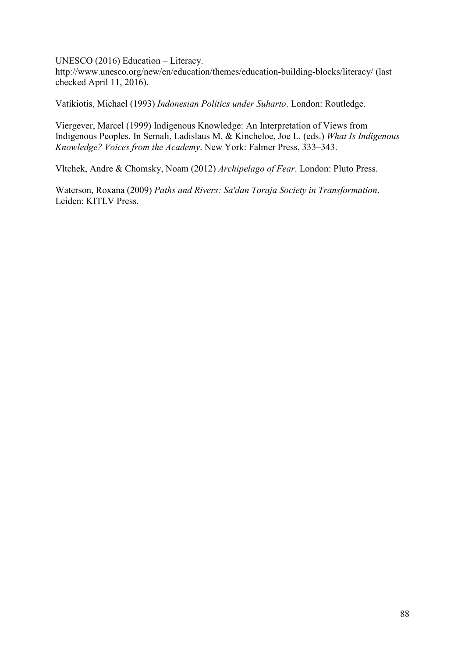UNESCO (2016) Education – Literacy.

http://www.unesco.org/new/en/education/themes/education-building-blocks/literacy/ (last checked April 11, 2016).

Vatikiotis, Michael (1993) *Indonesian Politics under Suharto*. London: Routledge.

Viergever, Marcel (1999) Indigenous Knowledge: An Interpretation of Views from Indigenous Peoples. In Semali, Ladislaus M. & Kincheloe, Joe L. (eds.) *What Is Indigenous Knowledge? Voices from the Academy*. New York: Falmer Press, 333–343.

Vltchek, Andre & Chomsky, Noam (2012) *Archipelago of Fear*. London: Pluto Press.

Waterson, Roxana (2009) *Paths and Rivers: Sa'dan Toraja Society in Transformation*. Leiden: KITLV Press.